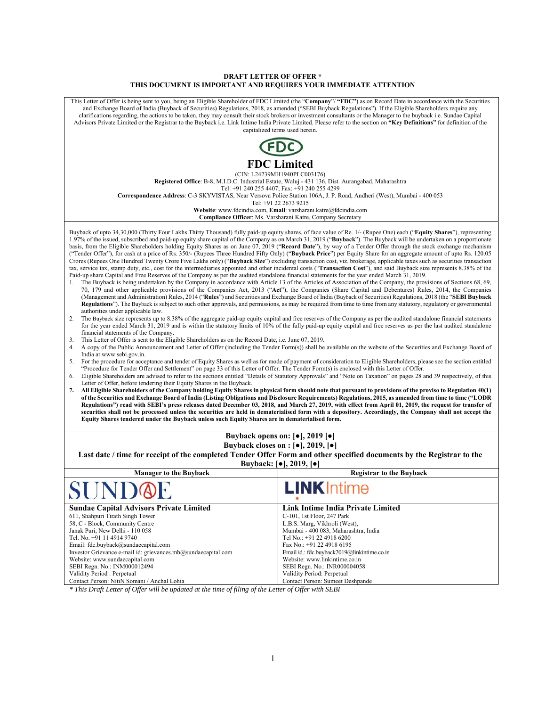#### **DRAFT LETTER OF OFFER \* THIS DOCUMENT IS IMPORTANT AND REQUIRES YOUR IMMEDIATE ATTENTION**

This Letter of Offer is being sent to you, being an Eligible Shareholder of FDC Limited (the "**Company**"/ **"FDC"**) as on Record Date in accordance with the Securities and Exchange Board of India (Buyback of Securities) Regulations, 2018, as amended ("SEBI Buyback Regulations"). If the Eligible Shareholders require any clarifications regarding, the actions to be taken, they may consult their stock brokers or investment consultants or the Manager to the buyback i.e. Sundae Capital Advisors Private Limited or the Registrar to the Buyback i.e. Link Intime India Private Limited. Please refer to the section on **"Key Definitions"** for definition of the capitalized terms used herein. **FDC Limited**  (CIN: L24239MH1940PLC003176) **Registered Office**: B-8, M.I.D.C. Industrial Estate, Waluj - 431 136, Dist. Aurangabad, Maharashtra Tel: +91 240 255 4407; Fax: +91 240 255 4299 **Correspondence Address**: C-3 SKYVISTAS, Near Versova Police Station 106A, J. P. Road, Andheri (West), Mumbai - 400 053 Tel: +91 22 2673 9215 **Website**: www.fdcindia.com, **Email**: varsharani.katre@fdcindia.com **Compliance Officer**: Ms. Varsharani Katre, Company Secretary Buyback of upto 34,30,000 (Thirty Four Lakhs Thirty Thousand) fully paid-up equity shares, of face value of Re. 1/- (Rupee One) each ("**Equity Shares**"), representing 1.97% of the issued, subscribed and paid-up equity share capital of the Company as on March 31, 2019 ("**Buyback**"). The Buyback will be undertaken on a proportionate basis, from the Eligible Shareholders holding Equity Shares as on June 07, 2019 ("**Record Date**"), by way of a Tender Offer through the stock exchange mechanism ("Tender Offer"), for cash at a price of Rs. 350/- (Rupees Three Hundred Fifty Only) ("**Buyback Price**") per Equity Share for an aggregate amount of upto Rs. 120.05 Crores (Rupees One Hundred Twenty Crore Five Lakhs only) ("**Buyback Size**") excluding transaction cost, viz. brokerage, applicable taxes such as securities transaction tax, service tax, stamp duty, etc., cost for the intermediaries appointed and other incidental costs ("**Transaction Cost**"), and said Buyback size represents 8.38% of the Paid-up share Capital and Free Reserves of the Company as per the audited standalone financial statements for the year ended March 31, 2019. 1. The Buyback is being undertaken by the Company in accordance with Article 13 of the Articles of Association of the Company, the provisions of Sections 68, 69, 70, 179 and other applicable provisions of the Companies Act, 2013 ("**Act**"), the Companies (Share Capital and Debentures) Rules, 2014, the Companies (Management and Administration) Rules, 2014 ("**Rules**") and Securities and Exchange Board of India (Buyback of Securities) Regulations, 2018 (the "**SEBI Buyback Regulations**"). The Buyback is subject to such other approvals, and permissions, as may be required from time to time from any statutory, regulatory or governmental authorities under applicable law. 2. The Buyback size represents up to 8.38% of the aggregate paid-up equity capital and free reserves of the Company as per the audited standalone financial statements for the year ended March 31, 2019 and is within the statutory limits of 10% of the fully paid-up equity capital and free reserves as per the last audited standalone financial statements of the Company. 3. This Letter of Offer is sent to the Eligible Shareholders as on the Record Date, i.e. June 07, 2019. 4. A copy of the Public Announcement and Letter of Offer (including the Tender Form(s)) shall be available on the website of the Securities and Exchange Board of India at www.sebi.gov.in. 5. For the procedure for acceptance and tender of Equity Shares as well as for mode of payment of consideration to Eligible Shareholders, please see the section entitled "Procedure for Tender Offer and Settlement" on page 33 of this Letter of Offer. The Tender Form(s) is enclosed with this Letter of Offer. 6. Eligible Shareholders are advised to refer to the sections entitled "Details of Statutory Approvals" and "Note on Taxation" on pages 28 and 39 respectively, of this Letter of Offer, before tendering their Equity Shares in the Buyback. **7. All Eligible Shareholders of the Company holding Equity Shares in physical form should note that pursuant to provisions of the proviso to Regulation 40(1) of the Securities and Exchange Board of India (Listing Obligations and Disclosure Requirements) Regulations, 2015, as amended from time to time ("LODR Regulations") read with SEBI's press releases dated December 03, 2018, and March 27, 2019, with effect from April 01, 2019, the request for transfer of securities shall not be processed unless the securities are held in dematerialised form with a depository. Accordingly, the Company shall not accept the Equity Shares tendered under the Buyback unless such Equity Shares are in dematerialised form. Buyback opens on: [●], 2019 [●] Buyback closes on : [●], 2019, [●] Last date / time for receipt of the completed Tender Offer Form and other specified documents by the Registrar to the Buyback: [●], 2019, [●] Manager to the Buyback Registrar to the Buyback Registrar to the Buyback Registrar to the Buyback** INK In **Sundae Capital Advisors Private Limited Link Intime India Private Limited**  611, Shahpuri Tirath Singh Tower C-101, 1st Floor, 247 Park 58, C - Block, Community Centre L.B.S. Marg, Vikhroli (West), Janak Puri, New Delhi - 110 058 Mumbai - 400 083, Maharashtra, India Tel. No. +91 11 4914 9740 Tel No.: +91 22 4918 6200 Email: fdc.buyback@sundaecapital.com Fax No.: +91 22 4918 6195 Investor Grievance e-mail id: grievances.mb@sundaecapital.com Email id.: fdc.buyback2019@linkintime.co.in Website: www.sundaecapital.com Website: www.linkintime.co.in SEBI Regn. No.: INR000004058 SEBI Regn. No.: INM000012494 Validity Period: Perpetual Validity Period : Perpetual Contact Person: NitiN Somani / Anchal Lohia Contact Person: Sumeet Deshpande

*\* This Draft Letter of Offer will be updated at the time of filing of the Letter of Offer with SEBI*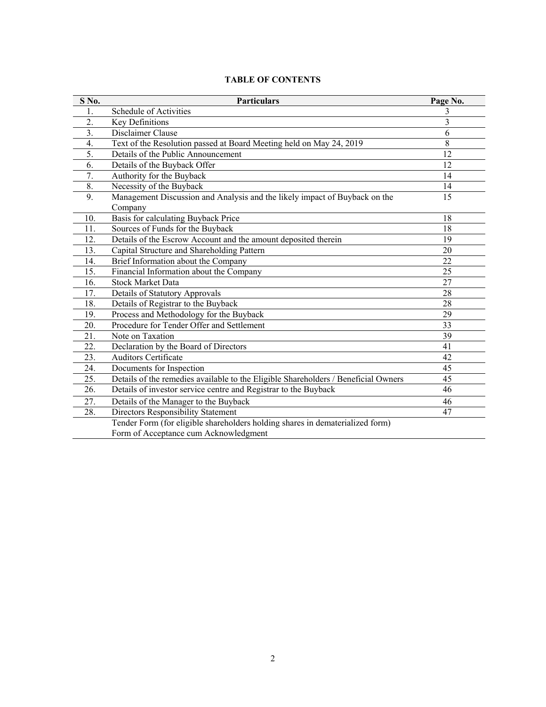|  |  | <b>TABLE OF CONTENTS</b> |
|--|--|--------------------------|
|--|--|--------------------------|

| S No.            | <b>Particulars</b>                                                                 | Page No. |
|------------------|------------------------------------------------------------------------------------|----------|
|                  | Schedule of Activities                                                             | 3        |
| $\overline{2}$ . | Key Definitions                                                                    | 3        |
| 3.               | Disclaimer Clause                                                                  | 6        |
| $\overline{4}$ . | Text of the Resolution passed at Board Meeting held on May 24, 2019                | 8        |
| 5.               | Details of the Public Announcement                                                 | 12       |
| 6.               | Details of the Buyback Offer                                                       | 12       |
| 7.               | Authority for the Buyback                                                          | 14       |
| 8.               | Necessity of the Buyback                                                           | 14       |
| 9.               | Management Discussion and Analysis and the likely impact of Buyback on the         | 15       |
|                  | Company                                                                            |          |
| 10.              | Basis for calculating Buyback Price                                                | 18       |
| 11.              | Sources of Funds for the Buyback                                                   | 18       |
| 12.              | Details of the Escrow Account and the amount deposited therein                     | 19       |
| 13.              | Capital Structure and Shareholding Pattern                                         | 20       |
| 14.              | Brief Information about the Company                                                | 22       |
| 15.              | Financial Information about the Company                                            | 25       |
| 16.              | <b>Stock Market Data</b>                                                           | 27       |
| 17.              | Details of Statutory Approvals                                                     | 28       |
| 18.              | Details of Registrar to the Buyback                                                | 28       |
| 19.              | Process and Methodology for the Buyback                                            | 29       |
| 20.              | Procedure for Tender Offer and Settlement                                          | 33       |
| 21.              | Note on Taxation                                                                   | 39       |
| 22.              | Declaration by the Board of Directors                                              | 41       |
| 23.              | <b>Auditors Certificate</b>                                                        | 42       |
| 24.              | Documents for Inspection                                                           | 45       |
| 25.              | Details of the remedies available to the Eligible Shareholders / Beneficial Owners | 45       |
| 26.              | Details of investor service centre and Registrar to the Buyback                    | 46       |
| 27.              | Details of the Manager to the Buyback                                              | 46       |
| 28.              | Directors Responsibility Statement                                                 | 47       |
|                  | Tender Form (for eligible shareholders holding shares in dematerialized form)      |          |
|                  | Form of Acceptance cum Acknowledgment                                              |          |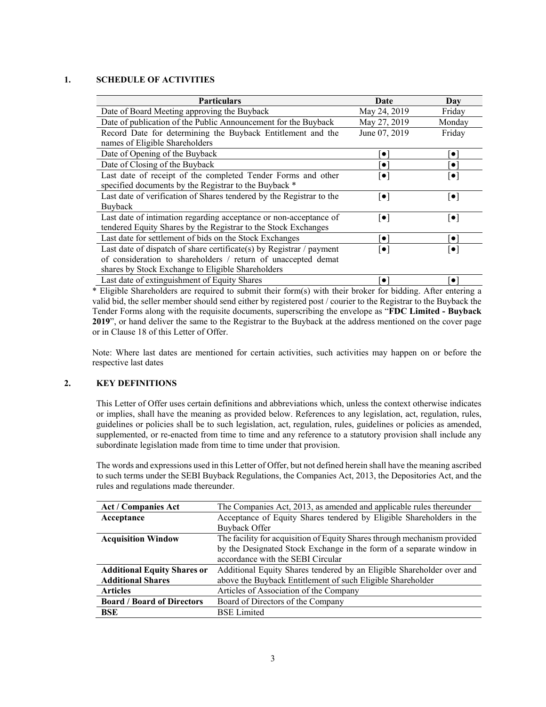### **1. SCHEDULE OF ACTIVITIES**

| <b>Particulars</b>                                                               | Date                    | Day                     |
|----------------------------------------------------------------------------------|-------------------------|-------------------------|
| Date of Board Meeting approving the Buyback                                      | May 24, 2019            | Friday                  |
| Date of publication of the Public Announcement for the Buyback                   | May 27, 2019            | Monday                  |
| Record Date for determining the Buyback Entitlement and the                      | June 07, 2019           | Friday                  |
| names of Eligible Shareholders                                                   |                         |                         |
| Date of Opening of the Buyback                                                   | $\bullet$               | $\bullet$               |
| Date of Closing of the Buyback                                                   | $\bullet$               | $\bullet$               |
| Last date of receipt of the completed Tender Forms and other                     | $\lceil \bullet \rceil$ | $ \bullet $             |
| specified documents by the Registrar to the Buyback *                            |                         |                         |
| Last date of verification of Shares tendered by the Registrar to the             | $\lceil \bullet \rceil$ | $\lceil \bullet \rceil$ |
| Buyback                                                                          |                         |                         |
| Last date of intimation regarding acceptance or non-acceptance of                | $\lceil \bullet \rceil$ | $\lceil \bullet \rceil$ |
| tendered Equity Shares by the Registrar to the Stock Exchanges                   |                         |                         |
| Last date for settlement of bids on the Stock Exchanges                          | $\bullet$               | $\bullet$               |
| Last date of dispatch of share certificate(s) by Registrar $\frac{1}{2}$ payment | $\lceil \bullet \rceil$ | $\lceil \bullet \rceil$ |
| of consideration to shareholders / return of unaccepted demat                    |                         |                         |
| shares by Stock Exchange to Eligible Shareholders                                |                         |                         |
| Last date of extinguishment of Equity Shares                                     | $\bullet$               | $\bullet$               |

\* Eligible Shareholders are required to submit their form(s) with their broker for bidding. After entering a valid bid, the seller member should send either by registered post / courier to the Registrar to the Buyback the Tender Forms along with the requisite documents, superscribing the envelope as "**FDC Limited - Buyback 2019**", or hand deliver the same to the Registrar to the Buyback at the address mentioned on the cover page or in Clause 18 of this Letter of Offer.

Note: Where last dates are mentioned for certain activities, such activities may happen on or before the respective last dates

### **2. KEY DEFINITIONS**

This Letter of Offer uses certain definitions and abbreviations which, unless the context otherwise indicates or implies, shall have the meaning as provided below. References to any legislation, act, regulation, rules, guidelines or policies shall be to such legislation, act, regulation, rules, guidelines or policies as amended, supplemented, or re-enacted from time to time and any reference to a statutory provision shall include any subordinate legislation made from time to time under that provision.

The words and expressions used in this Letter of Offer, but not defined herein shall have the meaning ascribed to such terms under the SEBI Buyback Regulations, the Companies Act, 2013, the Depositories Act, and the rules and regulations made thereunder.

| Act / Companies Act                | The Companies Act, 2013, as amended and applicable rules thereunder      |
|------------------------------------|--------------------------------------------------------------------------|
| Acceptance                         | Acceptance of Equity Shares tendered by Eligible Shareholders in the     |
|                                    | Buyback Offer                                                            |
| <b>Acquisition Window</b>          | The facility for acquisition of Equity Shares through mechanism provided |
|                                    | by the Designated Stock Exchange in the form of a separate window in     |
|                                    | accordance with the SEBI Circular                                        |
| <b>Additional Equity Shares or</b> | Additional Equity Shares tendered by an Eligible Shareholder over and    |
| <b>Additional Shares</b>           | above the Buyback Entitlement of such Eligible Shareholder               |
| <b>Articles</b>                    | Articles of Association of the Company                                   |
| <b>Board / Board of Directors</b>  | Board of Directors of the Company                                        |
| BSE                                | <b>BSE</b> Limited                                                       |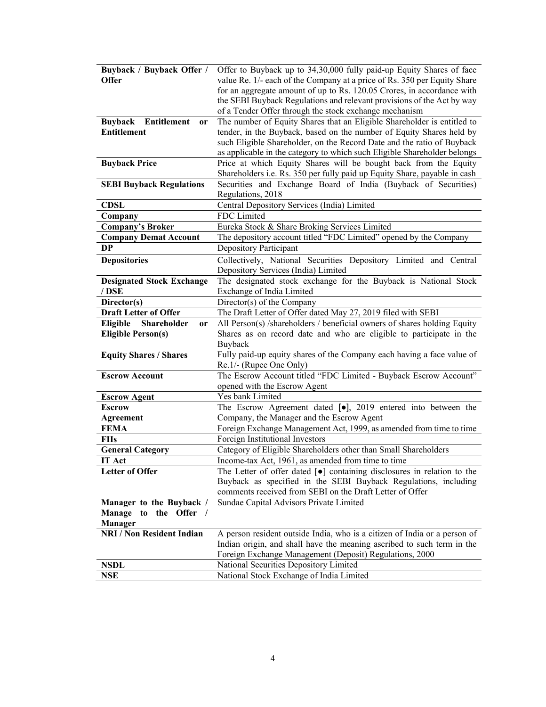| Buyback / Buyback Offer /           | Offer to Buyback up to 34,30,000 fully paid-up Equity Shares of face                        |
|-------------------------------------|---------------------------------------------------------------------------------------------|
| <b>Offer</b>                        | value Re. 1/- each of the Company at a price of Rs. 350 per Equity Share                    |
|                                     | for an aggregate amount of up to Rs. 120.05 Crores, in accordance with                      |
|                                     | the SEBI Buyback Regulations and relevant provisions of the Act by way                      |
|                                     | of a Tender Offer through the stock exchange mechanism                                      |
| Entitlement<br><b>Buyback</b><br>or | The number of Equity Shares that an Eligible Shareholder is entitled to                     |
| <b>Entitlement</b>                  | tender, in the Buyback, based on the number of Equity Shares held by                        |
|                                     | such Eligible Shareholder, on the Record Date and the ratio of Buyback                      |
|                                     | as applicable in the category to which such Eligible Shareholder belongs                    |
| <b>Buyback Price</b>                | Price at which Equity Shares will be bought back from the Equity                            |
|                                     | Shareholders i.e. Rs. 350 per fully paid up Equity Share, payable in cash                   |
| <b>SEBI Buyback Regulations</b>     | Securities and Exchange Board of India (Buyback of Securities)                              |
|                                     | Regulations, 2018                                                                           |
| <b>CDSL</b>                         | Central Depository Services (India) Limited                                                 |
| Company                             | FDC Limited                                                                                 |
| <b>Company's Broker</b>             | Eureka Stock & Share Broking Services Limited                                               |
| <b>Company Demat Account</b>        | The depository account titled "FDC Limited" opened by the Company                           |
| DP                                  | Depository Participant                                                                      |
| <b>Depositories</b>                 | Collectively, National Securities Depository Limited and Central                            |
|                                     | Depository Services (India) Limited                                                         |
| <b>Designated Stock Exchange</b>    | The designated stock exchange for the Buyback is National Stock                             |
| / DSE                               | Exchange of India Limited                                                                   |
| Director(s)                         | Director(s) of the Company                                                                  |
| <b>Draft Letter of Offer</b>        | The Draft Letter of Offer dated May 27, 2019 filed with SEBI                                |
| Shareholder<br>Eligible<br>or       | All Person(s) /shareholders / beneficial owners of shares holding Equity                    |
| <b>Eligible Person(s)</b>           | Shares as on record date and who are eligible to participate in the                         |
|                                     | Buyback                                                                                     |
| <b>Equity Shares / Shares</b>       | Fully paid-up equity shares of the Company each having a face value of                      |
|                                     | Re.1/- (Rupee One Only)                                                                     |
| <b>Escrow Account</b>               | The Escrow Account titled "FDC Limited - Buyback Escrow Account"                            |
|                                     | opened with the Escrow Agent                                                                |
| <b>Escrow Agent</b>                 | Yes bank Limited                                                                            |
| <b>Escrow</b>                       | The Escrow Agreement dated $[\bullet]$ , 2019 entered into between the                      |
| <b>Agreement</b>                    | Company, the Manager and the Escrow Agent                                                   |
| <b>FEMA</b>                         | Foreign Exchange Management Act, 1999, as amended from time to time                         |
| <b>FIIs</b>                         | Foreign Institutional Investors                                                             |
| <b>General Category</b>             | Category of Eligible Shareholders other than Small Shareholders                             |
| <b>IT Act</b>                       | Income-tax Act, 1961, as amended from time to time                                          |
| <b>Letter of Offer</b>              | The Letter of offer dated $\lceil \bullet \rceil$ containing disclosures in relation to the |
|                                     | Buyback as specified in the SEBI Buyback Regulations, including                             |
|                                     | comments received from SEBI on the Draft Letter of Offer                                    |
| Manager to the Buyback /            | Sundae Capital Advisors Private Limited                                                     |
| Manage to the Offer /               |                                                                                             |
| <b>Manager</b>                      |                                                                                             |
| <b>NRI / Non Resident Indian</b>    | A person resident outside India, who is a citizen of India or a person of                   |
|                                     | Indian origin, and shall have the meaning ascribed to such term in the                      |
|                                     | Foreign Exchange Management (Deposit) Regulations, 2000                                     |
| <b>NSDL</b>                         | National Securities Depository Limited                                                      |
| <b>NSE</b>                          | National Stock Exchange of India Limited                                                    |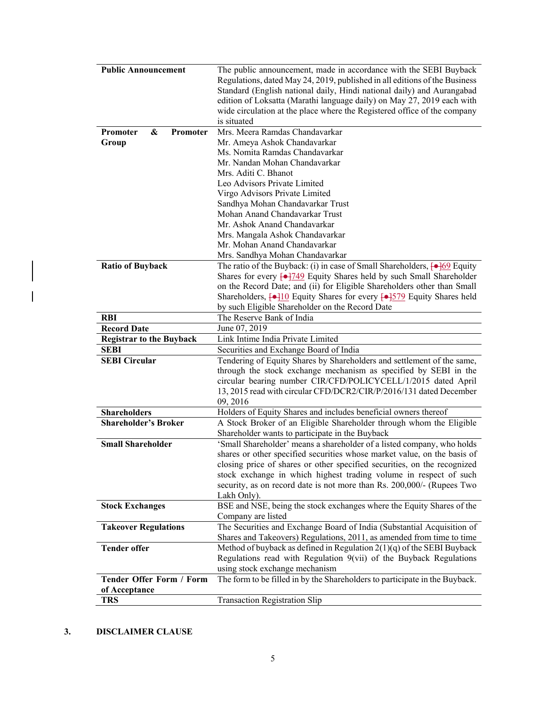| <b>Public Announcement</b>              | The public announcement, made in accordance with the SEBI Buyback                                 |
|-----------------------------------------|---------------------------------------------------------------------------------------------------|
|                                         | Regulations, dated May 24, 2019, published in all editions of the Business                        |
|                                         | Standard (English national daily, Hindi national daily) and Aurangabad                            |
|                                         | edition of Loksatta (Marathi language daily) on May 27, 2019 each with                            |
|                                         | wide circulation at the place where the Registered office of the company                          |
|                                         | is situated                                                                                       |
| &<br><b>Promoter</b><br><b>Promoter</b> | Mrs. Meera Ramdas Chandavarkar                                                                    |
| Group                                   | Mr. Ameya Ashok Chandavarkar                                                                      |
|                                         | Ms. Nomita Ramdas Chandavarkar                                                                    |
|                                         | Mr. Nandan Mohan Chandavarkar                                                                     |
|                                         | Mrs. Aditi C. Bhanot                                                                              |
|                                         | Leo Advisors Private Limited                                                                      |
|                                         | Virgo Advisors Private Limited                                                                    |
|                                         | Sandhya Mohan Chandavarkar Trust                                                                  |
|                                         | Mohan Anand Chandavarkar Trust                                                                    |
|                                         | Mr. Ashok Anand Chandavarkar                                                                      |
|                                         | Mrs. Mangala Ashok Chandavarkar                                                                   |
|                                         | Mr. Mohan Anand Chandavarkar                                                                      |
|                                         | Mrs. Sandhya Mohan Chandavarkar                                                                   |
| <b>Ratio of Buyback</b>                 | The ratio of the Buyback: (i) in case of Small Shareholders, $\leftarrow \frac{169}{9}$ Equity    |
|                                         | Shares for every $\left(-\frac{1}{4}\right)$ Equity Shares held by such Small Shareholder         |
|                                         | on the Record Date; and (ii) for Eligible Shareholders other than Small                           |
|                                         | Shareholders, [ $\rightarrow$ ]10 Equity Shares for every [ $\rightarrow$ ]579 Equity Shares held |
|                                         | by such Eligible Shareholder on the Record Date                                                   |
| <b>RBI</b>                              | The Reserve Bank of India                                                                         |
| <b>Record Date</b>                      | June 07, 2019                                                                                     |
| <b>Registrar to the Buyback</b>         | Link Intime India Private Limited                                                                 |
| <b>SEBI</b>                             | Securities and Exchange Board of India                                                            |
| <b>SEBI Circular</b>                    | Tendering of Equity Shares by Shareholders and settlement of the same,                            |
|                                         | through the stock exchange mechanism as specified by SEBI in the                                  |
|                                         | circular bearing number CIR/CFD/POLICYCELL/1/2015 dated April                                     |
|                                         | 13, 2015 read with circular CFD/DCR2/CIR/P/2016/131 dated December                                |
|                                         | 09, 2016                                                                                          |
| <b>Shareholders</b>                     | Holders of Equity Shares and includes beneficial owners thereof                                   |
| <b>Shareholder's Broker</b>             | A Stock Broker of an Eligible Shareholder through whom the Eligible                               |
|                                         | Shareholder wants to participate in the Buyback                                                   |
| <b>Small Shareholder</b>                | 'Small Shareholder' means a shareholder of a listed company, who holds                            |
|                                         | shares or other specified securities whose market value, on the basis of                          |
|                                         | closing price of shares or other specified securities, on the recognized                          |
|                                         | stock exchange in which highest trading volume in respect of such                                 |
|                                         | security, as on record date is not more than Rs. 200,000/- (Rupees Two                            |
|                                         | Lakh Only).                                                                                       |
| <b>Stock Exchanges</b>                  | BSE and NSE, being the stock exchanges where the Equity Shares of the                             |
|                                         | Company are listed                                                                                |
| <b>Takeover Regulations</b>             | The Securities and Exchange Board of India (Substantial Acquisition of                            |
|                                         | Shares and Takeovers) Regulations, 2011, as amended from time to time                             |
| <b>Tender offer</b>                     | Method of buyback as defined in Regulation $2(1)(q)$ of the SEBI Buyback                          |
|                                         | Regulations read with Regulation $9(vii)$ of the Buyback Regulations                              |
|                                         | using stock exchange mechanism                                                                    |
| <b>Tender Offer Form / Form</b>         | The form to be filled in by the Shareholders to participate in the Buyback.                       |
| of Acceptance                           | <b>Transaction Registration Slip</b>                                                              |
| <b>TRS</b>                              |                                                                                                   |

# **3. DISCLAIMER CLAUSE**

 $\overline{\phantom{a}}$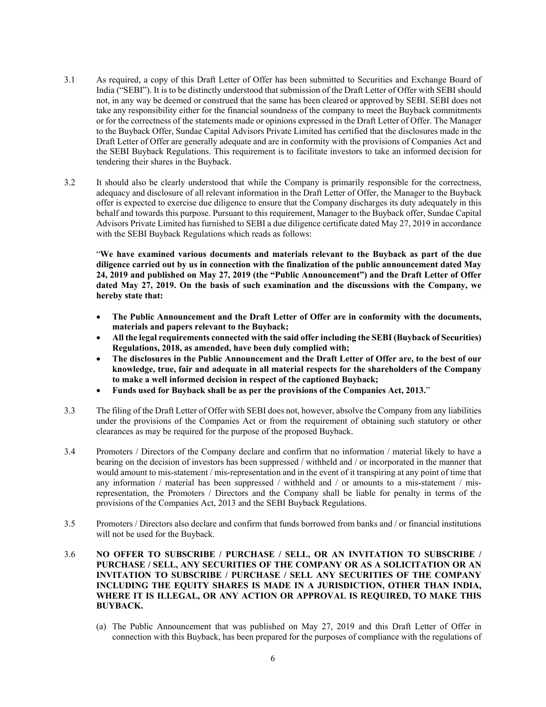- 3.1 As required, a copy of this Draft Letter of Offer has been submitted to Securities and Exchange Board of India ("SEBI"). It is to be distinctly understood that submission of the Draft Letter of Offer with SEBI should not, in any way be deemed or construed that the same has been cleared or approved by SEBI. SEBI does not take any responsibility either for the financial soundness of the company to meet the Buyback commitments or for the correctness of the statements made or opinions expressed in the Draft Letter of Offer. The Manager to the Buyback Offer, Sundae Capital Advisors Private Limited has certified that the disclosures made in the Draft Letter of Offer are generally adequate and are in conformity with the provisions of Companies Act and the SEBI Buyback Regulations. This requirement is to facilitate investors to take an informed decision for tendering their shares in the Buyback.
- 3.2 It should also be clearly understood that while the Company is primarily responsible for the correctness, adequacy and disclosure of all relevant information in the Draft Letter of Offer, the Manager to the Buyback offer is expected to exercise due diligence to ensure that the Company discharges its duty adequately in this behalf and towards this purpose. Pursuant to this requirement, Manager to the Buyback offer, Sundae Capital Advisors Private Limited has furnished to SEBI a due diligence certificate dated May 27, 2019 in accordance with the SEBI Buyback Regulations which reads as follows:

"**We have examined various documents and materials relevant to the Buyback as part of the due diligence carried out by us in connection with the finalization of the public announcement dated May 24, 2019 and published on May 27, 2019 (the "Public Announcement") and the Draft Letter of Offer dated May 27, 2019. On the basis of such examination and the discussions with the Company, we hereby state that:** 

- **The Public Announcement and the Draft Letter of Offer are in conformity with the documents, materials and papers relevant to the Buyback;**
- **All the legal requirements connected with the said offer including the SEBI (Buyback of Securities) Regulations, 2018, as amended, have been duly complied with;**
- **The disclosures in the Public Announcement and the Draft Letter of Offer are, to the best of our knowledge, true, fair and adequate in all material respects for the shareholders of the Company to make a well informed decision in respect of the captioned Buyback;**
- **Funds used for Buyback shall be as per the provisions of the Companies Act, 2013.**"
- 3.3 The filing of the Draft Letter of Offer with SEBI does not, however, absolve the Company from any liabilities under the provisions of the Companies Act or from the requirement of obtaining such statutory or other clearances as may be required for the purpose of the proposed Buyback.
- 3.4 Promoters / Directors of the Company declare and confirm that no information / material likely to have a bearing on the decision of investors has been suppressed / withheld and / or incorporated in the manner that would amount to mis-statement / mis-representation and in the event of it transpiring at any point of time that any information / material has been suppressed / withheld and / or amounts to a mis-statement / misrepresentation, the Promoters / Directors and the Company shall be liable for penalty in terms of the provisions of the Companies Act, 2013 and the SEBI Buyback Regulations.
- 3.5 Promoters / Directors also declare and confirm that funds borrowed from banks and / or financial institutions will not be used for the Buyback.
- 3.6 **NO OFFER TO SUBSCRIBE / PURCHASE / SELL, OR AN INVITATION TO SUBSCRIBE / PURCHASE / SELL, ANY SECURITIES OF THE COMPANY OR AS A SOLICITATION OR AN INVITATION TO SUBSCRIBE / PURCHASE / SELL ANY SECURITIES OF THE COMPANY INCLUDING THE EQUITY SHARES IS MADE IN A JURISDICTION, OTHER THAN INDIA, WHERE IT IS ILLEGAL, OR ANY ACTION OR APPROVAL IS REQUIRED, TO MAKE THIS BUYBACK.**
	- (a) The Public Announcement that was published on May 27, 2019 and this Draft Letter of Offer in connection with this Buyback, has been prepared for the purposes of compliance with the regulations of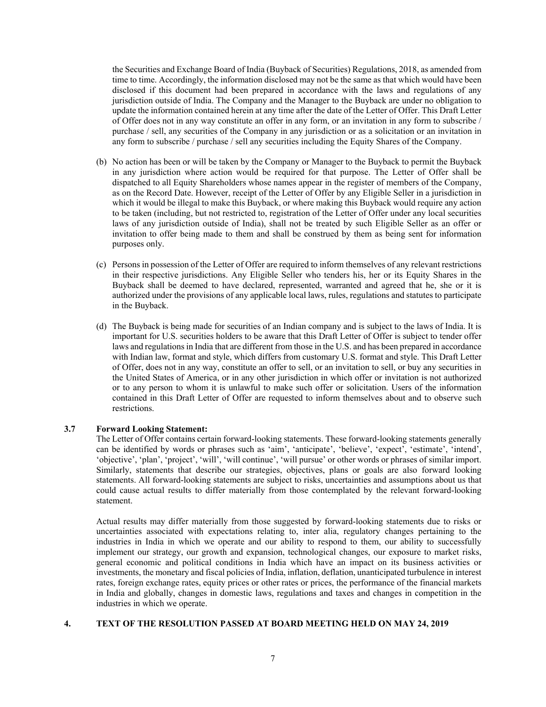the Securities and Exchange Board of India (Buyback of Securities) Regulations, 2018, as amended from time to time. Accordingly, the information disclosed may not be the same as that which would have been disclosed if this document had been prepared in accordance with the laws and regulations of any jurisdiction outside of India. The Company and the Manager to the Buyback are under no obligation to update the information contained herein at any time after the date of the Letter of Offer. This Draft Letter of Offer does not in any way constitute an offer in any form, or an invitation in any form to subscribe / purchase / sell, any securities of the Company in any jurisdiction or as a solicitation or an invitation in any form to subscribe / purchase / sell any securities including the Equity Shares of the Company.

- (b) No action has been or will be taken by the Company or Manager to the Buyback to permit the Buyback in any jurisdiction where action would be required for that purpose. The Letter of Offer shall be dispatched to all Equity Shareholders whose names appear in the register of members of the Company, as on the Record Date. However, receipt of the Letter of Offer by any Eligible Seller in a jurisdiction in which it would be illegal to make this Buyback, or where making this Buyback would require any action to be taken (including, but not restricted to, registration of the Letter of Offer under any local securities laws of any jurisdiction outside of India), shall not be treated by such Eligible Seller as an offer or invitation to offer being made to them and shall be construed by them as being sent for information purposes only.
- (c) Persons in possession of the Letter of Offer are required to inform themselves of any relevant restrictions in their respective jurisdictions. Any Eligible Seller who tenders his, her or its Equity Shares in the Buyback shall be deemed to have declared, represented, warranted and agreed that he, she or it is authorized under the provisions of any applicable local laws, rules, regulations and statutes to participate in the Buyback.
- (d) The Buyback is being made for securities of an Indian company and is subject to the laws of India. It is important for U.S. securities holders to be aware that this Draft Letter of Offer is subject to tender offer laws and regulations in India that are different from those in the U.S. and has been prepared in accordance with Indian law, format and style, which differs from customary U.S. format and style. This Draft Letter of Offer, does not in any way, constitute an offer to sell, or an invitation to sell, or buy any securities in the United States of America, or in any other jurisdiction in which offer or invitation is not authorized or to any person to whom it is unlawful to make such offer or solicitation. Users of the information contained in this Draft Letter of Offer are requested to inform themselves about and to observe such restrictions.

#### **3.7 Forward Looking Statement:**

The Letter of Offer contains certain forward-looking statements. These forward-looking statements generally can be identified by words or phrases such as 'aim', 'anticipate', 'believe', 'expect', 'estimate', 'intend', 'objective', 'plan', 'project', 'will', 'will continue', 'will pursue' or other words or phrases of similar import. Similarly, statements that describe our strategies, objectives, plans or goals are also forward looking statements. All forward-looking statements are subject to risks, uncertainties and assumptions about us that could cause actual results to differ materially from those contemplated by the relevant forward-looking statement.

Actual results may differ materially from those suggested by forward-looking statements due to risks or uncertainties associated with expectations relating to, inter alia, regulatory changes pertaining to the industries in India in which we operate and our ability to respond to them, our ability to successfully implement our strategy, our growth and expansion, technological changes, our exposure to market risks, general economic and political conditions in India which have an impact on its business activities or investments, the monetary and fiscal policies of India, inflation, deflation, unanticipated turbulence in interest rates, foreign exchange rates, equity prices or other rates or prices, the performance of the financial markets in India and globally, changes in domestic laws, regulations and taxes and changes in competition in the industries in which we operate.

### **4. TEXT OF THE RESOLUTION PASSED AT BOARD MEETING HELD ON MAY 24, 2019**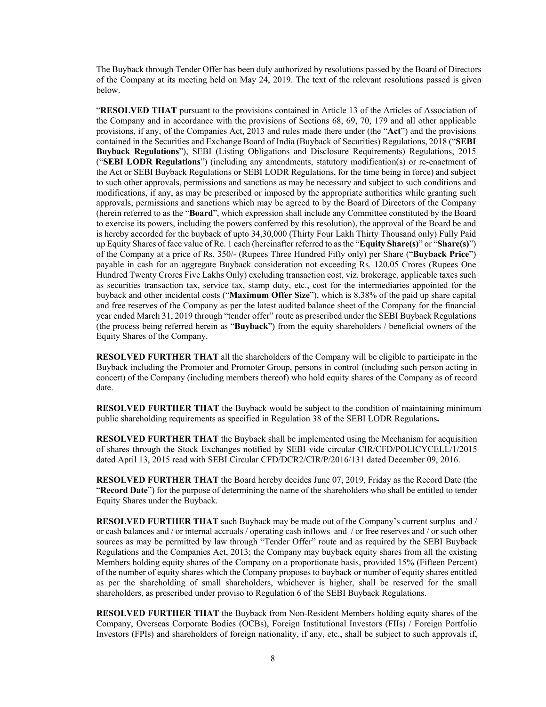The Buyback through Tender Offer has been duly authorized by resolutions passed by the Board of Directors of the Company at its meeting held on May 24, 2019. The text of the relevant resolutions passed is given below.

"**RESOLVED THAT** pursuant to the provisions contained in Article 13 of the Articles of Association of the Company and in accordance with the provisions of Sections 68, 69, 70, 179 and all other applicable provisions, if any, of the Companies Act, 2013 and rules made there under (the "**Act**") and the provisions contained in the Securities and Exchange Board of India (Buyback of Securities) Regulations, 2018 ("**SEBI Buyback Regulations**"), SEBI (Listing Obligations and Disclosure Requirements) Regulations, 2015 ("**SEBI LODR Regulations**") (including any amendments, statutory modification(s) or re-enactment of the Act or SEBI Buyback Regulations or SEBI LODR Regulations, for the time being in force) and subject to such other approvals, permissions and sanctions as may be necessary and subject to such conditions and modifications, if any, as may be prescribed or imposed by the appropriate authorities while granting such approvals, permissions and sanctions which may be agreed to by the Board of Directors of the Company (herein referred to as the "**Board**", which expression shall include any Committee constituted by the Board to exercise its powers, including the powers conferred by this resolution), the approval of the Board be and is hereby accorded for the buyback of upto 34,30,000 (Thirty Four Lakh Thirty Thousand only) Fully Paid up Equity Shares of face value of Re. 1 each (hereinafter referred to as the "**Equity Share(s)**" or "**Share(s)**") of the Company at a price of Rs. 350/- (Rupees Three Hundred Fifty only) per Share ("**Buyback Price**") payable in cash for an aggregate Buyback consideration not exceeding Rs. 120.05 Crores (Rupees One Hundred Twenty Crores Five Lakhs Only) excluding transaction cost, viz. brokerage, applicable taxes such as securities transaction tax, service tax, stamp duty, etc., cost for the intermediaries appointed for the buyback and other incidental costs ("**Maximum Offer Size**"), which is 8.38% of the paid up share capital and free reserves of the Company as per the latest audited balance sheet of the Company for the financial year ended March 31, 2019 through "tender offer" route as prescribed under the SEBI Buyback Regulations (the process being referred herein as "**Buyback**") from the equity shareholders / beneficial owners of the Equity Shares of the Company.

**RESOLVED FURTHER THAT** all the shareholders of the Company will be eligible to participate in the Buyback including the Promoter and Promoter Group, persons in control (including such person acting in concert) of the Company (including members thereof) who hold equity shares of the Company as of record date.

**RESOLVED FURTHER THAT** the Buyback would be subject to the condition of maintaining minimum public shareholding requirements as specified in Regulation 38 of the SEBI LODR Regulations**.**

**RESOLVED FURTHER THAT** the Buyback shall be implemented using the Mechanism for acquisition of shares through the Stock Exchanges notified by SEBI vide circular CIR/CFD/POLICYCELL/1/2015 dated April 13, 2015 read with SEBI Circular CFD/DCR2/CIR/P/2016/131 dated December 09, 2016.

**RESOLVED FURTHER THAT** the Board hereby decides June 07, 2019, Friday as the Record Date (the "**Record Date**") for the purpose of determining the name of the shareholders who shall be entitled to tender Equity Shares under the Buyback.

**RESOLVED FURTHER THAT** such Buyback may be made out of the Company's current surplus and / or cash balances and / or internal accruals / operating cash inflows and / or free reserves and / or such other sources as may be permitted by law through "Tender Offer" route and as required by the SEBI Buyback Regulations and the Companies Act, 2013; the Company may buyback equity shares from all the existing Members holding equity shares of the Company on a proportionate basis, provided 15% (Fifteen Percent) of the number of equity shares which the Company proposes to buyback or number of equity shares entitled as per the shareholding of small shareholders, whichever is higher, shall be reserved for the small shareholders, as prescribed under proviso to Regulation 6 of the SEBI Buyback Regulations.

**RESOLVED FURTHER THAT** the Buyback from Non-Resident Members holding equity shares of the Company, Overseas Corporate Bodies (OCBs), Foreign Institutional Investors (FIIs) / Foreign Portfolio Investors (FPIs) and shareholders of foreign nationality, if any, etc., shall be subject to such approvals if,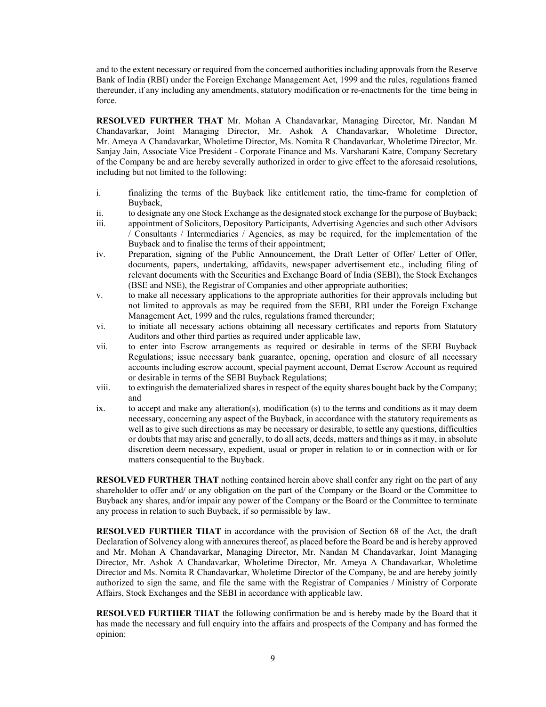and to the extent necessary or required from the concerned authorities including approvals from the Reserve Bank of India (RBI) under the Foreign Exchange Management Act, 1999 and the rules, regulations framed thereunder, if any including any amendments, statutory modification or re-enactments for the time being in force.

**RESOLVED FURTHER THAT** Mr. Mohan A Chandavarkar, Managing Director, Mr. Nandan M Chandavarkar, Joint Managing Director, Mr. Ashok A Chandavarkar, Wholetime Director, Mr. Ameya A Chandavarkar, Wholetime Director, Ms. Nomita R Chandavarkar, Wholetime Director, Mr. Sanjay Jain, Associate Vice President - Corporate Finance and Ms. Varsharani Katre, Company Secretary of the Company be and are hereby severally authorized in order to give effect to the aforesaid resolutions, including but not limited to the following:

- i. finalizing the terms of the Buyback like entitlement ratio, the time-frame for completion of Buyback,
- ii. to designate any one Stock Exchange as the designated stock exchange for the purpose of Buyback;
- iii. appointment of Solicitors, Depository Participants, Advertising Agencies and such other Advisors / Consultants / Intermediaries / Agencies, as may be required, for the implementation of the Buyback and to finalise the terms of their appointment;
- iv. Preparation, signing of the Public Announcement, the Draft Letter of Offer/ Letter of Offer, documents, papers, undertaking, affidavits, newspaper advertisement etc., including filing of relevant documents with the Securities and Exchange Board of India (SEBI), the Stock Exchanges (BSE and NSE), the Registrar of Companies and other appropriate authorities;
- v. to make all necessary applications to the appropriate authorities for their approvals including but not limited to approvals as may be required from the SEBI, RBI under the Foreign Exchange Management Act, 1999 and the rules, regulations framed thereunder;
- vi. to initiate all necessary actions obtaining all necessary certificates and reports from Statutory Auditors and other third parties as required under applicable law,
- vii. to enter into Escrow arrangements as required or desirable in terms of the SEBI Buyback Regulations; issue necessary bank guarantee, opening, operation and closure of all necessary accounts including escrow account, special payment account, Demat Escrow Account as required or desirable in terms of the SEBI Buyback Regulations;
- viii. to extinguish the dematerialized shares in respect of the equity shares bought back by the Company; and
- ix. to accept and make any alteration(s), modification (s) to the terms and conditions as it may deem necessary, concerning any aspect of the Buyback, in accordance with the statutory requirements as well as to give such directions as may be necessary or desirable, to settle any questions, difficulties or doubts that may arise and generally, to do all acts, deeds, matters and things as it may, in absolute discretion deem necessary, expedient, usual or proper in relation to or in connection with or for matters consequential to the Buyback.

**RESOLVED FURTHER THAT** nothing contained herein above shall confer any right on the part of any shareholder to offer and/ or any obligation on the part of the Company or the Board or the Committee to Buyback any shares, and/or impair any power of the Company or the Board or the Committee to terminate any process in relation to such Buyback, if so permissible by law.

**RESOLVED FURTHER THAT** in accordance with the provision of Section 68 of the Act, the draft Declaration of Solvency along with annexures thereof, as placed before the Board be and is hereby approved and Mr. Mohan A Chandavarkar, Managing Director, Mr. Nandan M Chandavarkar, Joint Managing Director, Mr. Ashok A Chandavarkar, Wholetime Director, Mr. Ameya A Chandavarkar, Wholetime Director and Ms. Nomita R Chandavarkar, Wholetime Director of the Company, be and are hereby jointly authorized to sign the same, and file the same with the Registrar of Companies / Ministry of Corporate Affairs, Stock Exchanges and the SEBI in accordance with applicable law.

**RESOLVED FURTHER THAT** the following confirmation be and is hereby made by the Board that it has made the necessary and full enquiry into the affairs and prospects of the Company and has formed the opinion: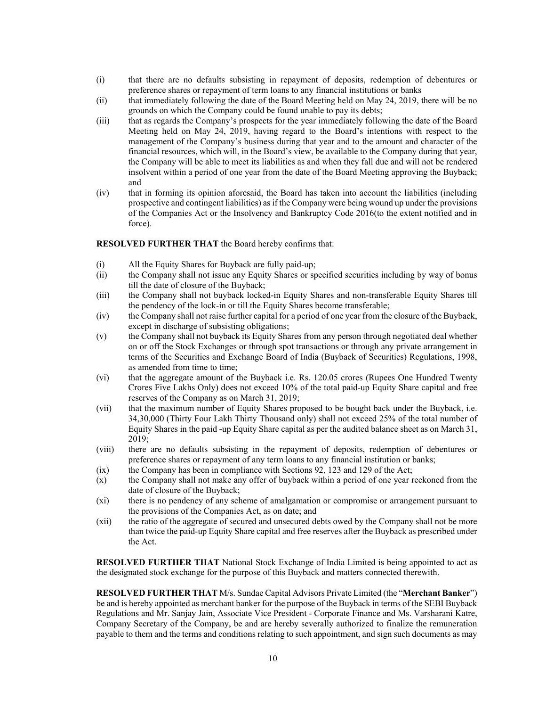- (i) that there are no defaults subsisting in repayment of deposits, redemption of debentures or preference shares or repayment of term loans to any financial institutions or banks
- (ii) that immediately following the date of the Board Meeting held on May 24, 2019, there will be no grounds on which the Company could be found unable to pay its debts;
- (iii) that as regards the Company's prospects for the year immediately following the date of the Board Meeting held on May 24, 2019, having regard to the Board's intentions with respect to the management of the Company's business during that year and to the amount and character of the financial resources, which will, in the Board's view, be available to the Company during that year, the Company will be able to meet its liabilities as and when they fall due and will not be rendered insolvent within a period of one year from the date of the Board Meeting approving the Buyback; and
- (iv) that in forming its opinion aforesaid, the Board has taken into account the liabilities (including prospective and contingent liabilities) as if the Company were being wound up under the provisions of the Companies Act or the Insolvency and Bankruptcy Code 2016(to the extent notified and in force).

#### **RESOLVED FURTHER THAT** the Board hereby confirms that:

- (i) All the Equity Shares for Buyback are fully paid-up;
- (ii) the Company shall not issue any Equity Shares or specified securities including by way of bonus till the date of closure of the Buyback;
- (iii) the Company shall not buyback locked-in Equity Shares and non-transferable Equity Shares till the pendency of the lock-in or till the Equity Shares become transferable;
- (iv) the Company shall not raise further capital for a period of one year from the closure of the Buyback, except in discharge of subsisting obligations;
- (v) the Company shall not buyback its Equity Shares from any person through negotiated deal whether on or off the Stock Exchanges or through spot transactions or through any private arrangement in terms of the Securities and Exchange Board of India (Buyback of Securities) Regulations, 1998, as amended from time to time;
- (vi) that the aggregate amount of the Buyback i.e. Rs. 120.05 crores (Rupees One Hundred Twenty Crores Five Lakhs Only) does not exceed 10% of the total paid-up Equity Share capital and free reserves of the Company as on March 31, 2019;
- (vii) that the maximum number of Equity Shares proposed to be bought back under the Buyback, i.e. 34,30,000 (Thirty Four Lakh Thirty Thousand only) shall not exceed 25% of the total number of Equity Shares in the paid -up Equity Share capital as per the audited balance sheet as on March 31, 2019;
- (viii) there are no defaults subsisting in the repayment of deposits, redemption of debentures or preference shares or repayment of any term loans to any financial institution or banks;
- (ix) the Company has been in compliance with Sections 92, 123 and 129 of the Act;
- (x) the Company shall not make any offer of buyback within a period of one year reckoned from the date of closure of the Buyback;
- (xi) there is no pendency of any scheme of amalgamation or compromise or arrangement pursuant to the provisions of the Companies Act, as on date; and
- (xii) the ratio of the aggregate of secured and unsecured debts owed by the Company shall not be more than twice the paid-up Equity Share capital and free reserves after the Buyback as prescribed under the Act.

**RESOLVED FURTHER THAT** National Stock Exchange of India Limited is being appointed to act as the designated stock exchange for the purpose of this Buyback and matters connected therewith.

**RESOLVED FURTHER THAT** M/s. Sundae Capital Advisors Private Limited (the "**Merchant Banker**") be and is hereby appointed as merchant banker for the purpose of the Buyback in terms of the SEBI Buyback Regulations and Mr. Sanjay Jain, Associate Vice President - Corporate Finance and Ms. Varsharani Katre, Company Secretary of the Company, be and are hereby severally authorized to finalize the remuneration payable to them and the terms and conditions relating to such appointment, and sign such documents as may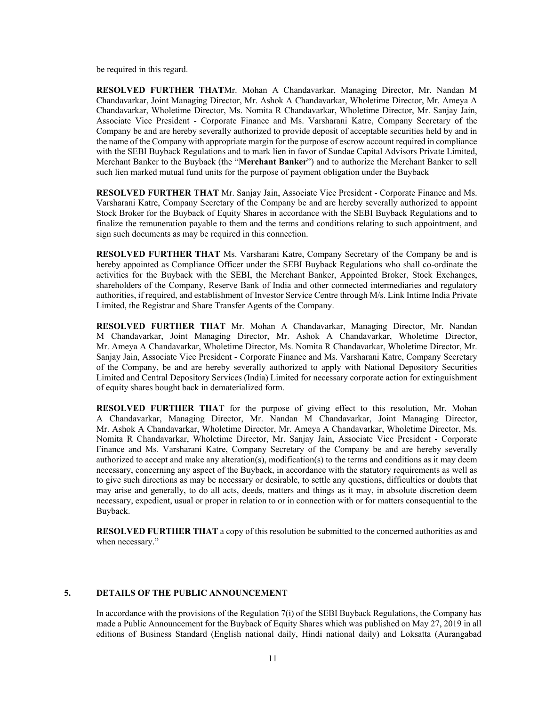be required in this regard.

**RESOLVED FURTHER THAT**Mr. Mohan A Chandavarkar, Managing Director, Mr. Nandan M Chandavarkar, Joint Managing Director, Mr. Ashok A Chandavarkar, Wholetime Director, Mr. Ameya A Chandavarkar, Wholetime Director, Ms. Nomita R Chandavarkar, Wholetime Director, Mr. Sanjay Jain, Associate Vice President - Corporate Finance and Ms. Varsharani Katre, Company Secretary of the Company be and are hereby severally authorized to provide deposit of acceptable securities held by and in the name of the Company with appropriate margin for the purpose of escrow account required in compliance with the SEBI Buyback Regulations and to mark lien in favor of Sundae Capital Advisors Private Limited, Merchant Banker to the Buyback (the "**Merchant Banker**") and to authorize the Merchant Banker to sell such lien marked mutual fund units for the purpose of payment obligation under the Buyback

**RESOLVED FURTHER THAT** Mr. Sanjay Jain, Associate Vice President - Corporate Finance and Ms. Varsharani Katre, Company Secretary of the Company be and are hereby severally authorized to appoint Stock Broker for the Buyback of Equity Shares in accordance with the SEBI Buyback Regulations and to finalize the remuneration payable to them and the terms and conditions relating to such appointment, and sign such documents as may be required in this connection.

**RESOLVED FURTHER THAT** Ms. Varsharani Katre, Company Secretary of the Company be and is hereby appointed as Compliance Officer under the SEBI Buyback Regulations who shall co-ordinate the activities for the Buyback with the SEBI, the Merchant Banker, Appointed Broker, Stock Exchanges, shareholders of the Company, Reserve Bank of India and other connected intermediaries and regulatory authorities, if required, and establishment of Investor Service Centre through M/s. Link Intime India Private Limited, the Registrar and Share Transfer Agents of the Company.

**RESOLVED FURTHER THAT** Mr. Mohan A Chandavarkar, Managing Director, Mr. Nandan M Chandavarkar, Joint Managing Director, Mr. Ashok A Chandavarkar, Wholetime Director, Mr. Ameya A Chandavarkar, Wholetime Director, Ms. Nomita R Chandavarkar, Wholetime Director, Mr. Sanjay Jain, Associate Vice President - Corporate Finance and Ms. Varsharani Katre, Company Secretary of the Company, be and are hereby severally authorized to apply with National Depository Securities Limited and Central Depository Services (India) Limited for necessary corporate action for extinguishment of equity shares bought back in dematerialized form.

**RESOLVED FURTHER THAT** for the purpose of giving effect to this resolution, Mr. Mohan A Chandavarkar, Managing Director, Mr. Nandan M Chandavarkar, Joint Managing Director, Mr. Ashok A Chandavarkar, Wholetime Director, Mr. Ameya A Chandavarkar, Wholetime Director, Ms. Nomita R Chandavarkar, Wholetime Director, Mr. Sanjay Jain, Associate Vice President - Corporate Finance and Ms. Varsharani Katre, Company Secretary of the Company be and are hereby severally authorized to accept and make any alteration(s), modification(s) to the terms and conditions as it may deem necessary, concerning any aspect of the Buyback, in accordance with the statutory requirements as well as to give such directions as may be necessary or desirable, to settle any questions, difficulties or doubts that may arise and generally, to do all acts, deeds, matters and things as it may, in absolute discretion deem necessary, expedient, usual or proper in relation to or in connection with or for matters consequential to the Buyback.

**RESOLVED FURTHER THAT** a copy of this resolution be submitted to the concerned authorities as and when necessary."

#### **5. DETAILS OF THE PUBLIC ANNOUNCEMENT**

In accordance with the provisions of the Regulation 7(i) of the SEBI Buyback Regulations, the Company has made a Public Announcement for the Buyback of Equity Shares which was published on May 27, 2019 in all editions of Business Standard (English national daily, Hindi national daily) and Loksatta (Aurangabad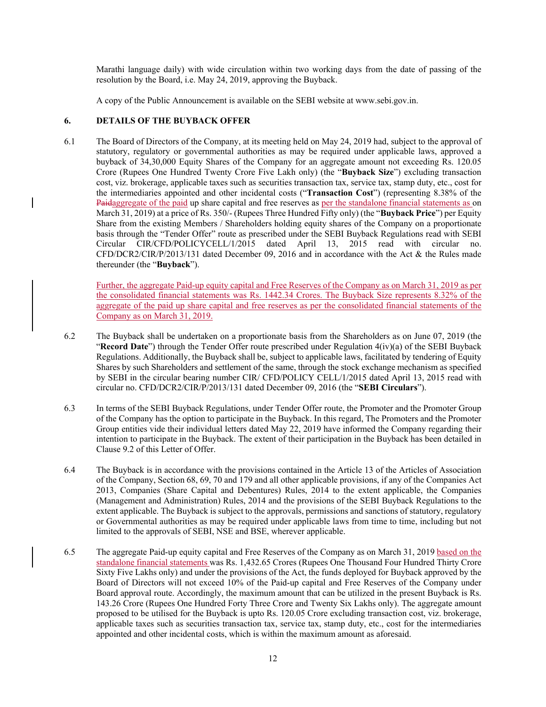Marathi language daily) with wide circulation within two working days from the date of passing of the resolution by the Board, i.e. May 24, 2019, approving the Buyback.

A copy of the Public Announcement is available on the SEBI website at www.sebi.gov.in.

### **6. DETAILS OF THE BUYBACK OFFER**

6.1 The Board of Directors of the Company, at its meeting held on May 24, 2019 had, subject to the approval of statutory, regulatory or governmental authorities as may be required under applicable laws, approved a buyback of 34,30,000 Equity Shares of the Company for an aggregate amount not exceeding Rs. 120.05 Crore (Rupees One Hundred Twenty Crore Five Lakh only) (the "**Buyback Size**") excluding transaction cost, viz. brokerage, applicable taxes such as securities transaction tax, service tax, stamp duty, etc., cost for the intermediaries appointed and other incidental costs ("**Transaction Cost**") (representing 8.38% of the Paidaggregate of the paid up share capital and free reserves as per the standalone financial statements as on March 31, 2019) at a price of Rs. 350/- (Rupees Three Hundred Fifty only) (the "**Buyback Price**") per Equity Share from the existing Members / Shareholders holding equity shares of the Company on a proportionate basis through the "Tender Offer" route as prescribed under the SEBI Buyback Regulations read with SEBI Circular CIR/CFD/POLICYCELL/1/2015 dated April 13, 2015 read with circular no. CFD/DCR2/CIR/P/2013/131 dated December 09, 2016 and in accordance with the Act & the Rules made thereunder (the "**Buyback**").

Further, the aggregate Paid-up equity capital and Free Reserves of the Company as on March 31, 2019 as per the consolidated financial statements was Rs. 1442.34 Crores. The Buyback Size represents 8.32% of the aggregate of the paid up share capital and free reserves as per the consolidated financial statements of the Company as on March 31, 2019.

- 6.2 The Buyback shall be undertaken on a proportionate basis from the Shareholders as on June 07, 2019 (the "**Record Date**") through the Tender Offer route prescribed under Regulation 4(iv)(a) of the SEBI Buyback Regulations. Additionally, the Buyback shall be, subject to applicable laws, facilitated by tendering of Equity Shares by such Shareholders and settlement of the same, through the stock exchange mechanism as specified by SEBI in the circular bearing number CIR/ CFD/POLICY CELL/1/2015 dated April 13, 2015 read with circular no. CFD/DCR2/CIR/P/2013/131 dated December 09, 2016 (the "**SEBI Circulars**").
- 6.3 In terms of the SEBI Buyback Regulations, under Tender Offer route, the Promoter and the Promoter Group of the Company has the option to participate in the Buyback. In this regard, The Promoters and the Promoter Group entities vide their individual letters dated May 22, 2019 have informed the Company regarding their intention to participate in the Buyback. The extent of their participation in the Buyback has been detailed in Clause 9.2 of this Letter of Offer.
- 6.4 The Buyback is in accordance with the provisions contained in the Article 13 of the Articles of Association of the Company, Section 68, 69, 70 and 179 and all other applicable provisions, if any of the Companies Act 2013, Companies (Share Capital and Debentures) Rules, 2014 to the extent applicable, the Companies (Management and Administration) Rules, 2014 and the provisions of the SEBI Buyback Regulations to the extent applicable. The Buyback is subject to the approvals, permissions and sanctions of statutory, regulatory or Governmental authorities as may be required under applicable laws from time to time, including but not limited to the approvals of SEBI, NSE and BSE, wherever applicable.
- 6.5 The aggregate Paid-up equity capital and Free Reserves of the Company as on March 31, 2019 based on the standalone financial statements was Rs. 1,432.65 Crores (Rupees One Thousand Four Hundred Thirty Crore Sixty Five Lakhs only) and under the provisions of the Act, the funds deployed for Buyback approved by the Board of Directors will not exceed 10% of the Paid-up capital and Free Reserves of the Company under Board approval route. Accordingly, the maximum amount that can be utilized in the present Buyback is Rs. 143.26 Crore (Rupees One Hundred Forty Three Crore and Twenty Six Lakhs only). The aggregate amount proposed to be utilised for the Buyback is upto Rs. 120.05 Crore excluding transaction cost, viz. brokerage, applicable taxes such as securities transaction tax, service tax, stamp duty, etc., cost for the intermediaries appointed and other incidental costs, which is within the maximum amount as aforesaid.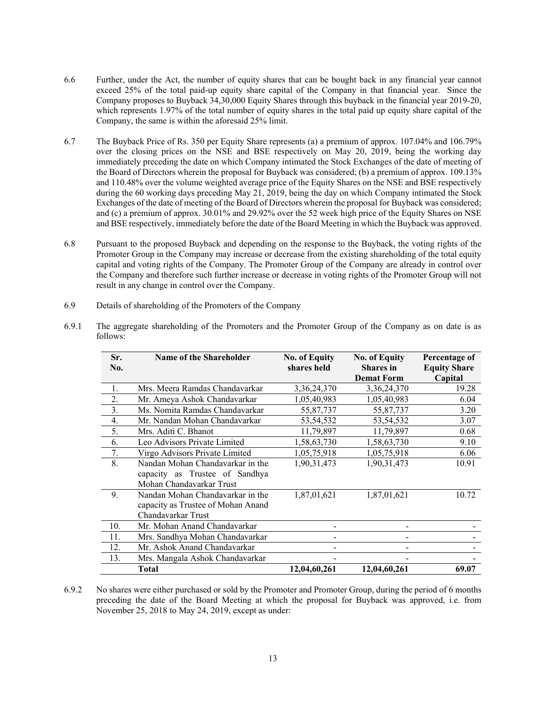- 6.6 Further, under the Act, the number of equity shares that can be bought back in any financial year cannot exceed 25% of the total paid-up equity share capital of the Company in that financial year. Since the Company proposes to Buyback 34,30,000 Equity Shares through this buyback in the financial year 2019-20, which represents 1.97% of the total number of equity shares in the total paid up equity share capital of the Company, the same is within the aforesaid 25% limit.
- 6.7 The Buyback Price of Rs. 350 per Equity Share represents (a) a premium of approx. 107.04% and 106.79% over the closing prices on the NSE and BSE respectively on May 20, 2019, being the working day immediately preceding the date on which Company intimated the Stock Exchanges of the date of meeting of the Board of Directors wherein the proposal for Buyback was considered; (b) a premium of approx. 109.13% and 110.48% over the volume weighted average price of the Equity Shares on the NSE and BSE respectively during the 60 working days preceding May 21, 2019, being the day on which Company intimated the Stock Exchanges of the date of meeting of the Board of Directors wherein the proposal for Buyback was considered; and (c) a premium of approx. 30.01% and 29.92% over the 52 week high price of the Equity Shares on NSE and BSE respectively, immediately before the date of the Board Meeting in which the Buyback was approved.
- 6.8 Pursuant to the proposed Buyback and depending on the response to the Buyback, the voting rights of the Promoter Group in the Company may increase or decrease from the existing shareholding of the total equity capital and voting rights of the Company. The Promoter Group of the Company are already in control over the Company and therefore such further increase or decrease in voting rights of the Promoter Group will not result in any change in control over the Company.
- 6.9 Details of shareholding of the Promoters of the Company

| Sr.<br>No.       | <b>Name of the Shareholder</b>                                                                 | <b>No. of Equity</b><br>shares held | <b>No. of Equity</b><br><b>Shares</b> in<br><b>Demat Form</b> | Percentage of<br><b>Equity Share</b><br>Capital |
|------------------|------------------------------------------------------------------------------------------------|-------------------------------------|---------------------------------------------------------------|-------------------------------------------------|
|                  | Mrs. Meera Ramdas Chandavarkar                                                                 | 3, 36, 24, 370                      | 3, 36, 24, 370                                                | 19.28                                           |
| $\overline{2}$ . | Mr. Ameya Ashok Chandavarkar                                                                   | 1,05,40,983                         | 1,05,40,983                                                   | 6.04                                            |
| 3.               | Ms. Nomita Ramdas Chandavarkar                                                                 | 55,87,737                           | 55,87,737                                                     | 3.20                                            |
| 4.               | Mr. Nandan Mohan Chandavarkar                                                                  | 53, 54, 532                         | 53, 54, 532                                                   | 3.07                                            |
| 5.               | Mrs. Aditi C. Bhanot                                                                           | 11,79,897                           | 11,79,897                                                     | 0.68                                            |
| 6.               | Leo Advisors Private Limited                                                                   | 1,58,63,730                         | 1,58,63,730                                                   | 9.10                                            |
| 7.               | Virgo Advisors Private Limited                                                                 | 1,05,75,918                         | 1,05,75,918                                                   | 6.06                                            |
| 8.               | Nandan Mohan Chandavarkar in the<br>capacity as Trustee of Sandhya<br>Mohan Chandavarkar Trust | 1,90,31,473                         | 1,90,31,473                                                   | 10.91                                           |
| 9.               | Nandan Mohan Chandavarkar in the<br>capacity as Trustee of Mohan Anand<br>Chandavarkar Trust   | 1,87,01,621                         | 1,87,01,621                                                   | 10.72                                           |
| 10.              | Mr. Mohan Anand Chandavarkar                                                                   |                                     |                                                               |                                                 |
| 11.              | Mrs. Sandhya Mohan Chandavarkar                                                                |                                     |                                                               |                                                 |
| 12.              | Mr. Ashok Anand Chandavarkar                                                                   |                                     |                                                               |                                                 |
| 13.              | Mrs. Mangala Ashok Chandavarkar                                                                |                                     |                                                               |                                                 |
|                  | <b>Total</b>                                                                                   | 12,04,60,261                        | 12,04,60,261                                                  | 69.07                                           |

6.9.1 The aggregate shareholding of the Promoters and the Promoter Group of the Company as on date is as follows:

6.9.2 No shares were either purchased or sold by the Promoter and Promoter Group, during the period of 6 months preceding the date of the Board Meeting at which the proposal for Buyback was approved, i.e. from November 25, 2018 to May 24, 2019, except as under: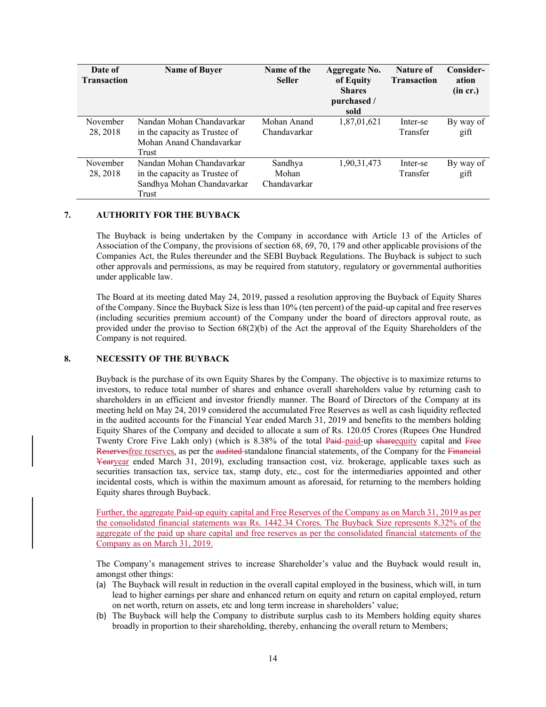| Date of<br><b>Transaction</b> | <b>Name of Buyer</b>                                                                              | Name of the<br><b>Seller</b>     | <b>Aggregate No.</b><br>of Equity<br><b>Shares</b><br>purchased /<br>sold | Nature of<br><b>Transaction</b> | Consider-<br>ation<br>(in cr.) |
|-------------------------------|---------------------------------------------------------------------------------------------------|----------------------------------|---------------------------------------------------------------------------|---------------------------------|--------------------------------|
| November<br>28, 2018          | Nandan Mohan Chandavarkar<br>in the capacity as Trustee of<br>Mohan Anand Chandavarkar<br>Trust   | Mohan Anand<br>Chandavarkar      | 1,87,01,621                                                               | Inter-se<br>Transfer            | By way of<br>gift              |
| November<br>28, 2018          | Nandan Mohan Chandavarkar<br>in the capacity as Trustee of<br>Sandhya Mohan Chandavarkar<br>Trust | Sandhya<br>Mohan<br>Chandavarkar | 1,90,31,473                                                               | Inter-se<br>Transfer            | By way of<br>gift              |

#### **7. AUTHORITY FOR THE BUYBACK**

The Buyback is being undertaken by the Company in accordance with Article 13 of the Articles of Association of the Company, the provisions of section 68, 69, 70, 179 and other applicable provisions of the Companies Act, the Rules thereunder and the SEBI Buyback Regulations. The Buyback is subject to such other approvals and permissions, as may be required from statutory, regulatory or governmental authorities under applicable law.

The Board at its meeting dated May 24, 2019, passed a resolution approving the Buyback of Equity Shares of the Company. Since the Buyback Size is less than 10% (ten percent) of the paid-up capital and free reserves (including securities premium account) of the Company under the board of directors approval route, as provided under the proviso to Section 68(2)(b) of the Act the approval of the Equity Shareholders of the Company is not required.

### **8. NECESSITY OF THE BUYBACK**

Buyback is the purchase of its own Equity Shares by the Company. The objective is to maximize returns to investors, to reduce total number of shares and enhance overall shareholders value by returning cash to shareholders in an efficient and investor friendly manner. The Board of Directors of the Company at its meeting held on May 24, 2019 considered the accumulated Free Reserves as well as cash liquidity reflected in the audited accounts for the Financial Year ended March 31, 2019 and benefits to the members holding Equity Shares of the Company and decided to allocate a sum of Rs. 120.05 Crores (Rupees One Hundred Twenty Crore Five Lakh only) (which is 8.38% of the total Paid-paid-up share equity capital and Free Reservesfree reserves, as per the audited-standalone financial statements, of the Company for the Financial Yearyear ended March 31, 2019), excluding transaction cost, viz. brokerage, applicable taxes such as securities transaction tax, service tax, stamp duty, etc., cost for the intermediaries appointed and other incidental costs, which is within the maximum amount as aforesaid, for returning to the members holding Equity shares through Buyback.

Further, the aggregate Paid-up equity capital and Free Reserves of the Company as on March 31, 2019 as per the consolidated financial statements was Rs. 1442.34 Crores. The Buyback Size represents 8.32% of the aggregate of the paid up share capital and free reserves as per the consolidated financial statements of the Company as on March 31, 2019.

The Company's management strives to increase Shareholder's value and the Buyback would result in, amongst other things:

- (a) The Buyback will result in reduction in the overall capital employed in the business, which will, in turn lead to higher earnings per share and enhanced return on equity and return on capital employed, return on net worth, return on assets, etc and long term increase in shareholders' value;
- (b) The Buyback will help the Company to distribute surplus cash to its Members holding equity shares broadly in proportion to their shareholding, thereby, enhancing the overall return to Members;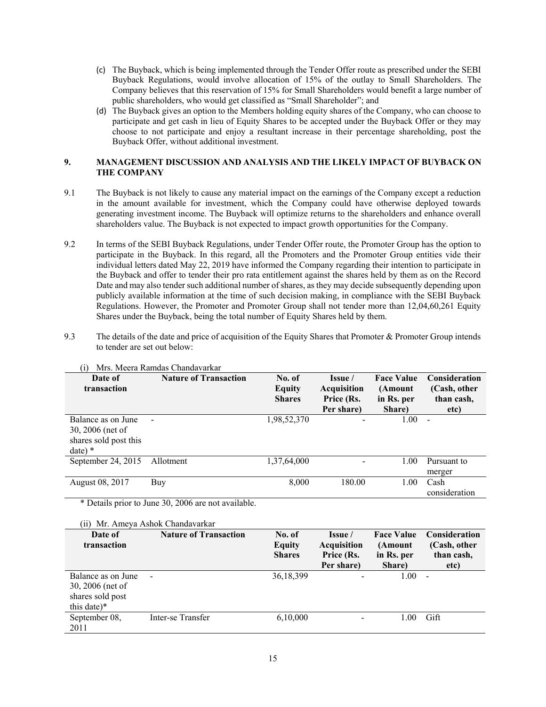- (c) The Buyback, which is being implemented through the Tender Offer route as prescribed under the SEBI Buyback Regulations, would involve allocation of 15% of the outlay to Small Shareholders. The Company believes that this reservation of 15% for Small Shareholders would benefit a large number of public shareholders, who would get classified as "Small Shareholder"; and
- (d) The Buyback gives an option to the Members holding equity shares of the Company, who can choose to participate and get cash in lieu of Equity Shares to be accepted under the Buyback Offer or they may choose to not participate and enjoy a resultant increase in their percentage shareholding, post the Buyback Offer, without additional investment.

### **9. MANAGEMENT DISCUSSION AND ANALYSIS AND THE LIKELY IMPACT OF BUYBACK ON THE COMPANY**

- 9.1 The Buyback is not likely to cause any material impact on the earnings of the Company except a reduction in the amount available for investment, which the Company could have otherwise deployed towards generating investment income. The Buyback will optimize returns to the shareholders and enhance overall shareholders value. The Buyback is not expected to impact growth opportunities for the Company.
- 9.2 In terms of the SEBI Buyback Regulations, under Tender Offer route, the Promoter Group has the option to participate in the Buyback. In this regard, all the Promoters and the Promoter Group entities vide their individual letters dated May 22, 2019 have informed the Company regarding their intention to participate in the Buyback and offer to tender their pro rata entitlement against the shares held by them as on the Record Date and may also tender such additional number of shares, as they may decide subsequently depending upon publicly available information at the time of such decision making, in compliance with the SEBI Buyback Regulations. However, the Promoter and Promoter Group shall not tender more than 12,04,60,261 Equity Shares under the Buyback, being the total number of Equity Shares held by them.
- 9.3 The details of the date and price of acquisition of the Equity Shares that Promoter & Promoter Group intends to tender are set out below:

| Date of<br>transaction                                                      | <b>Nature of Transaction</b> | No. of<br>Equity<br><b>Shares</b> | Issue /<br><b>Acquisition</b><br>Price (Rs.<br>Per share) | <b>Face Value</b><br>(Amount<br>in Rs. per<br>Share) | <b>Consideration</b><br>(Cash, other<br>than cash,<br>etc) |
|-----------------------------------------------------------------------------|------------------------------|-----------------------------------|-----------------------------------------------------------|------------------------------------------------------|------------------------------------------------------------|
| Balance as on June<br>30, 2006 (net of<br>shares sold post this<br>$date)*$ | $\overline{\phantom{a}}$     | 1,98,52,370                       |                                                           | 1.00                                                 | $\blacksquare$                                             |
| September 24, 2015                                                          | Allotment                    | 1,37,64,000                       |                                                           | 1.00                                                 | Pursuant to<br>merger                                      |
| August 08, 2017                                                             | Buy                          | 8,000                             | 180.00                                                    | 1.00                                                 | Cash<br>consideration                                      |

(i) Mrs. Meera Ramdas Chandavarkar

\* Details prior to June 30, 2006 are not available.

| $\overline{11}$<br>Date of<br>transaction                                 | Mr. Ameya Ashok Chandavarkar<br><b>Nature of Transaction</b> | No. of<br><b>Equity</b><br><b>Shares</b> | Issue /<br><b>Acquisition</b><br>Price (Rs.<br>Per share) | <b>Face Value</b><br>(Amount<br>in Rs. per<br>Share) | <b>Consideration</b><br>(Cash, other<br>than cash,<br>etc) |
|---------------------------------------------------------------------------|--------------------------------------------------------------|------------------------------------------|-----------------------------------------------------------|------------------------------------------------------|------------------------------------------------------------|
| Balance as on June<br>30, 2006 (net of<br>shares sold post<br>this date)* | $\overline{\phantom{a}}$                                     | 36, 18, 399                              | -                                                         | 1.00                                                 | $\overline{\phantom{a}}$                                   |
| September 08,<br>2011                                                     | Inter-se Transfer                                            | 6,10,000                                 |                                                           | 1 00                                                 | Gift                                                       |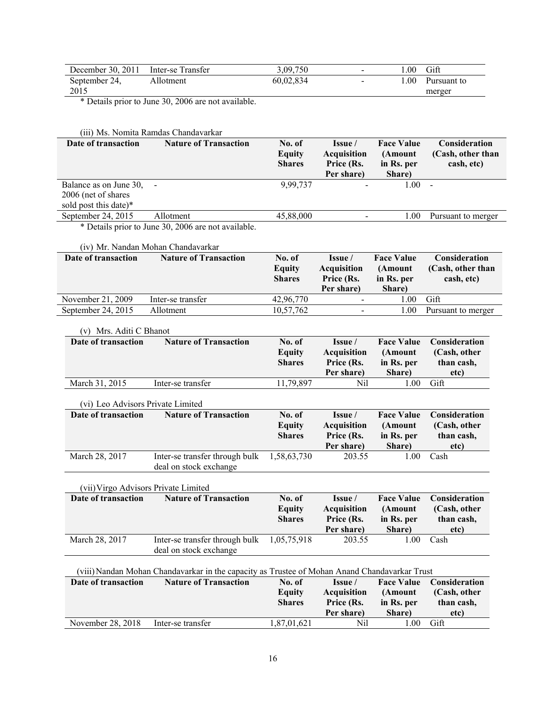| December 30, 2011 | Inter-se Transfer | 3.09.750  | $\sim$ | .00  | Gift        |
|-------------------|-------------------|-----------|--------|------|-------------|
| September 24,     | Allotment         | 60,02,834 | $\sim$ | .00. | Pursuant to |
| 2015              |                   |           |        |      | merger      |

\* Details prior to June 30, 2006 are not available.

|                                   | (iii) Ms. Nomita Ramdas Chandavarkar                                                          |                                          |                                                           |                                                      |                                                  |
|-----------------------------------|-----------------------------------------------------------------------------------------------|------------------------------------------|-----------------------------------------------------------|------------------------------------------------------|--------------------------------------------------|
| Date of transaction               | <b>Nature of Transaction</b>                                                                  | No. of<br><b>Equity</b><br><b>Shares</b> | Issue /<br><b>Acquisition</b><br>Price (Rs.<br>Per share) | <b>Face Value</b><br>(Amount<br>in Rs. per<br>Share) | Consideration<br>(Cash, other than<br>cash, etc) |
| Balance as on June 30,            |                                                                                               | 9,99,737                                 |                                                           | 1.00                                                 |                                                  |
| 2006 (net of shares               |                                                                                               |                                          |                                                           |                                                      |                                                  |
| sold post this date)*             |                                                                                               |                                          |                                                           |                                                      |                                                  |
| September 24, 2015                | Allotment                                                                                     | 45,88,000                                |                                                           | 1.00                                                 | Pursuant to merger                               |
|                                   | * Details prior to June 30, 2006 are not available.                                           |                                          |                                                           |                                                      |                                                  |
|                                   | (iv) Mr. Nandan Mohan Chandavarkar                                                            |                                          |                                                           |                                                      |                                                  |
| Date of transaction               | <b>Nature of Transaction</b>                                                                  | No. of                                   | Issue /                                                   | <b>Face Value</b>                                    | Consideration                                    |
|                                   |                                                                                               | <b>Equity</b>                            | <b>Acquisition</b>                                        | (Amount                                              | (Cash, other than                                |
|                                   |                                                                                               | <b>Shares</b>                            | Price (Rs.<br>Per share)                                  | in Rs. per<br>Share)                                 | cash, etc)                                       |
| November 21, 2009                 | Inter-se transfer                                                                             | 42,96,770                                | $\overline{\phantom{a}}$                                  | 1.00                                                 | Gift                                             |
| September 24, 2015                | Allotment                                                                                     | 10,57,762                                | $\blacksquare$                                            | 1.00                                                 | Pursuant to merger                               |
| (v) Mrs. Aditi C Bhanot           |                                                                                               |                                          |                                                           |                                                      |                                                  |
| Date of transaction               | <b>Nature of Transaction</b>                                                                  | No. of                                   | Issue /                                                   | <b>Face Value</b>                                    | Consideration                                    |
|                                   |                                                                                               | <b>Equity</b>                            | <b>Acquisition</b>                                        | (Amount                                              | (Cash, other                                     |
|                                   |                                                                                               | <b>Shares</b>                            | Price (Rs.                                                | in Rs. per                                           | than cash,                                       |
|                                   |                                                                                               |                                          | Per share)                                                | Share)                                               | etc)                                             |
| March 31, 2015                    | Inter-se transfer                                                                             | 11,79,897                                | Nil                                                       | 1.00                                                 | Gift                                             |
| (vi) Leo Advisors Private Limited |                                                                                               |                                          |                                                           |                                                      |                                                  |
| Date of transaction               | <b>Nature of Transaction</b>                                                                  | No. of                                   | Issue /                                                   | <b>Face Value</b>                                    | Consideration                                    |
|                                   |                                                                                               | <b>Equity</b>                            | <b>Acquisition</b>                                        | (Amount                                              | (Cash, other                                     |
|                                   |                                                                                               | <b>Shares</b>                            | Price (Rs.                                                | in Rs. per                                           | than cash,                                       |
|                                   |                                                                                               |                                          | Per share)                                                | Share)                                               | etc)                                             |
| March 28, 2017                    | Inter-se transfer through bulk                                                                | 1,58,63,730                              | 203.55                                                    | 1.00                                                 | Cash                                             |
|                                   | deal on stock exchange                                                                        |                                          |                                                           |                                                      |                                                  |
|                                   | (vii) Virgo Advisors Private Limited                                                          |                                          |                                                           |                                                      |                                                  |
| Date of transaction               | <b>Nature of Transaction</b>                                                                  | No. of                                   | Issue /                                                   | <b>Face Value</b>                                    | Consideration                                    |
|                                   |                                                                                               | <b>Equity</b>                            | <b>Acquisition</b>                                        | (Amount                                              | (Cash, other                                     |
|                                   |                                                                                               | <b>Shares</b>                            | Price (Rs.                                                | in Rs. per                                           | than cash,                                       |
|                                   |                                                                                               |                                          | Per share)                                                | Share)                                               | etc)                                             |
| March 28, 2017                    | Inter-se transfer through bulk<br>deal on stock exchange                                      | 1,05,75,918                              | 203.55                                                    | 1.00                                                 | Cash                                             |
|                                   | (viii) Nandan Mohan Chandavarkar in the capacity as Trustee of Mohan Anand Chandavarkar Trust |                                          |                                                           |                                                      |                                                  |
| Date of transaction               | <b>Nature of Transaction</b>                                                                  | No. of                                   | Issue /                                                   | <b>Face Value</b>                                    | Consideration                                    |
|                                   |                                                                                               | <b>Equity</b>                            | <b>Acquisition</b>                                        | (Amount                                              | (Cash, other                                     |
|                                   |                                                                                               | <b>Shares</b>                            | Price (Rs.                                                | in Rs. per                                           | than cash,                                       |
|                                   |                                                                                               |                                          | Per share)                                                | Share)                                               | etc)                                             |
| November 28, 2018                 | Inter-se transfer                                                                             | 1,87,01,621                              | Nil                                                       | 1.00                                                 | Gift                                             |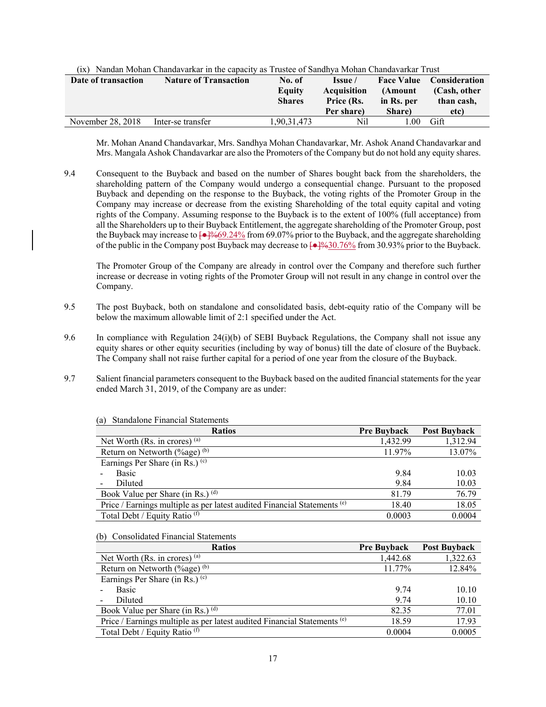| Date of transaction | <b>Nature of Transaction</b> | No. of<br>Equity<br><b>Shares</b> | Issue /<br><b>Acquisition</b><br>Price (Rs.<br>Per share) | <b>Face Value</b><br>(Amount<br>in Rs. per<br>Share) | <b>Consideration</b><br>(Cash, other<br>than cash,<br>etc) |
|---------------------|------------------------------|-----------------------------------|-----------------------------------------------------------|------------------------------------------------------|------------------------------------------------------------|
| November 28, 2018   | Inter-se transfer            | .90.31.473                        | Nil                                                       | 0 <sup>0</sup>                                       | Gift                                                       |

|  |  | (ix) Nandan Mohan Chandavarkar in the capacity as Trustee of Sandhya Mohan Chandavarkar Trust |  |
|--|--|-----------------------------------------------------------------------------------------------|--|
|  |  |                                                                                               |  |

Mr. Mohan Anand Chandavarkar, Mrs. Sandhya Mohan Chandavarkar, Mr. Ashok Anand Chandavarkar and Mrs. Mangala Ashok Chandavarkar are also the Promoters of the Company but do not hold any equity shares.

9.4 Consequent to the Buyback and based on the number of Shares bought back from the shareholders, the shareholding pattern of the Company would undergo a consequential change. Pursuant to the proposed Buyback and depending on the response to the Buyback, the voting rights of the Promoter Group in the Company may increase or decrease from the existing Shareholding of the total equity capital and voting rights of the Company. Assuming response to the Buyback is to the extent of 100% (full acceptance) from all the Shareholders up to their Buyback Entitlement, the aggregate shareholding of the Promoter Group, post the Buyback may increase to  $\left[\frac{-1}{6}\right]$ %69.24% from 69.07% prior to the Buyback, and the aggregate shareholding of the public in the Company post Buyback may decrease to  $\left[\frac{\triangleleft}{}^{1}\frac{9}{6}30.76\%~$  from 30.93% prior to the Buyback.

The Promoter Group of the Company are already in control over the Company and therefore such further increase or decrease in voting rights of the Promoter Group will not result in any change in control over the Company.

- 9.5 The post Buyback, both on standalone and consolidated basis, debt-equity ratio of the Company will be below the maximum allowable limit of 2:1 specified under the Act.
- 9.6 In compliance with Regulation 24(i)(b) of SEBI Buyback Regulations, the Company shall not issue any equity shares or other equity securities (including by way of bonus) till the date of closure of the Buyback. The Company shall not raise further capital for a period of one year from the closure of the Buyback.
- 9.7 Salient financial parameters consequent to the Buyback based on the audited financial statements for the year ended March 31, 2019, of the Company are as under:

| <b>Ratios</b>                                                                       | <b>Pre Buyback</b> | <b>Post Buyback</b> |
|-------------------------------------------------------------------------------------|--------------------|---------------------|
| Net Worth (Rs. in crores) $(a)$                                                     | 1,432.99           | 1,312.94            |
| Return on Networth $(\%$ age) <sup>(b)</sup>                                        | 11.97%             | 13.07%              |
| Earnings Per Share (in Rs.) $(c)$                                                   |                    |                     |
| <b>Basic</b>                                                                        | 9.84               | 10.03               |
| Diluted                                                                             | 9.84               | 10.03               |
| Book Value per Share (in Rs.) (d)                                                   | 81.79              | 76.79               |
| Price / Earnings multiple as per latest audited Financial Statements <sup>(e)</sup> | 18.40              | 18.05               |
| Total Debt / Equity Ratio (f)                                                       | 0.0003             | 0.0004              |

(a) Standalone Financial Statements

(b) Consolidated Financial Statements

| <b>Ratios</b>                                                                       | <b>Pre Buyback</b> | <b>Post Buyback</b> |
|-------------------------------------------------------------------------------------|--------------------|---------------------|
| Net Worth (Rs. in crores) $(a)$                                                     | 1,442.68           | 1,322.63            |
| Return on Networth $(\%$ age) <sup>(b)</sup>                                        | 11.77%             | 12.84%              |
| Earnings Per Share (in Rs.) $(c)$                                                   |                    |                     |
| <b>Basic</b>                                                                        | 9.74               | 10.10               |
| Diluted                                                                             | 9.74               | 10.10               |
| Book Value per Share (in Rs.) (d)                                                   | 82.35              | 77.01               |
| Price / Earnings multiple as per latest audited Financial Statements <sup>(e)</sup> | 18.59              | 17.93               |
| Total Debt / Equity Ratio <sup>(f)</sup>                                            | 0.0004             | 0.0005              |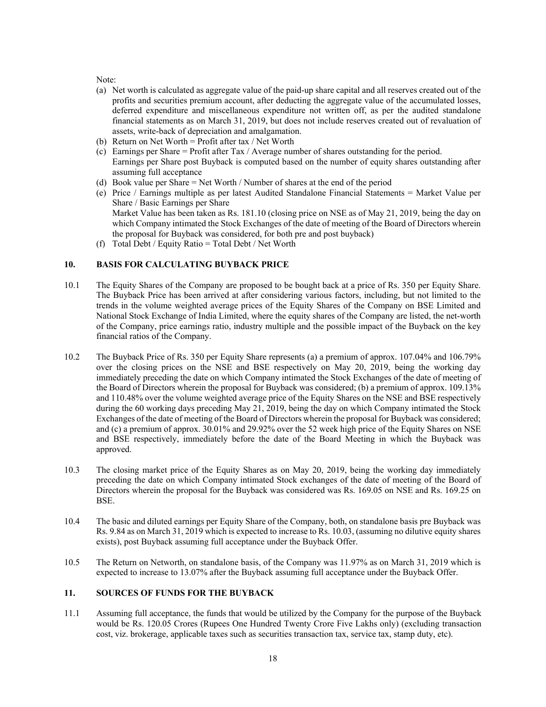Note:

- (a) Net worth is calculated as aggregate value of the paid-up share capital and all reserves created out of the profits and securities premium account, after deducting the aggregate value of the accumulated losses, deferred expenditure and miscellaneous expenditure not written off, as per the audited standalone financial statements as on March 31, 2019, but does not include reserves created out of revaluation of assets, write-back of depreciation and amalgamation.
- (b) Return on Net Worth = Profit after tax / Net Worth
- (c) Earnings per Share = Profit after Tax / Average number of shares outstanding for the period. Earnings per Share post Buyback is computed based on the number of equity shares outstanding after assuming full acceptance
- (d) Book value per Share = Net Worth / Number of shares at the end of the period
- (e) Price / Earnings multiple as per latest Audited Standalone Financial Statements = Market Value per Share / Basic Earnings per Share Market Value has been taken as Rs. 181.10 (closing price on NSE as of May 21, 2019, being the day on which Company intimated the Stock Exchanges of the date of meeting of the Board of Directors wherein the proposal for Buyback was considered, for both pre and post buyback)
- (f) Total Debt / Equity Ratio = Total Debt / Net Worth

# **10. BASIS FOR CALCULATING BUYBACK PRICE**

- 10.1 The Equity Shares of the Company are proposed to be bought back at a price of Rs. 350 per Equity Share. The Buyback Price has been arrived at after considering various factors, including, but not limited to the trends in the volume weighted average prices of the Equity Shares of the Company on BSE Limited and National Stock Exchange of India Limited, where the equity shares of the Company are listed, the net-worth of the Company, price earnings ratio, industry multiple and the possible impact of the Buyback on the key financial ratios of the Company.
- 10.2 The Buyback Price of Rs. 350 per Equity Share represents (a) a premium of approx. 107.04% and 106.79% over the closing prices on the NSE and BSE respectively on May 20, 2019, being the working day immediately preceding the date on which Company intimated the Stock Exchanges of the date of meeting of the Board of Directors wherein the proposal for Buyback was considered; (b) a premium of approx. 109.13% and 110.48% over the volume weighted average price of the Equity Shares on the NSE and BSE respectively during the 60 working days preceding May 21, 2019, being the day on which Company intimated the Stock Exchanges of the date of meeting of the Board of Directors wherein the proposal for Buyback was considered; and (c) a premium of approx. 30.01% and 29.92% over the 52 week high price of the Equity Shares on NSE and BSE respectively, immediately before the date of the Board Meeting in which the Buyback was approved.
- 10.3 The closing market price of the Equity Shares as on May 20, 2019, being the working day immediately preceding the date on which Company intimated Stock exchanges of the date of meeting of the Board of Directors wherein the proposal for the Buyback was considered was Rs. 169.05 on NSE and Rs. 169.25 on BSE.
- 10.4 The basic and diluted earnings per Equity Share of the Company, both, on standalone basis pre Buyback was Rs. 9.84 as on March 31, 2019 which is expected to increase to Rs. 10.03, (assuming no dilutive equity shares exists), post Buyback assuming full acceptance under the Buyback Offer.
- 10.5 The Return on Networth, on standalone basis, of the Company was 11.97% as on March 31, 2019 which is expected to increase to 13.07% after the Buyback assuming full acceptance under the Buyback Offer.

### **11. SOURCES OF FUNDS FOR THE BUYBACK**

11.1 Assuming full acceptance, the funds that would be utilized by the Company for the purpose of the Buyback would be Rs. 120.05 Crores (Rupees One Hundred Twenty Crore Five Lakhs only) (excluding transaction cost, viz. brokerage, applicable taxes such as securities transaction tax, service tax, stamp duty, etc).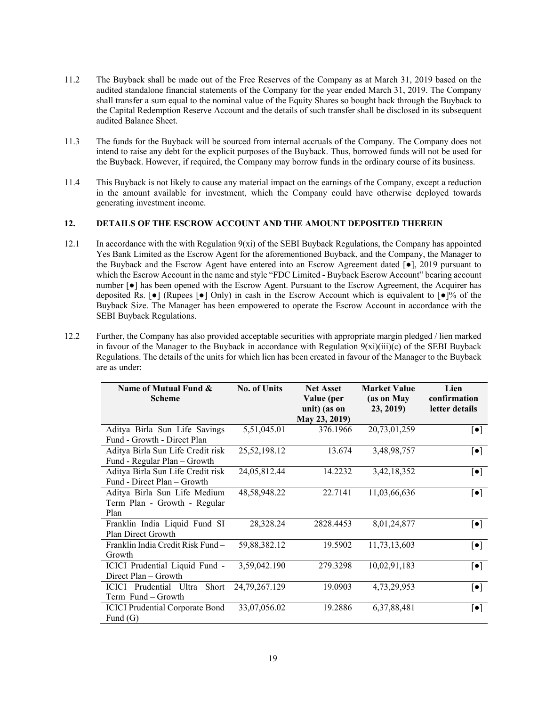- 11.2 The Buyback shall be made out of the Free Reserves of the Company as at March 31, 2019 based on the audited standalone financial statements of the Company for the year ended March 31, 2019. The Company shall transfer a sum equal to the nominal value of the Equity Shares so bought back through the Buyback to the Capital Redemption Reserve Account and the details of such transfer shall be disclosed in its subsequent audited Balance Sheet.
- 11.3 The funds for the Buyback will be sourced from internal accruals of the Company. The Company does not intend to raise any debt for the explicit purposes of the Buyback. Thus, borrowed funds will not be used for the Buyback. However, if required, the Company may borrow funds in the ordinary course of its business.
- 11.4 This Buyback is not likely to cause any material impact on the earnings of the Company, except a reduction in the amount available for investment, which the Company could have otherwise deployed towards generating investment income.

### **12. DETAILS OF THE ESCROW ACCOUNT AND THE AMOUNT DEPOSITED THEREIN**

- 12.1 In accordance with the with Regulation  $9(xi)$  of the SEBI Buyback Regulations, the Company has appointed Yes Bank Limited as the Escrow Agent for the aforementioned Buyback, and the Company, the Manager to the Buyback and the Escrow Agent have entered into an Escrow Agreement dated [●], 2019 pursuant to which the Escrow Account in the name and style "FDC Limited - Buyback Escrow Account" bearing account number [●] has been opened with the Escrow Agent. Pursuant to the Escrow Agreement, the Acquirer has deposited Rs.  $\bullet$  (Rupees  $\bullet$ ) Only) in cash in the Escrow Account which is equivalent to  $\bullet$   $\bullet$  of the Buyback Size. The Manager has been empowered to operate the Escrow Account in accordance with the SEBI Buyback Regulations.
- 12.2 Further, the Company has also provided acceptable securities with appropriate margin pledged / lien marked in favour of the Manager to the Buyback in accordance with Regulation  $9(xi)(iii)(c)$  of the SEBI Buyback Regulations. The details of the units for which lien has been created in favour of the Manager to the Buyback are as under:

| Name of Mutual Fund &<br><b>Scheme</b>                               | <b>No. of Units</b> | <b>Net Asset</b><br>Value (per<br>unit) (as on<br>May 23, 2019) | <b>Market Value</b><br>(as on May<br>23, 2019) | Lien<br>confirmation<br>letter details |
|----------------------------------------------------------------------|---------------------|-----------------------------------------------------------------|------------------------------------------------|----------------------------------------|
| Aditya Birla Sun Life Savings<br>Fund - Growth - Direct Plan         | 5,51,045.01         | 376.1966                                                        | 20,73,01,259                                   | $\left[\bullet\right]$                 |
| Aditya Birla Sun Life Credit risk<br>Fund - Regular Plan - Growth    | 25,52,198.12        | 13.674                                                          | 3,48,98,757                                    | $\left[\bullet\right]$                 |
| Aditya Birla Sun Life Credit risk<br>Fund - Direct Plan – Growth     | 24,05,812.44        | 14.2232                                                         | 3,42,18,352                                    | $\left[\bullet\right]$                 |
| Aditya Birla Sun Life Medium<br>Term Plan - Growth - Regular<br>Plan | 48,58,948.22        | 22.7141                                                         | 11,03,66,636                                   | $\left[\bullet\right]$                 |
| Franklin India Liquid Fund SI<br>Plan Direct Growth                  | 28,328.24           | 2828.4453                                                       | 8,01,24,877                                    | $\left[\bullet\right]$                 |
| Franklin India Credit Risk Fund -<br>Growth                          | 59,88,382.12        | 19.5902                                                         | 11,73,13,603                                   | $\lceil \bullet \rceil$                |
| ICICI Prudential Liquid Fund -<br>Direct Plan - Growth               | 3,59,042.190        | 279.3298                                                        | 10,02,91,183                                   | $\left[\bullet\right]$                 |
| ICICI Prudential Ultra<br>Short<br>Term Fund – Growth                | 24, 79, 267. 129    | 19.0903                                                         | 4,73,29,953                                    | $\left[\bullet\right]$                 |
| <b>ICICI Prudential Corporate Bond</b><br>Fund $(G)$                 | 33,07,056.02        | 19.2886                                                         | 6, 37, 88, 481                                 | $\left[\bullet\right]$                 |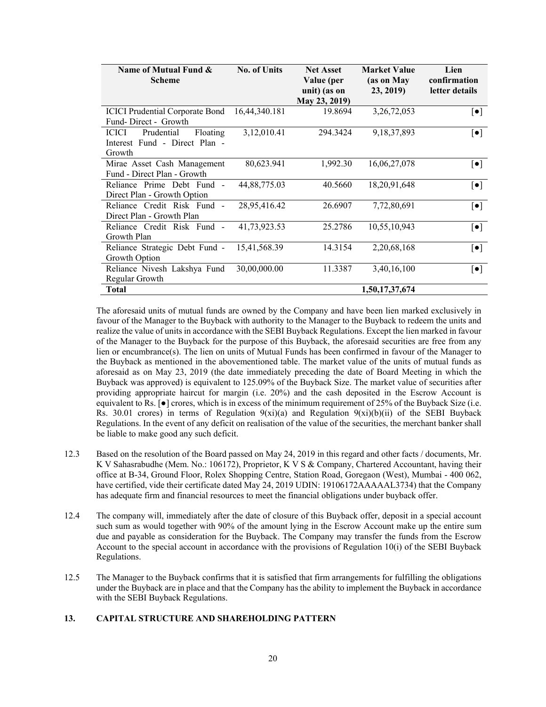| Name of Mutual Fund &<br><b>Scheme</b>                                            | <b>No. of Units</b> | <b>Net Asset</b><br>Value (per<br>unit) (as on<br>May 23, 2019) | <b>Market Value</b><br>(as on May<br>23, 2019) | Lien<br>confirmation<br>letter details |
|-----------------------------------------------------------------------------------|---------------------|-----------------------------------------------------------------|------------------------------------------------|----------------------------------------|
| <b>ICICI Prudential Corporate Bond</b><br>Fund-Direct - Growth                    | 16,44,340.181       | 19.8694                                                         | 3,26,72,053                                    | $[\bullet]$                            |
| Prudential<br><b>ICICI</b><br>Floating<br>Interest Fund - Direct Plan -<br>Growth | 3,12,010.41         | 294.3424                                                        | 9, 18, 37, 893                                 | $\left[\bullet\right]$                 |
| Mirae Asset Cash Management<br>Fund - Direct Plan - Growth                        | 80,623.941          | 1,992.30                                                        | 16,06,27,078                                   | $\left[\bullet\right]$                 |
| Reliance Prime Debt Fund -<br>Direct Plan - Growth Option                         | 44,88,775.03        | 40.5660                                                         | 18,20,91,648                                   | $[\bullet]$                            |
| Reliance Credit Risk Fund -<br>Direct Plan - Growth Plan                          | 28,95,416.42        | 26.6907                                                         | 7,72,80,691                                    | $\left[\bullet\right]$                 |
| Reliance Credit Risk Fund -<br>Growth Plan                                        | 41,73,923.53        | 25.2786                                                         | 10,55,10,943                                   | $\left[\bullet\right]$                 |
| Reliance Strategic Debt Fund -<br>Growth Option                                   | 15,41,568.39        | 14.3154                                                         | 2,20,68,168                                    | $\left[\bullet\right]$                 |
| Reliance Nivesh Lakshya Fund<br>Regular Growth                                    | 30,00,000.00        | 11.3387                                                         | 3,40,16,100                                    | $\left[\bullet\right]$                 |
| Total                                                                             |                     |                                                                 | 1,50,17,37,674                                 |                                        |

The aforesaid units of mutual funds are owned by the Company and have been lien marked exclusively in favour of the Manager to the Buyback with authority to the Manager to the Buyback to redeem the units and realize the value of units in accordance with the SEBI Buyback Regulations. Except the lien marked in favour of the Manager to the Buyback for the purpose of this Buyback, the aforesaid securities are free from any lien or encumbrance(s). The lien on units of Mutual Funds has been confirmed in favour of the Manager to the Buyback as mentioned in the abovementioned table. The market value of the units of mutual funds as aforesaid as on May 23, 2019 (the date immediately preceding the date of Board Meeting in which the Buyback was approved) is equivalent to 125.09% of the Buyback Size. The market value of securities after providing appropriate haircut for margin (i.e. 20%) and the cash deposited in the Escrow Account is equivalent to Rs. [ $\bullet$ ] crores, which is in excess of the minimum requirement of 25% of the Buyback Size (i.e. Rs. 30.01 crores) in terms of Regulation  $9(xi)(a)$  and Regulation  $9(xi)(b)(ii)$  of the SEBI Buyback Regulations. In the event of any deficit on realisation of the value of the securities, the merchant banker shall be liable to make good any such deficit.

- 12.3 Based on the resolution of the Board passed on May 24, 2019 in this regard and other facts / documents, Mr. K V Sahasrabudhe (Mem. No.: 106172), Proprietor, K V S & Company, Chartered Accountant, having their office at B-34, Ground Floor, Rolex Shopping Centre, Station Road, Goregaon (West), Mumbai - 400 062, have certified, vide their certificate dated May 24, 2019 UDIN: 19106172AAAAAL3734) that the Company has adequate firm and financial resources to meet the financial obligations under buyback offer.
- 12.4 The company will, immediately after the date of closure of this Buyback offer, deposit in a special account such sum as would together with 90% of the amount lying in the Escrow Account make up the entire sum due and payable as consideration for the Buyback. The Company may transfer the funds from the Escrow Account to the special account in accordance with the provisions of Regulation 10(i) of the SEBI Buyback Regulations.
- 12.5 The Manager to the Buyback confirms that it is satisfied that firm arrangements for fulfilling the obligations under the Buyback are in place and that the Company has the ability to implement the Buyback in accordance with the SEBI Buyback Regulations.

## **13. CAPITAL STRUCTURE AND SHAREHOLDING PATTERN**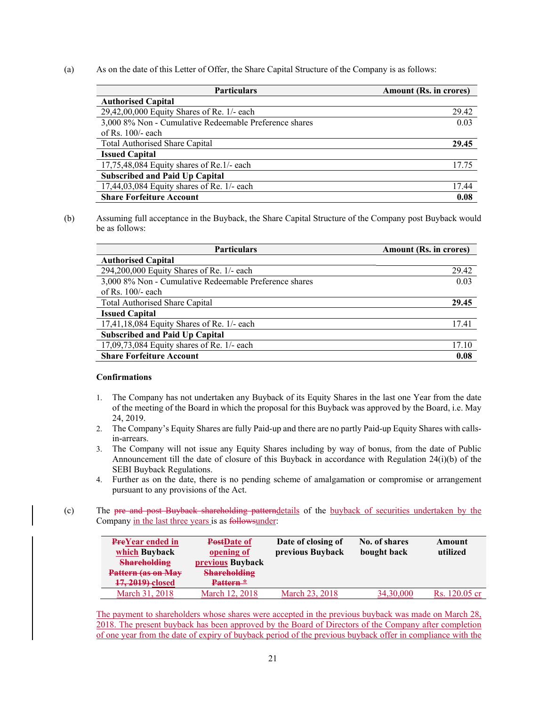(a) As on the date of this Letter of Offer, the Share Capital Structure of the Company is as follows:

| <b>Particulars</b>                                     | Amount (Rs. in crores) |
|--------------------------------------------------------|------------------------|
| <b>Authorised Capital</b>                              |                        |
| 29,42,00,000 Equity Shares of Re. 1/- each             | 29.42                  |
| 3,000 8% Non - Cumulative Redeemable Preference shares | 0.03                   |
| of Rs. $100/-$ each                                    |                        |
| <b>Total Authorised Share Capital</b>                  | 29.45                  |
| <b>Issued Capital</b>                                  |                        |
| $17,75,48,084$ Equity shares of Re.1/- each            | 17.75                  |
| <b>Subscribed and Paid Up Capital</b>                  |                        |
| 17,44,03,084 Equity shares of Re. 1/- each             | 17.44                  |
| <b>Share Forfeiture Account</b>                        | 0.08                   |

(b) Assuming full acceptance in the Buyback, the Share Capital Structure of the Company post Buyback would be as follows:

| <b>Particulars</b>                                     | Amount (Rs. in crores) |
|--------------------------------------------------------|------------------------|
| <b>Authorised Capital</b>                              |                        |
| 294,200,000 Equity Shares of Re. 1/- each              | 29.42                  |
| 3,000 8% Non - Cumulative Redeemable Preference shares | 0.03                   |
| of Rs. $100/-$ each                                    |                        |
| <b>Total Authorised Share Capital</b>                  | 29.45                  |
| <b>Issued Capital</b>                                  |                        |
| 17,41,18,084 Equity Shares of Re. 1/- each             | 17.41                  |
| <b>Subscribed and Paid Up Capital</b>                  |                        |
| 17,09,73,084 Equity shares of Re. 1/- each             | 17.10                  |
| <b>Share Forfeiture Account</b>                        | 0.08                   |

#### **Confirmations**

- 1. The Company has not undertaken any Buyback of its Equity Shares in the last one Year from the date of the meeting of the Board in which the proposal for this Buyback was approved by the Board, i.e. May 24, 2019.
- 2. The Company's Equity Shares are fully Paid-up and there are no partly Paid-up Equity Shares with callsin-arrears.
- 3. The Company will not issue any Equity Shares including by way of bonus, from the date of Public Announcement till the date of closure of this Buyback in accordance with Regulation 24(i)(b) of the SEBI Buyback Regulations.
- 4. Further as on the date, there is no pending scheme of amalgamation or compromise or arrangement pursuant to any provisions of the Act.
- (c) The pre and post Buyback shareholding patterndetails of the buyback of securities undertaken by the Company in the last three years is as followsunder:

| <b>PreYear ended in</b><br>which Buyback<br><b>Shareholding</b><br>Pattern (as on May<br>17, 2019) closed | PostDate of<br>opening of<br><b>previous</b> Buyback<br><b>Shareholding</b><br>Pattern <sup>*</sup> | Date of closing of<br>previous Buyback | No. of shares<br>bought back | Amount<br>utilized |
|-----------------------------------------------------------------------------------------------------------|-----------------------------------------------------------------------------------------------------|----------------------------------------|------------------------------|--------------------|
| March 31, 2018                                                                                            | March 12, 2018                                                                                      | March 23, 2018                         | 34,30,000                    | Rs. 120.05 cr      |

The payment to shareholders whose shares were accepted in the previous buyback was made on March 28, 2018. The present buyback has been approved by the Board of Directors of the Company after completion of one year from the date of expiry of buyback period of the previous buyback offer in compliance with the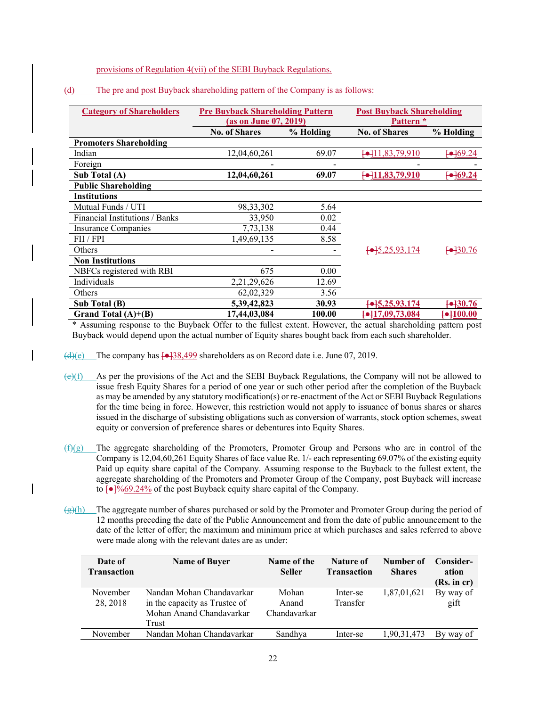provisions of Regulation 4(vii) of the SEBI Buyback Regulations.

| <b>Category of Shareholders</b> | <b>Pre Buyback Shareholding Pattern</b> |           | <b>Post Buyback Shareholding</b> |           |
|---------------------------------|-----------------------------------------|-----------|----------------------------------|-----------|
|                                 | (as on June 07, 2019)                   |           | Pattern <sup>*</sup>             |           |
|                                 | <b>No. of Shares</b>                    | % Holding | <b>No. of Shares</b>             | % Holding |
| <b>Promoters Shareholding</b>   |                                         |           |                                  |           |
| Indian                          | 12,04,60,261                            | 69.07     | $\leftarrow$ 11,83,79,910        | $-69.24$  |
| Foreign                         |                                         |           |                                  |           |
| Sub Total (A)                   | 12,04,60,261                            | 69.07     | $\leftarrow$ 11,83,79,910        | $-69.24$  |
| <b>Public Shareholding</b>      |                                         |           |                                  |           |
| <b>Institutions</b>             |                                         |           |                                  |           |
| Mutual Funds / UTI              | 98,33,302                               | 5.64      |                                  |           |
| Financial Institutions / Banks  | 33,950                                  | 0.02      |                                  |           |
| Insurance Companies             | 7, 73, 138                              | 0.44      |                                  |           |
| FII / FPI                       | 1,49,69,135                             | 8.58      |                                  |           |
| Others                          |                                         |           | $\leftarrow$ 5,25,93,174         | $-30.76$  |
| <b>Non Institutions</b>         |                                         |           |                                  |           |
| NBFCs registered with RBI       | 675                                     | 0.00      |                                  |           |
| Individuals                     | 2, 21, 29, 626                          | 12.69     |                                  |           |
| Others                          | 62,02,329                               | 3.56      |                                  |           |
| Sub Total (B)                   | 5,39,42,823                             | 30.93     | $\leftarrow$ 5,25,93,174         | $-130.76$ |
| Grand Total $(A)+(B)$           | 17,44,03,084                            | 100.00    | $\leftarrow$ 17,09,73,084        | $-100.00$ |

### (d) The pre and post Buyback shareholding pattern of the Company is as follows:

\* Assuming response to the Buyback Offer to the fullest extent. However, the actual shareholding pattern post Buyback would depend upon the actual number of Equity shares bought back from each such shareholder.

 $\left(\frac{d}{e}\right)$  The company has  $\left[-138,499\right]$  shareholders as on Record date i.e. June 07, 2019.

 $\left(\frac{e}{f}\right)$  As per the provisions of the Act and the SEBI Buyback Regulations, the Company will not be allowed to issue fresh Equity Shares for a period of one year or such other period after the completion of the Buyback as may be amended by any statutory modification(s) or re-enactment of the Act or SEBI Buyback Regulations for the time being in force. However, this restriction would not apply to issuance of bonus shares or shares issued in the discharge of subsisting obligations such as conversion of warrants, stock option schemes, sweat equity or conversion of preference shares or debentures into Equity Shares.

- $(f)(g)$  The aggregate shareholding of the Promoters, Promoter Group and Persons who are in control of the Company is 12,04,60,261 Equity Shares of face value Re. 1/- each representing 69.07% of the existing equity Paid up equity share capital of the Company. Assuming response to the Buyback to the fullest extent, the aggregate shareholding of the Promoters and Promoter Group of the Company, post Buyback will increase to  $\sqrt{\frac{9}{69.24\%}}$  of the post Buyback equity share capital of the Company.
- $\frac{g(h)}{h}$  The aggregate number of shares purchased or sold by the Promoter and Promoter Group during the period of 12 months preceding the date of the Public Announcement and from the date of public announcement to the date of the letter of offer; the maximum and minimum price at which purchases and sales referred to above were made along with the relevant dates are as under:

| Date of<br><b>Transaction</b> | <b>Name of Buyer</b>          | Name of the<br><b>Seller</b> | Nature of<br><b>Transaction</b> | Number of<br><b>Shares</b> | Consider-<br>ation |
|-------------------------------|-------------------------------|------------------------------|---------------------------------|----------------------------|--------------------|
|                               |                               |                              |                                 |                            | (Rs. incr)         |
| November                      | Nandan Mohan Chandavarkar     | Mohan                        | Inter-se                        | 1,87,01,621                | By way of          |
| 28, 2018                      | in the capacity as Trustee of | Anand                        | Transfer                        |                            | gift               |
|                               | Mohan Anand Chandavarkar      | Chandavarkar                 |                                 |                            |                    |
|                               | Trust                         |                              |                                 |                            |                    |
| November                      | Nandan Mohan Chandavarkar     | Sandhya                      | Inter-se                        | 1.90.31.473                | By way of          |
|                               |                               |                              |                                 |                            |                    |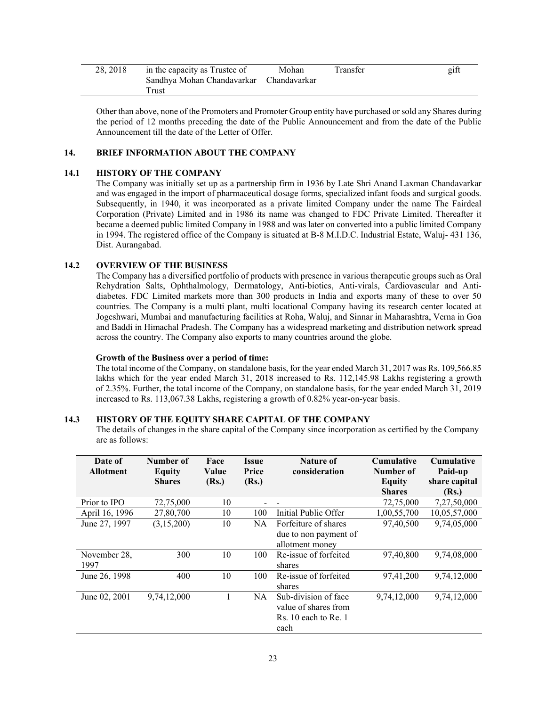| 28.2018 | in the capacity as Trustee of           | Mohan | Transfer | gift |
|---------|-----------------------------------------|-------|----------|------|
|         | Sandhya Mohan Chandavarkar Chandavarkar |       |          |      |
|         | Frust                                   |       |          |      |

Other than above, none of the Promoters and Promoter Group entity have purchased or sold any Shares during the period of 12 months preceding the date of the Public Announcement and from the date of the Public Announcement till the date of the Letter of Offer.

### **14. BRIEF INFORMATION ABOUT THE COMPANY**

### **14.1 HISTORY OF THE COMPANY**

The Company was initially set up as a partnership firm in 1936 by Late Shri Anand Laxman Chandavarkar and was engaged in the import of pharmaceutical dosage forms, specialized infant foods and surgical goods. Subsequently, in 1940, it was incorporated as a private limited Company under the name The Fairdeal Corporation (Private) Limited and in 1986 its name was changed to FDC Private Limited. Thereafter it became a deemed public limited Company in 1988 and was later on converted into a public limited Company in 1994. The registered office of the Company is situated at B-8 M.I.D.C. Industrial Estate, Waluj- 431 136, Dist. Aurangabad.

### **14.2 OVERVIEW OF THE BUSINESS**

The Company has a diversified portfolio of products with presence in various therapeutic groups such as Oral Rehydration Salts, Ophthalmology, Dermatology, Anti-biotics, Anti-virals, Cardiovascular and Antidiabetes. FDC Limited markets more than 300 products in India and exports many of these to over 50 countries. The Company is a multi plant, multi locational Company having its research center located at Jogeshwari, Mumbai and manufacturing facilities at Roha, Waluj, and Sinnar in Maharashtra, Verna in Goa and Baddi in Himachal Pradesh. The Company has a widespread marketing and distribution network spread across the country. The Company also exports to many countries around the globe.

#### **Growth of the Business over a period of time:**

The total income of the Company, on standalone basis, for the year ended March 31, 2017 was Rs. 109,566.85 lakhs which for the year ended March 31, 2018 increased to Rs. 112,145.98 Lakhs registering a growth of 2.35%. Further, the total income of the Company, on standalone basis, for the year ended March 31, 2019 increased to Rs. 113,067.38 Lakhs, registering a growth of 0.82% year-on-year basis.

### **14.3 HISTORY OF THE EQUITY SHARE CAPITAL OF THE COMPANY**

The details of changes in the share capital of the Company since incorporation as certified by the Company are as follows:

| Date of<br><b>Allotment</b> | Number of<br>Equity | Face<br>Value | Issue<br>Price | Nature of<br>consideration | <b>Cumulative</b><br>Number of | <b>Cumulative</b><br>Paid-up |
|-----------------------------|---------------------|---------------|----------------|----------------------------|--------------------------------|------------------------------|
|                             | <b>Shares</b>       | (Rs.)         | (Rs.)          |                            | <b>Equity</b>                  | share capital                |
|                             |                     |               |                |                            | <b>Shares</b>                  | (Rs.)                        |
| Prior to IPO                | 72,75,000           | 10            |                |                            | 72,75,000                      | 7,27,50,000                  |
| April 16, 1996              | 27,80,700           | 10            | 100            | Initial Public Offer       | 1,00,55,700                    | 10,05,57,000                 |
| June 27, 1997               | (3,15,200)          | 10            | NA.            | Forfeiture of shares       | 97,40,500                      | 9,74,05,000                  |
|                             |                     |               |                | due to non payment of      |                                |                              |
|                             |                     |               |                | allotment money            |                                |                              |
| November 28,                | 300                 | 10            | 100            | Re-issue of forfeited      | 97,40,800                      | 9,74,08,000                  |
| 1997                        |                     |               |                | shares                     |                                |                              |
| June 26, 1998               | 400                 | 10            | 100            | Re-issue of forfeited      | 97,41,200                      | 9,74,12,000                  |
|                             |                     |               |                | shares                     |                                |                              |
| June 02, 2001               | 9,74,12,000         |               | NA.            | Sub-division of face       | 9,74,12,000                    | 9,74,12,000                  |
|                             |                     |               |                | value of shares from       |                                |                              |
|                             |                     |               |                | Rs. 10 each to Re. 1       |                                |                              |
|                             |                     |               |                | each                       |                                |                              |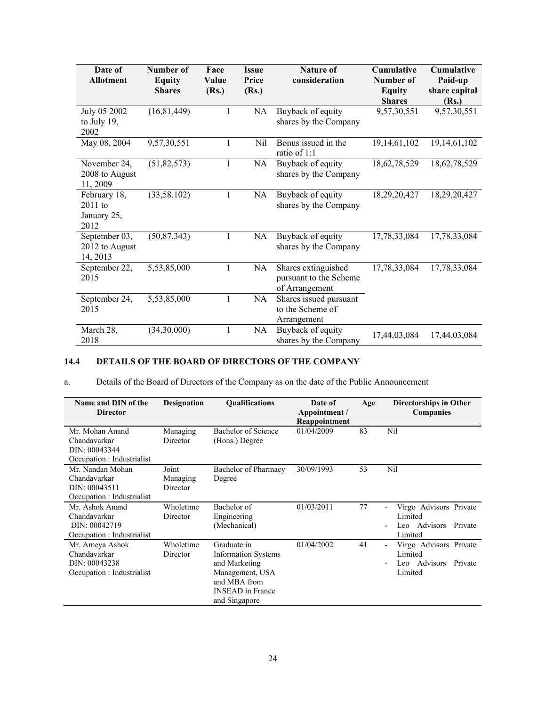| Date of<br><b>Allotment</b>                      | Number of<br><b>Equity</b><br><b>Shares</b> | Face<br>Value<br>(Rs.) | <b>Nature of</b><br><b>Issue</b><br>Price<br>consideration<br>(Rs.) |                                                                 | Cumulative<br>Number of<br><b>Equity</b><br><b>Shares</b> | <b>Cumulative</b><br>Paid-up<br>share capital<br>(Rs.) |
|--------------------------------------------------|---------------------------------------------|------------------------|---------------------------------------------------------------------|-----------------------------------------------------------------|-----------------------------------------------------------|--------------------------------------------------------|
| July 05 2002<br>to July $19$ ,<br>2002           | (16, 81, 449)                               |                        | NA                                                                  | Buyback of equity<br>shares by the Company                      | 9,57,30,551                                               | 9,57,30,551                                            |
| May 08, 2004                                     | 9,57,30,551                                 | 1                      | Nil                                                                 | Bonus issued in the<br>ratio of 1:1                             | 19,14,61,102                                              | 19,14,61,102                                           |
| November 24,<br>2008 to August<br>11, 2009       | (51, 82, 573)                               | $\mathbf{1}$           | NA                                                                  | Buyback of equity<br>shares by the Company                      | 18,62,78,529                                              | 18,62,78,529                                           |
| February 18,<br>$2011$ to<br>January 25,<br>2012 | (33, 58, 102)                               | $\mathbf{1}$           | NA                                                                  | Buyback of equity<br>shares by the Company                      | 18,29,20,427                                              | 18,29,20,427                                           |
| September 03,<br>2012 to August<br>14, 2013      | (50, 87, 343)                               | $\mathbf{1}$           | NA                                                                  | Buyback of equity<br>shares by the Company                      | 17,78,33,084                                              | 17,78,33,084                                           |
| September 22,<br>2015                            | 5,53,85,000                                 | $\mathbf{1}$           | NA                                                                  | Shares extinguished<br>pursuant to the Scheme<br>of Arrangement | 17,78,33,084                                              | 17,78,33,084                                           |
| September 24,<br>2015                            | 5,53,85,000                                 | 1                      | NA                                                                  | Shares issued pursuant<br>to the Scheme of<br>Arrangement       |                                                           |                                                        |
| March 28,<br>2018                                | (34,30,000)                                 | $\mathbf{1}$           | NA                                                                  | Buyback of equity<br>shares by the Company                      | 17,44,03,084                                              | 17,44,03,084                                           |

# **14.4 DETAILS OF THE BOARD OF DIRECTORS OF THE COMPANY**

a. Details of the Board of Directors of the Company as on the date of the Public Announcement

| Name and DIN of the<br><b>Director</b>                                          | <b>Designation</b>            | <b>Oualifications</b>                                                                                                                     | Date of<br>Appointment /<br>Reappointment | Age | <b>Directorships in Other</b><br>Companies                              |
|---------------------------------------------------------------------------------|-------------------------------|-------------------------------------------------------------------------------------------------------------------------------------------|-------------------------------------------|-----|-------------------------------------------------------------------------|
| Mr. Mohan Anand<br>Chandavarkar<br>DIN: 00043344<br>Occupation : Industrialist  | Managing<br>Director          | Bachelor of Science<br>(Hons.) Degree                                                                                                     | 01/04/2009                                | 83  | Nil                                                                     |
| Mr. Nandan Mohan<br>Chandavarkar<br>DIN: 00043511<br>Occupation : Industrialist | Joint<br>Managing<br>Director | Bachelor of Pharmacy<br>Degree                                                                                                            | 30/09/1993                                | 53  | Nil                                                                     |
| Mr. Ashok Anand<br>Chandavarkar<br>DIN: 00042719<br>Occupation : Industrialist  | Wholetime<br>Director         | Bachelor of<br>Engineering<br>(Mechanical)                                                                                                | 01/03/2011                                | 77  | Virgo Advisors Private<br>Limited<br>Leo Advisors<br>Private<br>Limited |
| Mr. Ameya Ashok<br>Chandavarkar<br>DIN: 00043238<br>Occupation : Industrialist  | Wholetime<br>Director         | Graduate in<br><b>Information Systems</b><br>and Marketing<br>Management, USA<br>and MBA from<br><b>INSEAD</b> in France<br>and Singapore | 01/04/2002                                | 41  | Virgo Advisors Private<br>Limited<br>Leo Advisors<br>Private<br>Limited |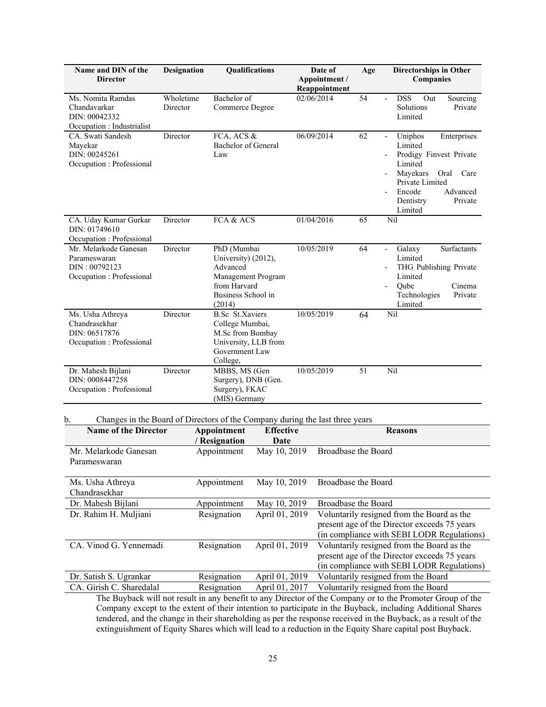| Name and DIN of the<br><b>Director</b>                                              | <b>Designation</b>    |                                                                                                                     | Qualifications           | Date of<br>Appointment /<br>Reappointment | Age             | <b>Directorships in Other</b><br>Companies                                                                                                                                      |
|-------------------------------------------------------------------------------------|-----------------------|---------------------------------------------------------------------------------------------------------------------|--------------------------|-------------------------------------------|-----------------|---------------------------------------------------------------------------------------------------------------------------------------------------------------------------------|
| Ms. Nomita Ramdas<br>Chandavarkar<br>DIN: 00042332<br>Occupation : Industrialist    | Wholetime<br>Director | Bachelor of<br>Commerce Degree                                                                                      |                          | 02/06/2014                                | $\overline{54}$ | <b>DSS</b><br>Out<br>Sourcing<br>Solutions<br>Private<br>Limited                                                                                                                |
| CA. Swati Sandesh<br>Mayekar<br>DIN: 00245261<br>Occupation : Professional          | Director              | FCA, ACS &<br><b>Bachelor</b> of General<br>Law                                                                     |                          | 06/09/2014                                | 62              | Uniphos<br>Enterprises<br>Limited<br>Prodigy Finvest Private<br>Limited<br>Mayekars<br>Care<br>Oral<br>Private Limited<br>Encode<br>Advanced<br>Private<br>Dentistry<br>Limited |
| CA. Uday Kumar Gurkar<br>DIN: 01749610<br>Occupation : Professional                 | Director              | FCA & ACS                                                                                                           |                          | 01/04/2016                                | 65              | Nil                                                                                                                                                                             |
| Mr. Melarkode Ganesan<br>Parameswaran<br>DIN: 00792123<br>Occupation : Professional | Director              | PhD (Mumbai<br>University) (2012),<br>Advanced<br>from Harvard<br>Business School in<br>(2014)                      | Management Program       | 10/05/2019                                | 64              | Surfactants<br>Galaxy<br>$\overline{\phantom{a}}$<br>Limited<br>THG Publishing Private<br>Limited<br>Qube<br>Cinema<br>Technologies<br>Private<br>Limited                       |
| Ms. Usha Athreya<br>Chandrasekhar<br>DIN: 06517876<br>Occupation : Professional     | Director              | <b>B.Sc</b> St.Xaviers<br>College Mumbai,<br>M.Sc from Bombay<br>University, LLB from<br>Government Law<br>College, |                          | 10/05/2019                                | 64              | Nil                                                                                                                                                                             |
| Dr. Mahesh Bijlani<br>DIN: 0008447258<br>Occupation : Professional                  | Director              | MBBS, MS (Gen<br>Surgery), DNB (Gen.<br>Surgery), FKAC<br>(MIS) Germany                                             |                          | 10/05/2019                                | 51              | Nil                                                                                                                                                                             |
| Changes in the Board of Directors of the Company during the last three years<br>b.  |                       |                                                                                                                     |                          |                                           |                 |                                                                                                                                                                                 |
| <b>Name of the Director</b>                                                         |                       | Appointment<br>/ Resignation                                                                                        | <b>Effective</b><br>Date |                                           |                 | <b>Reasons</b>                                                                                                                                                                  |
| Mr. Melarkode Ganesan<br>Parameswaran                                               |                       | Appointment                                                                                                         | May 10, 2019             | Broadbase the Board                       |                 |                                                                                                                                                                                 |
| Ms. Usha Athreya<br>Chandrasekhar                                                   |                       | Appointment                                                                                                         | May 10, 2019             | Broadbase the Board                       |                 |                                                                                                                                                                                 |
| Dr. Mahesh Bijlani                                                                  |                       | Appointment                                                                                                         | May 10, 2019             | Broadbase the Board                       |                 |                                                                                                                                                                                 |
| Dr. Rahim H. Muljiani                                                               |                       | Resignation                                                                                                         | April 01, 2019           |                                           |                 | Voluntarily resigned from the Board as the<br>present age of the Director exceeds 75 years<br>(in compliance with SEBI LODR Regulations)                                        |
| CA. Vinod G. Yennemadi                                                              |                       | Resignation                                                                                                         | April 01, 2019           |                                           |                 | Voluntarily resigned from the Board as the<br>present age of the Director exceeds 75 years<br>(in compliance with SEBI LODR Regulations)                                        |
| Dr. Satish S. Ugrankar                                                              |                       | Resignation                                                                                                         | April 01, 2019           |                                           |                 | Voluntarily resigned from the Board                                                                                                                                             |
| CA. Girish C. Sharedalal                                                            |                       | Resignation                                                                                                         | April 01, 2017           |                                           |                 | Voluntarily resigned from the Board                                                                                                                                             |

The Buyback will not result in any benefit to any Director of the Company or to the Promoter Group of the Company except to the extent of their intention to participate in the Buyback, including Additional Shares tendered, and the change in their shareholding as per the response received in the Buyback, as a result of the extinguishment of Equity Shares which will lead to a reduction in the Equity Share capital post Buyback.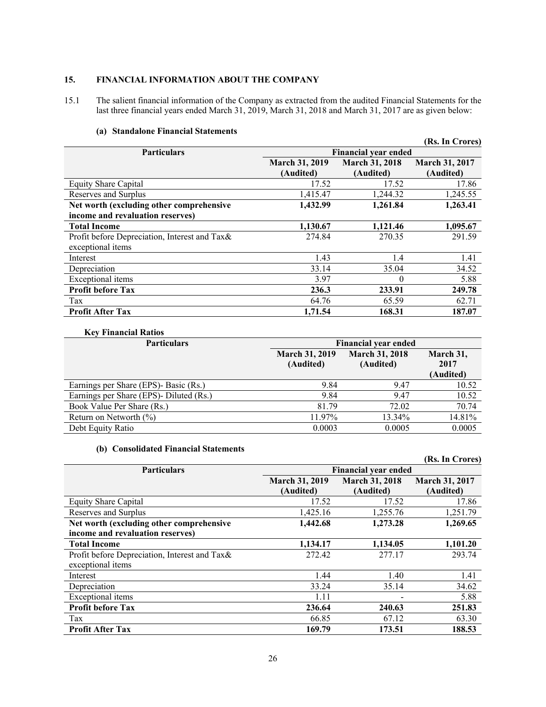# **15. FINANCIAL INFORMATION ABOUT THE COMPANY**

15.1 The salient financial information of the Company as extracted from the audited Financial Statements for the last three financial years ended March 31, 2019, March 31, 2018 and March 31, 2017 are as given below:

|                                               |                                    |                                    | (Rs. In Crores)                    |
|-----------------------------------------------|------------------------------------|------------------------------------|------------------------------------|
| <b>Particulars</b>                            |                                    | <b>Financial year ended</b>        |                                    |
|                                               | <b>March 31, 2019</b><br>(Audited) | <b>March 31, 2018</b><br>(Audited) | <b>March 31, 2017</b><br>(Audited) |
| <b>Equity Share Capital</b>                   | 17.52                              | 17.52                              | 17.86                              |
| Reserves and Surplus                          | 1,415.47                           | 1,244.32                           | 1,245.55                           |
| Net worth (excluding other comprehensive      | 1,432.99                           | 1,261.84                           | 1,263.41                           |
| income and revaluation reserves)              |                                    |                                    |                                    |
| <b>Total Income</b>                           | 1,130.67                           | 1,121.46                           | 1,095.67                           |
| Profit before Depreciation, Interest and Tax& | 274.84                             | 270.35                             | 291.59                             |
| exceptional items                             |                                    |                                    |                                    |
| Interest                                      | 1.43                               | 1.4                                | 1.41                               |
| Depreciation                                  | 33.14                              | 35.04                              | 34.52                              |
| Exceptional items                             | 3.97                               | $\theta$                           | 5.88                               |
| <b>Profit before Tax</b>                      | 236.3                              | 233.91                             | 249.78                             |
| Tax                                           | 64.76                              | 65.59                              | 62.71                              |
| <b>Profit After Tax</b>                       | 1,71.54                            | 168.31                             | 187.07                             |

### **(a) Standalone Financial Statements**

### **Key Financial Ratios**

| <b>Particulars</b>                      | <b>Financial year ended</b>        |                                    |                                |  |  |  |
|-----------------------------------------|------------------------------------|------------------------------------|--------------------------------|--|--|--|
|                                         | <b>March 31, 2019</b><br>(Audited) | <b>March 31, 2018</b><br>(Audited) | March 31,<br>2017<br>(Audited) |  |  |  |
| Earnings per Share (EPS)- Basic (Rs.)   | 9.84                               | 9.47                               | 10.52                          |  |  |  |
| Earnings per Share (EPS)- Diluted (Rs.) | 9.84                               | 9.47                               | 10.52                          |  |  |  |
| Book Value Per Share (Rs.)              | 81.79                              | 72.02                              | 70.74                          |  |  |  |
| Return on Networth $(\% )$              | 11.97%                             | 13.34%                             | 14.81%                         |  |  |  |
| Debt Equity Ratio                       | 0.0003                             | 0.0005                             | 0.0005                         |  |  |  |

### **(b) Consolidated Financial Statements**

|                                                                    |                                    |                                    | (Rs. In Crores)             |
|--------------------------------------------------------------------|------------------------------------|------------------------------------|-----------------------------|
| <b>Particulars</b>                                                 |                                    | <b>Financial year ended</b>        |                             |
|                                                                    | <b>March 31, 2019</b><br>(Audited) | <b>March 31, 2018</b><br>(Audited) | March 31, 2017<br>(Audited) |
| <b>Equity Share Capital</b>                                        | 17.52                              | 17.52                              | 17.86                       |
| Reserves and Surplus                                               | 1,425.16                           | 1,255.76                           | 1,251.79                    |
| Net worth (excluding other comprehensive                           | 1,442.68                           | 1,273.28                           | 1,269.65                    |
| income and revaluation reserves)                                   |                                    |                                    |                             |
| <b>Total Income</b>                                                | 1,134.17                           | 1,134.05                           | 1,101.20                    |
| Profit before Depreciation, Interest and Tax&<br>exceptional items | 272.42                             | 277.17                             | 293.74                      |
| Interest                                                           | 1.44                               | 1.40                               | 1.41                        |
| Depreciation                                                       | 33.24                              | 35.14                              | 34.62                       |
| Exceptional items                                                  | 1.11                               |                                    | 5.88                        |
| <b>Profit before Tax</b>                                           | 236.64                             | 240.63                             | 251.83                      |
| Tax                                                                | 66.85                              | 67.12                              | 63.30                       |
| <b>Profit After Tax</b>                                            | 169.79                             | 173.51                             | 188.53                      |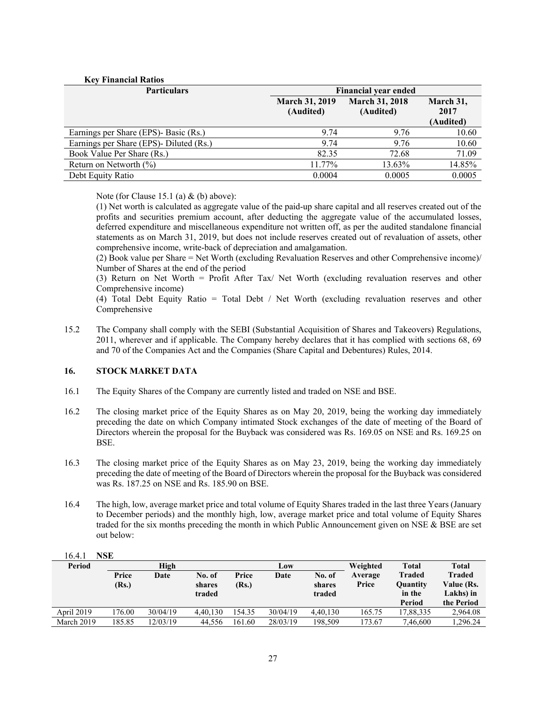| <b>Key Financial Ratios</b>             |                                    |                                    |                                |
|-----------------------------------------|------------------------------------|------------------------------------|--------------------------------|
| <b>Particulars</b>                      |                                    | <b>Financial year ended</b>        |                                |
|                                         | <b>March 31, 2019</b><br>(Audited) | <b>March 31, 2018</b><br>(Audited) | March 31,<br>2017<br>(Audited) |
| Earnings per Share (EPS)- Basic (Rs.)   | 9.74                               | 9.76                               | 10.60                          |
| Earnings per Share (EPS)- Diluted (Rs.) | 9.74                               | 9.76                               | 10.60                          |
| Book Value Per Share (Rs.)              | 82.35                              | 72.68                              | 71.09                          |
| Return on Networth $(\%)$               | 11.77%                             | 13.63%                             | 14.85%                         |
| Debt Equity Ratio                       | 0.0004                             | 0.0005                             | 0.0005                         |

Note (for Clause 15.1 (a)  $&$  (b) above):

(1) Net worth is calculated as aggregate value of the paid-up share capital and all reserves created out of the profits and securities premium account, after deducting the aggregate value of the accumulated losses, deferred expenditure and miscellaneous expenditure not written off, as per the audited standalone financial statements as on March 31, 2019, but does not include reserves created out of revaluation of assets, other comprehensive income, write-back of depreciation and amalgamation.

(2) Book value per Share = Net Worth (excluding Revaluation Reserves and other Comprehensive income)/ Number of Shares at the end of the period

(3) Return on Net Worth = Profit After Tax/ Net Worth (excluding revaluation reserves and other Comprehensive income)

(4) Total Debt Equity Ratio = Total Debt / Net Worth (excluding revaluation reserves and other Comprehensive

15.2 The Company shall comply with the SEBI (Substantial Acquisition of Shares and Takeovers) Regulations, 2011, wherever and if applicable. The Company hereby declares that it has complied with sections 68, 69 and 70 of the Companies Act and the Companies (Share Capital and Debentures) Rules, 2014.

### **16. STOCK MARKET DATA**

- 16.1 The Equity Shares of the Company are currently listed and traded on NSE and BSE.
- 16.2 The closing market price of the Equity Shares as on May 20, 2019, being the working day immediately preceding the date on which Company intimated Stock exchanges of the date of meeting of the Board of Directors wherein the proposal for the Buyback was considered was Rs. 169.05 on NSE and Rs. 169.25 on BSE.
- 16.3 The closing market price of the Equity Shares as on May 23, 2019, being the working day immediately preceding the date of meeting of the Board of Directors wherein the proposal for the Buyback was considered was Rs. 187.25 on NSE and Rs. 185.90 on BSE.
- 16.4 The high, low, average market price and total volume of Equity Shares traded in the last three Years (January to December periods) and the monthly high, low, average market price and total volume of Equity Shares traded for the six months preceding the month in which Public Announcement given on NSE & BSE are set out below:

| Period     |                | High     |                            |                | Low      |                            | Weighted         | Total                                         | <b>Total</b>                                                  |
|------------|----------------|----------|----------------------------|----------------|----------|----------------------------|------------------|-----------------------------------------------|---------------------------------------------------------------|
|            | Price<br>(Rs.) | Date     | No. of<br>shares<br>traded | Price<br>(Rs.) | Date     | No. of<br>shares<br>traded | Average<br>Price | <b>Traded</b><br>Quantity<br>in the<br>Period | <b>Traded</b><br><b>Value (Rs.</b><br>Lakhs) in<br>the Period |
| April 2019 | 176.00         | 30/04/19 | 4.40.130                   | 154.35         | 30/04/19 | 4.40.130                   | 165.75           | 17,88,335                                     | 2.964.08                                                      |
| March 2019 | 185.85         | 12/03/19 | 44.556                     | 161.60         | 28/03/19 | 198.509                    | 173.67           | 7.46.600                                      | 1.296.24                                                      |

16.4.1 **NSE**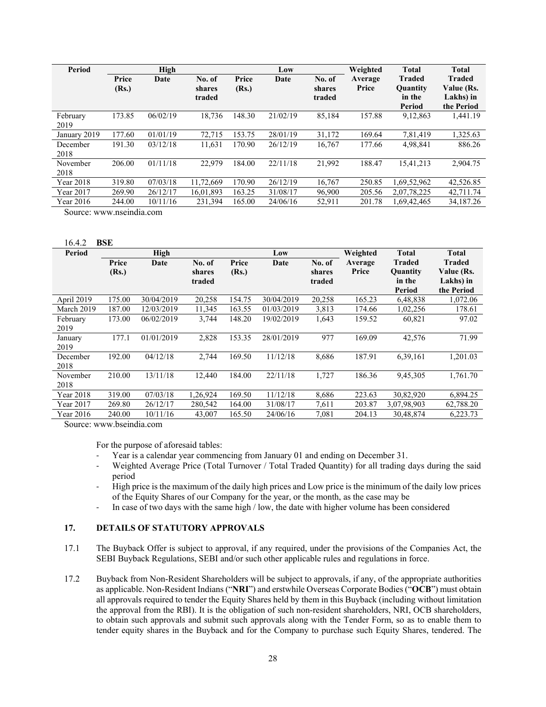| Period           |                | High     |                            |                | Low      |                            | Weighted         | <b>Total</b>                                         | <b>Total</b>                                           |
|------------------|----------------|----------|----------------------------|----------------|----------|----------------------------|------------------|------------------------------------------------------|--------------------------------------------------------|
|                  | Price<br>(Rs.) | Date     | No. of<br>shares<br>traded | Price<br>(Rs.) | Date     | No. of<br>shares<br>traded | Average<br>Price | <b>Traded</b><br><b>Quantity</b><br>in the<br>Period | <b>Traded</b><br>Value (Rs.<br>Lakhs) in<br>the Period |
| February<br>2019 | 173.85         | 06/02/19 | 18,736                     | 148.30         | 21/02/19 | 85,184                     | 157.88           | 9,12,863                                             | 1,441.19                                               |
| January 2019     | 177.60         | 01/01/19 | 72,715                     | 153.75         | 28/01/19 | 31,172                     | 169.64           | 7,81,419                                             | 1,325.63                                               |
| December<br>2018 | 191.30         | 03/12/18 | 11,631                     | 170.90         | 26/12/19 | 16,767                     | 177.66           | 4,98,841                                             | 886.26                                                 |
| November<br>2018 | 206.00         | 01/11/18 | 22,979                     | 184.00         | 22/11/18 | 21,992                     | 188.47           | 15,41,213                                            | 2.904.75                                               |
| Year 2018        | 319.80         | 07/03/18 | 11,72,669                  | 170.90         | 26/12/19 | 16,767                     | 250.85           | 1,69,52,962                                          | 42,526.85                                              |
| Year 2017        | 269.90         | 26/12/17 | 16.01.893                  | 163.25         | 31/08/17 | 96,900                     | 205.56           | 2,07,78,225                                          | 42,711.74                                              |
| Year 2016        | 244.00         | 10/11/16 | 231.394                    | 165.00         | 24/06/16 | 52,911                     | 201.78           | 1,69,42,465                                          | 34,187.26                                              |

Source: www.nseindia.com

16.4.2 **BSE** 

| 16.4.2     | BSE    |            |          |        |            |        |          |                 |              |
|------------|--------|------------|----------|--------|------------|--------|----------|-----------------|--------------|
| Period     |        | High       |          |        | Low        |        | Weighted | <b>Total</b>    | <b>Total</b> |
|            | Price  | Date       | No. of   | Price  | Date       | No. of | Average  | Traded          | Traded       |
|            | (Rs.)  |            | shares   | (Rs.)  |            | shares | Price    | <b>Ouantity</b> | Value (Rs.   |
|            |        |            | traded   |        |            | traded |          | in the          | Lakhs) in    |
|            |        |            |          |        |            |        |          | Period          | the Period   |
| April 2019 | 175.00 | 30/04/2019 | 20,258   | 154.75 | 30/04/2019 | 20,258 | 165.23   | 6,48,838        | 1,072.06     |
| March 2019 | 187.00 | 12/03/2019 | 11,345   | 163.55 | 01/03/2019 | 3,813  | 174.66   | 1,02,256        | 178.61       |
| February   | 173.00 | 06/02/2019 | 3,744    | 148.20 | 19/02/2019 | 1,643  | 159.52   | 60,821          | 97.02        |
| 2019       |        |            |          |        |            |        |          |                 |              |
| January    | 177.1  | 01/01/2019 | 2,828    | 153.35 | 28/01/2019 | 977    | 169.09   | 42,576          | 71.99        |
| 2019       |        |            |          |        |            |        |          |                 |              |
| December   | 192.00 | 04/12/18   | 2,744    | 169.50 | 11/12/18   | 8,686  | 187.91   | 6,39,161        | 1,201.03     |
| 2018       |        |            |          |        |            |        |          |                 |              |
| November   | 210.00 | 13/11/18   | 12,440   | 184.00 | 22/11/18   | 1,727  | 186.36   | 9,45,305        | 1,761.70     |
| 2018       |        |            |          |        |            |        |          |                 |              |
| Year 2018  | 319.00 | 07/03/18   | 1,26,924 | 169.50 | 11/12/18   | 8,686  | 223.63   | 30,82,920       | 6,894.25     |
| Year 2017  | 269.80 | 26/12/17   | 280,542  | 164.00 | 31/08/17   | 7,611  | 203.87   | 3,07,98,903     | 62,788.20    |
| Year 2016  | 240.00 | 10/11/16   | 43,007   | 165.50 | 24/06/16   | 7.081  | 204.13   | 30,48,874       | 6,223.73     |

Source: www.bseindia.com

For the purpose of aforesaid tables:

- Year is a calendar year commencing from January 01 and ending on December 31.
- ‐ Weighted Average Price (Total Turnover / Total Traded Quantity) for all trading days during the said period
- ‐ High price is the maximum of the daily high prices and Low price is the minimum of the daily low prices of the Equity Shares of our Company for the year, or the month, as the case may be
- ‐ In case of two days with the same high / low, the date with higher volume has been considered

### **17. DETAILS OF STATUTORY APPROVALS**

- 17.1 The Buyback Offer is subject to approval, if any required, under the provisions of the Companies Act, the SEBI Buyback Regulations, SEBI and/or such other applicable rules and regulations in force.
- 17.2 Buyback from Non-Resident Shareholders will be subject to approvals, if any, of the appropriate authorities as applicable. Non-Resident Indians ("**NRI**") and erstwhile Overseas Corporate Bodies ("**OCB**") must obtain all approvals required to tender the Equity Shares held by them in this Buyback (including without limitation the approval from the RBI). It is the obligation of such non-resident shareholders, NRI, OCB shareholders, to obtain such approvals and submit such approvals along with the Tender Form, so as to enable them to tender equity shares in the Buyback and for the Company to purchase such Equity Shares, tendered. The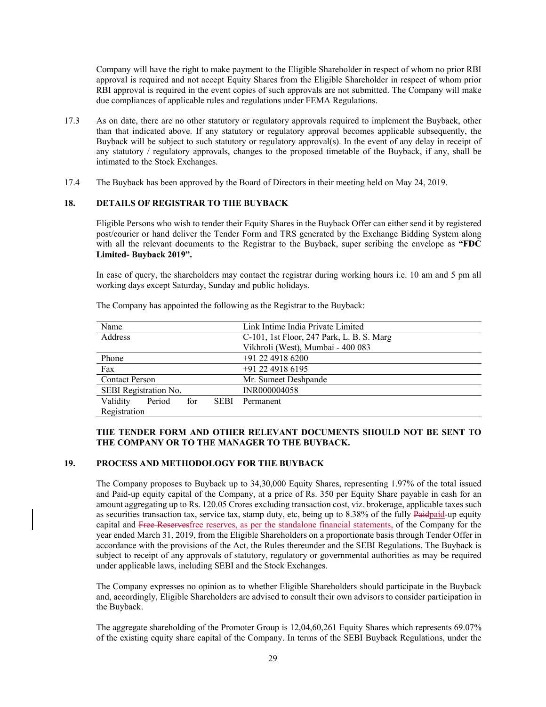Company will have the right to make payment to the Eligible Shareholder in respect of whom no prior RBI approval is required and not accept Equity Shares from the Eligible Shareholder in respect of whom prior RBI approval is required in the event copies of such approvals are not submitted. The Company will make due compliances of applicable rules and regulations under FEMA Regulations.

- 17.3 As on date, there are no other statutory or regulatory approvals required to implement the Buyback, other than that indicated above. If any statutory or regulatory approval becomes applicable subsequently, the Buyback will be subject to such statutory or regulatory approval(s). In the event of any delay in receipt of any statutory / regulatory approvals, changes to the proposed timetable of the Buyback, if any, shall be intimated to the Stock Exchanges.
- 17.4 The Buyback has been approved by the Board of Directors in their meeting held on May 24, 2019.

### **18. DETAILS OF REGISTRAR TO THE BUYBACK**

Eligible Persons who wish to tender their Equity Shares in the Buyback Offer can either send it by registered post/courier or hand deliver the Tender Form and TRS generated by the Exchange Bidding System along with all the relevant documents to the Registrar to the Buyback, super scribing the envelope as **"FDC Limited- Buyback 2019".** 

In case of query, the shareholders may contact the registrar during working hours i.e. 10 am and 5 pm all working days except Saturday, Sunday and public holidays.

| Name                  |                       |     |             | Link Intime India Private Limited         |
|-----------------------|-----------------------|-----|-------------|-------------------------------------------|
| Address               |                       |     |             | C-101, 1st Floor, 247 Park, L. B. S. Marg |
|                       |                       |     |             | Vikhroli (West), Mumbai - 400 083         |
| Phone                 |                       |     |             | $+91$ 22 4918 6200                        |
| Fax                   |                       |     |             | +91 22 4918 6195                          |
| <b>Contact Person</b> |                       |     |             | Mr. Sumeet Deshpande                      |
|                       | SEBI Registration No. |     |             | INR000004058                              |
| Validity              | Period                | for | <b>SEBI</b> | Permanent                                 |
| Registration          |                       |     |             |                                           |

The Company has appointed the following as the Registrar to the Buyback:

### **THE TENDER FORM AND OTHER RELEVANT DOCUMENTS SHOULD NOT BE SENT TO THE COMPANY OR TO THE MANAGER TO THE BUYBACK.**

#### **19. PROCESS AND METHODOLOGY FOR THE BUYBACK**

The Company proposes to Buyback up to 34,30,000 Equity Shares, representing 1.97% of the total issued and Paid-up equity capital of the Company, at a price of Rs. 350 per Equity Share payable in cash for an amount aggregating up to Rs. 120.05 Crores excluding transaction cost, viz. brokerage, applicable taxes such as securities transaction tax, service tax, stamp duty, etc, being up to 8.38% of the fully Paidpaid-up equity capital and Free Reservesfree reserves, as per the standalone financial statements, of the Company for the year ended March 31, 2019, from the Eligible Shareholders on a proportionate basis through Tender Offer in accordance with the provisions of the Act, the Rules thereunder and the SEBI Regulations. The Buyback is subject to receipt of any approvals of statutory, regulatory or governmental authorities as may be required under applicable laws, including SEBI and the Stock Exchanges.

The Company expresses no opinion as to whether Eligible Shareholders should participate in the Buyback and, accordingly, Eligible Shareholders are advised to consult their own advisors to consider participation in the Buyback.

The aggregate shareholding of the Promoter Group is 12,04,60,261 Equity Shares which represents 69.07% of the existing equity share capital of the Company. In terms of the SEBI Buyback Regulations, under the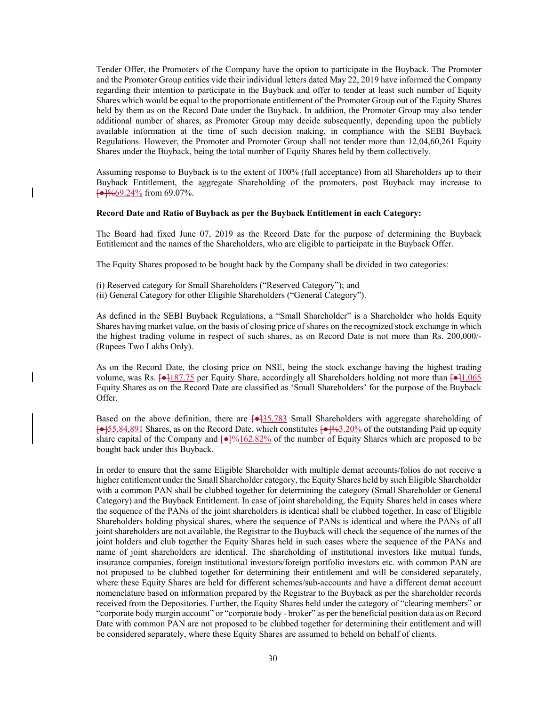Tender Offer, the Promoters of the Company have the option to participate in the Buyback. The Promoter and the Promoter Group entities vide their individual letters dated May 22, 2019 have informed the Company regarding their intention to participate in the Buyback and offer to tender at least such number of Equity Shares which would be equal to the proportionate entitlement of the Promoter Group out of the Equity Shares held by them as on the Record Date under the Buyback. In addition, the Promoter Group may also tender additional number of shares, as Promoter Group may decide subsequently, depending upon the publicly available information at the time of such decision making, in compliance with the SEBI Buyback Regulations. However, the Promoter and Promoter Group shall not tender more than 12,04,60,261 Equity Shares under the Buyback, being the total number of Equity Shares held by them collectively.

Assuming response to Buyback is to the extent of 100% (full acceptance) from all Shareholders up to their Buyback Entitlement, the aggregate Shareholding of the promoters, post Buyback may increase to  $\left[\right]$   $\left[\right]$   $\left[\right]$   $\left[\right]$   $\left[\right]$   $\left[\right]$   $\left[\right]$   $\left[\right]$   $\left[\right]$   $\left[\right]$   $\left[\right]$   $\left[\right]$   $\left[\right]$   $\left[\right]$   $\left[\right]$   $\left[\right]$   $\left[\right]$   $\left[\right]$   $\left[\right]$   $\left[\right]$   $\left[\right]$   $\left[\right]$   $\left[\right]$   $\left[\right]$   $\left[\right]$   $\left[\right]$   $\left[\right]$   $\left[\right$ 

#### **Record Date and Ratio of Buyback as per the Buyback Entitlement in each Category:**

The Board had fixed June 07, 2019 as the Record Date for the purpose of determining the Buyback Entitlement and the names of the Shareholders, who are eligible to participate in the Buyback Offer.

The Equity Shares proposed to be bought back by the Company shall be divided in two categories:

- (i) Reserved category for Small Shareholders ("Reserved Category"); and
- (ii) General Category for other Eligible Shareholders ("General Category").

As defined in the SEBI Buyback Regulations, a "Small Shareholder" is a Shareholder who holds Equity Shares having market value, on the basis of closing price of shares on the recognized stock exchange in which the highest trading volume in respect of such shares, as on Record Date is not more than Rs. 200,000/- (Rupees Two Lakhs Only).

As on the Record Date, the closing price on NSE, being the stock exchange having the highest trading volume, was Rs.  $\left[\rightarrow\right]$ 187.75 per Equity Share, accordingly all Shareholders holding not more than  $\left[\rightarrow\right]$ 1,065 Equity Shares as on the Record Date are classified as 'Small Shareholders' for the purpose of the Buyback Offer.

Based on the above definition, there are  $\left[\right. \leftarrow \left[ 33,783 \right]$  Small Shareholders with aggregate shareholding of  $[-455,84,891]$  Shares, as on the Record Date, which constitutes  $[-4,63,20\%]$  of the outstanding Paid up equity share capital of the Company and  $\left\{\frac{\bullet 1\%162.82\%}{\bullet} \right\}$  of the number of Equity Shares which are proposed to be bought back under this Buyback.

In order to ensure that the same Eligible Shareholder with multiple demat accounts/folios do not receive a higher entitlement under the Small Shareholder category, the Equity Shares held by such Eligible Shareholder with a common PAN shall be clubbed together for determining the category (Small Shareholder or General Category) and the Buyback Entitlement. In case of joint shareholding, the Equity Shares held in cases where the sequence of the PANs of the joint shareholders is identical shall be clubbed together. In case of Eligible Shareholders holding physical shares, where the sequence of PANs is identical and where the PANs of all joint shareholders are not available, the Registrar to the Buyback will check the sequence of the names of the joint holders and club together the Equity Shares held in such cases where the sequence of the PANs and name of joint shareholders are identical. The shareholding of institutional investors like mutual funds, insurance companies, foreign institutional investors/foreign portfolio investors etc. with common PAN are not proposed to be clubbed together for determining their entitlement and will be considered separately, where these Equity Shares are held for different schemes/sub-accounts and have a different demat account nomenclature based on information prepared by the Registrar to the Buyback as per the shareholder records received from the Depositories. Further, the Equity Shares held under the category of "clearing members" or "corporate body margin account" or "corporate body - broker" as per the beneficial position data as on Record Date with common PAN are not proposed to be clubbed together for determining their entitlement and will be considered separately, where these Equity Shares are assumed to beheld on behalf of clients.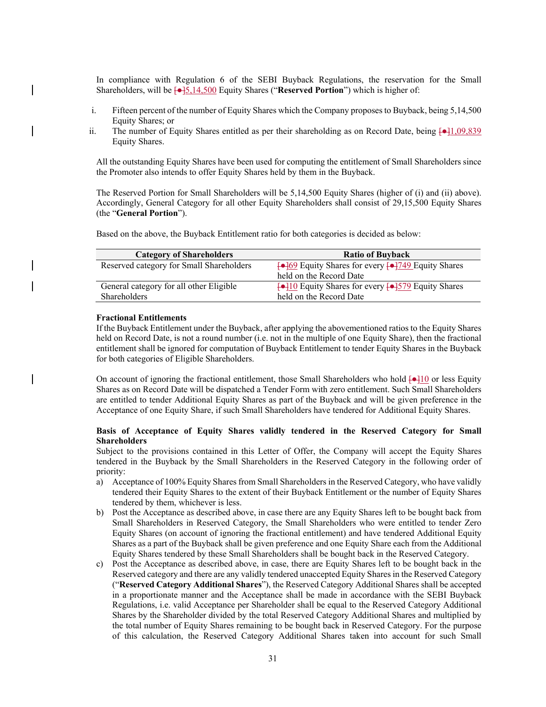In compliance with Regulation 6 of the SEBI Buyback Regulations, the reservation for the Small Shareholders, will be [●]5,14,500 Equity Shares ("**Reserved Portion**") which is higher of:

- i. Fifteen percent of the number of Equity Shares which the Company proposes to Buyback, being 5,14,500 Equity Shares; or
- ii. The number of Equity Shares entitled as per their shareholding as on Record Date, being  $\left[\rightarrow\right]1,09,839$ Equity Shares.

All the outstanding Equity Shares have been used for computing the entitlement of Small Shareholders since the Promoter also intends to offer Equity Shares held by them in the Buyback.

The Reserved Portion for Small Shareholders will be 5,14,500 Equity Shares (higher of (i) and (ii) above). Accordingly, General Category for all other Equity Shareholders shall consist of 29,15,500 Equity Shares (the "**General Portion**").

Based on the above, the Buyback Entitlement ratio for both categories is decided as below:

| <b>Category of Shareholders</b>          | <b>Ratio of Buyback</b>                                                |
|------------------------------------------|------------------------------------------------------------------------|
| Reserved category for Small Shareholders | $\leftarrow$ 69 Equity Shares for every $\leftarrow$ 749 Equity Shares |
|                                          | held on the Record Date                                                |
| General category for all other Eligible  | $\leftarrow$ 10 Equity Shares for every $\leftarrow$ 579 Equity Shares |
| Shareholders                             | held on the Record Date                                                |

#### **Fractional Entitlements**

If the Buyback Entitlement under the Buyback, after applying the abovementioned ratios to the Equity Shares held on Record Date, is not a round number (i.e. not in the multiple of one Equity Share), then the fractional entitlement shall be ignored for computation of Buyback Entitlement to tender Equity Shares in the Buyback for both categories of Eligible Shareholders.

On account of ignoring the fractional entitlement, those Small Shareholders who hold  $\left[-\frac{10}{10}\right]$  or less Equity Shares as on Record Date will be dispatched a Tender Form with zero entitlement. Such Small Shareholders are entitled to tender Additional Equity Shares as part of the Buyback and will be given preference in the Acceptance of one Equity Share, if such Small Shareholders have tendered for Additional Equity Shares.

### **Basis of Acceptance of Equity Shares validly tendered in the Reserved Category for Small Shareholders**

Subject to the provisions contained in this Letter of Offer, the Company will accept the Equity Shares tendered in the Buyback by the Small Shareholders in the Reserved Category in the following order of priority:

- a) Acceptance of 100% Equity Shares from Small Shareholders in the Reserved Category, who have validly tendered their Equity Shares to the extent of their Buyback Entitlement or the number of Equity Shares tendered by them, whichever is less.
- b) Post the Acceptance as described above, in case there are any Equity Shares left to be bought back from Small Shareholders in Reserved Category, the Small Shareholders who were entitled to tender Zero Equity Shares (on account of ignoring the fractional entitlement) and have tendered Additional Equity Shares as a part of the Buyback shall be given preference and one Equity Share each from the Additional Equity Shares tendered by these Small Shareholders shall be bought back in the Reserved Category.
- c) Post the Acceptance as described above, in case, there are Equity Shares left to be bought back in the Reserved category and there are any validly tendered unaccepted Equity Shares in the Reserved Category ("**Reserved Category Additional Shares**"), the Reserved Category Additional Shares shall be accepted in a proportionate manner and the Acceptance shall be made in accordance with the SEBI Buyback Regulations, i.e. valid Acceptance per Shareholder shall be equal to the Reserved Category Additional Shares by the Shareholder divided by the total Reserved Category Additional Shares and multiplied by the total number of Equity Shares remaining to be bought back in Reserved Category. For the purpose of this calculation, the Reserved Category Additional Shares taken into account for such Small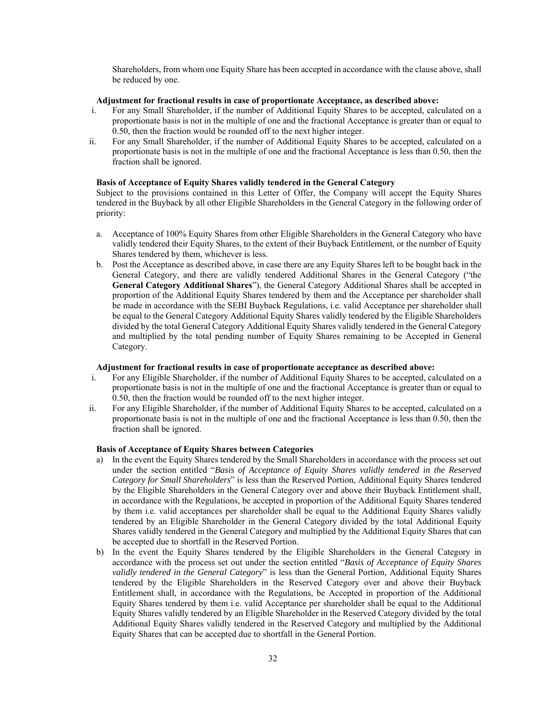Shareholders, from whom one Equity Share has been accepted in accordance with the clause above, shall be reduced by one.

### **Adjustment for fractional results in case of proportionate Acceptance, as described above:**

- i. For any Small Shareholder, if the number of Additional Equity Shares to be accepted, calculated on a proportionate basis is not in the multiple of one and the fractional Acceptance is greater than or equal to 0.50, then the fraction would be rounded off to the next higher integer.
- ii. For any Small Shareholder, if the number of Additional Equity Shares to be accepted, calculated on a proportionate basis is not in the multiple of one and the fractional Acceptance is less than 0.50, then the fraction shall be ignored.

### **Basis of Acceptance of Equity Shares validly tendered in the General Category**

Subject to the provisions contained in this Letter of Offer, the Company will accept the Equity Shares tendered in the Buyback by all other Eligible Shareholders in the General Category in the following order of priority:

- a. Acceptance of 100% Equity Shares from other Eligible Shareholders in the General Category who have validly tendered their Equity Shares, to the extent of their Buyback Entitlement, or the number of Equity Shares tendered by them, whichever is less.
- b. Post the Acceptance as described above, in case there are any Equity Shares left to be bought back in the General Category, and there are validly tendered Additional Shares in the General Category ("the **General Category Additional Shares**"), the General Category Additional Shares shall be accepted in proportion of the Additional Equity Shares tendered by them and the Acceptance per shareholder shall be made in accordance with the SEBI Buyback Regulations, i.e. valid Acceptance per shareholder shall be equal to the General Category Additional Equity Shares validly tendered by the Eligible Shareholders divided by the total General Category Additional Equity Shares validly tendered in the General Category and multiplied by the total pending number of Equity Shares remaining to be Accepted in General Category.

#### **Adjustment for fractional results in case of proportionate acceptance as described above:**

- i. For any Eligible Shareholder, if the number of Additional Equity Shares to be accepted, calculated on a proportionate basis is not in the multiple of one and the fractional Acceptance is greater than or equal to 0.50, then the fraction would be rounded off to the next higher integer.
- ii. For any Eligible Shareholder, if the number of Additional Equity Shares to be accepted, calculated on a proportionate basis is not in the multiple of one and the fractional Acceptance is less than 0.50, then the fraction shall be ignored.

### **Basis of Acceptance of Equity Shares between Categories**

- a) In the event the Equity Shares tendered by the Small Shareholders in accordance with the process set out under the section entitled "*Basis of Acceptance of Equity Shares validly tendered in the Reserved Category for Small Shareholders*" is less than the Reserved Portion, Additional Equity Shares tendered by the Eligible Shareholders in the General Category over and above their Buyback Entitlement shall, in accordance with the Regulations, be accepted in proportion of the Additional Equity Shares tendered by them i.e. valid acceptances per shareholder shall be equal to the Additional Equity Shares validly tendered by an Eligible Shareholder in the General Category divided by the total Additional Equity Shares validly tendered in the General Category and multiplied by the Additional Equity Shares that can be accepted due to shortfall in the Reserved Portion.
- b) In the event the Equity Shares tendered by the Eligible Shareholders in the General Category in accordance with the process set out under the section entitled "*Basis of Acceptance of Equity Shares validly tendered in the General Category*" is less than the General Portion, Additional Equity Shares tendered by the Eligible Shareholders in the Reserved Category over and above their Buyback Entitlement shall, in accordance with the Regulations, be Accepted in proportion of the Additional Equity Shares tendered by them i.e. valid Acceptance per shareholder shall be equal to the Additional Equity Shares validly tendered by an Eligible Shareholder in the Reserved Category divided by the total Additional Equity Shares validly tendered in the Reserved Category and multiplied by the Additional Equity Shares that can be accepted due to shortfall in the General Portion.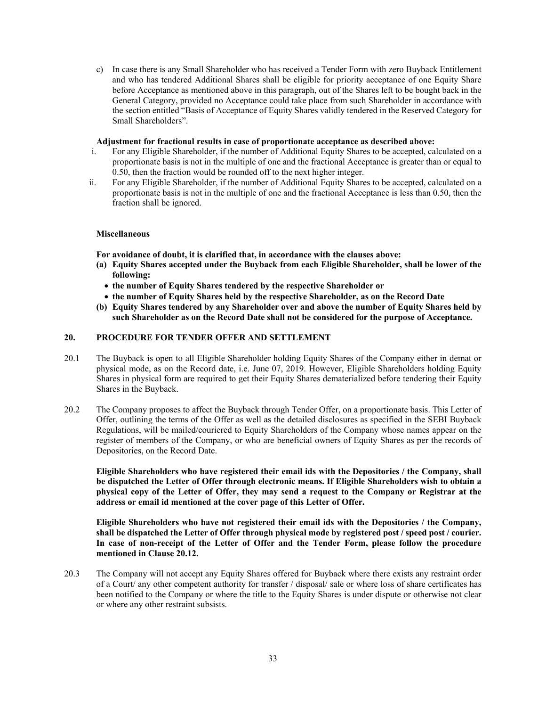c) In case there is any Small Shareholder who has received a Tender Form with zero Buyback Entitlement and who has tendered Additional Shares shall be eligible for priority acceptance of one Equity Share before Acceptance as mentioned above in this paragraph, out of the Shares left to be bought back in the General Category, provided no Acceptance could take place from such Shareholder in accordance with the section entitled "Basis of Acceptance of Equity Shares validly tendered in the Reserved Category for Small Shareholders".

### **Adjustment for fractional results in case of proportionate acceptance as described above:**

- i. For any Eligible Shareholder, if the number of Additional Equity Shares to be accepted, calculated on a proportionate basis is not in the multiple of one and the fractional Acceptance is greater than or equal to 0.50, then the fraction would be rounded off to the next higher integer.
- ii. For any Eligible Shareholder, if the number of Additional Equity Shares to be accepted, calculated on a proportionate basis is not in the multiple of one and the fractional Acceptance is less than 0.50, then the fraction shall be ignored.

### **Miscellaneous**

**For avoidance of doubt, it is clarified that, in accordance with the clauses above:** 

- **(a) Equity Shares accepted under the Buyback from each Eligible Shareholder, shall be lower of the following:** 
	- **the number of Equity Shares tendered by the respective Shareholder or**
	- **the number of Equity Shares held by the respective Shareholder, as on the Record Date**
- **(b) Equity Shares tendered by any Shareholder over and above the number of Equity Shares held by such Shareholder as on the Record Date shall not be considered for the purpose of Acceptance.**

### **20. PROCEDURE FOR TENDER OFFER AND SETTLEMENT**

- 20.1 The Buyback is open to all Eligible Shareholder holding Equity Shares of the Company either in demat or physical mode, as on the Record date, i.e. June 07, 2019. However, Eligible Shareholders holding Equity Shares in physical form are required to get their Equity Shares dematerialized before tendering their Equity Shares in the Buyback.
- 20.2 The Company proposes to affect the Buyback through Tender Offer, on a proportionate basis. This Letter of Offer, outlining the terms of the Offer as well as the detailed disclosures as specified in the SEBI Buyback Regulations, will be mailed/couriered to Equity Shareholders of the Company whose names appear on the register of members of the Company, or who are beneficial owners of Equity Shares as per the records of Depositories, on the Record Date.

**Eligible Shareholders who have registered their email ids with the Depositories / the Company, shall be dispatched the Letter of Offer through electronic means. If Eligible Shareholders wish to obtain a physical copy of the Letter of Offer, they may send a request to the Company or Registrar at the address or email id mentioned at the cover page of this Letter of Offer.** 

**Eligible Shareholders who have not registered their email ids with the Depositories / the Company, shall be dispatched the Letter of Offer through physical mode by registered post / speed post / courier. In case of non-receipt of the Letter of Offer and the Tender Form, please follow the procedure mentioned in Clause 20.12.** 

20.3 The Company will not accept any Equity Shares offered for Buyback where there exists any restraint order of a Court/ any other competent authority for transfer / disposal/ sale or where loss of share certificates has been notified to the Company or where the title to the Equity Shares is under dispute or otherwise not clear or where any other restraint subsists.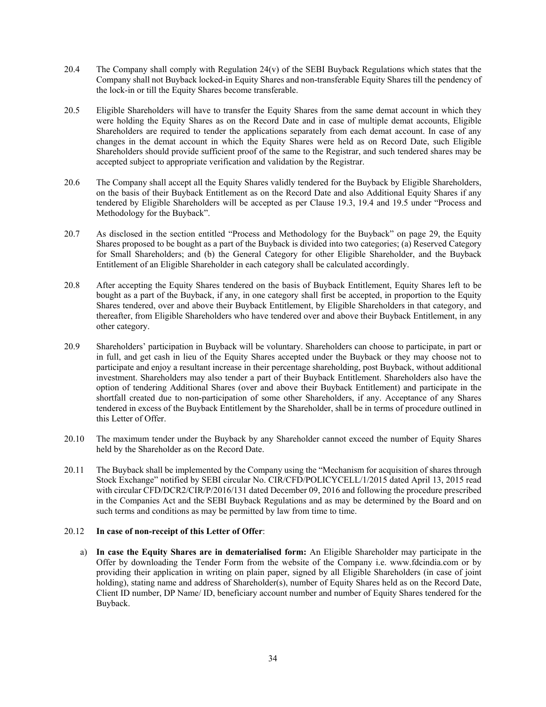- 20.4 The Company shall comply with Regulation 24(v) of the SEBI Buyback Regulations which states that the Company shall not Buyback locked-in Equity Shares and non-transferable Equity Shares till the pendency of the lock-in or till the Equity Shares become transferable.
- 20.5 Eligible Shareholders will have to transfer the Equity Shares from the same demat account in which they were holding the Equity Shares as on the Record Date and in case of multiple demat accounts, Eligible Shareholders are required to tender the applications separately from each demat account. In case of any changes in the demat account in which the Equity Shares were held as on Record Date, such Eligible Shareholders should provide sufficient proof of the same to the Registrar, and such tendered shares may be accepted subject to appropriate verification and validation by the Registrar.
- 20.6 The Company shall accept all the Equity Shares validly tendered for the Buyback by Eligible Shareholders, on the basis of their Buyback Entitlement as on the Record Date and also Additional Equity Shares if any tendered by Eligible Shareholders will be accepted as per Clause 19.3, 19.4 and 19.5 under "Process and Methodology for the Buyback".
- 20.7 As disclosed in the section entitled "Process and Methodology for the Buyback" on page 29, the Equity Shares proposed to be bought as a part of the Buyback is divided into two categories; (a) Reserved Category for Small Shareholders; and (b) the General Category for other Eligible Shareholder, and the Buyback Entitlement of an Eligible Shareholder in each category shall be calculated accordingly.
- 20.8 After accepting the Equity Shares tendered on the basis of Buyback Entitlement, Equity Shares left to be bought as a part of the Buyback, if any, in one category shall first be accepted, in proportion to the Equity Shares tendered, over and above their Buyback Entitlement, by Eligible Shareholders in that category, and thereafter, from Eligible Shareholders who have tendered over and above their Buyback Entitlement, in any other category.
- 20.9 Shareholders' participation in Buyback will be voluntary. Shareholders can choose to participate, in part or in full, and get cash in lieu of the Equity Shares accepted under the Buyback or they may choose not to participate and enjoy a resultant increase in their percentage shareholding, post Buyback, without additional investment. Shareholders may also tender a part of their Buyback Entitlement. Shareholders also have the option of tendering Additional Shares (over and above their Buyback Entitlement) and participate in the shortfall created due to non-participation of some other Shareholders, if any. Acceptance of any Shares tendered in excess of the Buyback Entitlement by the Shareholder, shall be in terms of procedure outlined in this Letter of Offer.
- 20.10 The maximum tender under the Buyback by any Shareholder cannot exceed the number of Equity Shares held by the Shareholder as on the Record Date.
- 20.11 The Buyback shall be implemented by the Company using the "Mechanism for acquisition of shares through Stock Exchange" notified by SEBI circular No. CIR/CFD/POLICYCELL/1/2015 dated April 13, 2015 read with circular CFD/DCR2/CIR/P/2016/131 dated December 09, 2016 and following the procedure prescribed in the Companies Act and the SEBI Buyback Regulations and as may be determined by the Board and on such terms and conditions as may be permitted by law from time to time.

### 20.12 **In case of non-receipt of this Letter of Offer**:

a) **In case the Equity Shares are in dematerialised form:** An Eligible Shareholder may participate in the Offer by downloading the Tender Form from the website of the Company i.e. www.fdcindia.com or by providing their application in writing on plain paper, signed by all Eligible Shareholders (in case of joint holding), stating name and address of Shareholder(s), number of Equity Shares held as on the Record Date, Client ID number, DP Name/ ID, beneficiary account number and number of Equity Shares tendered for the Buyback.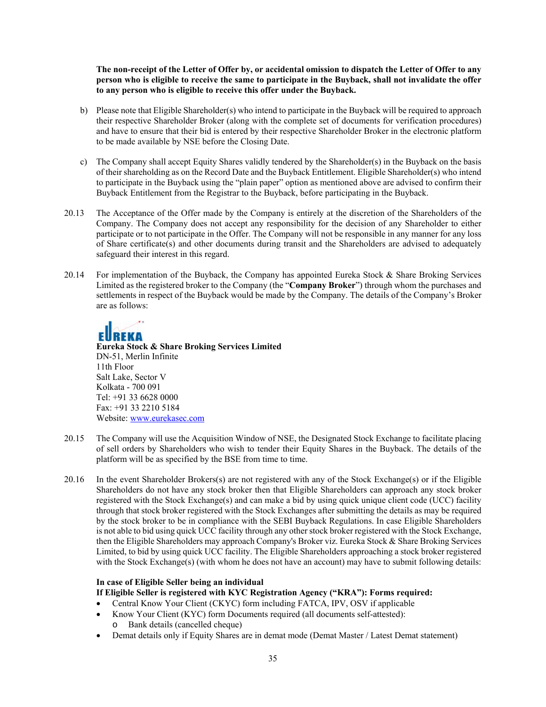**The non-receipt of the Letter of Offer by, or accidental omission to dispatch the Letter of Offer to any person who is eligible to receive the same to participate in the Buyback, shall not invalidate the offer to any person who is eligible to receive this offer under the Buyback.** 

- b) Please note that Eligible Shareholder(s) who intend to participate in the Buyback will be required to approach their respective Shareholder Broker (along with the complete set of documents for verification procedures) and have to ensure that their bid is entered by their respective Shareholder Broker in the electronic platform to be made available by NSE before the Closing Date.
- c) The Company shall accept Equity Shares validly tendered by the Shareholder(s) in the Buyback on the basis of their shareholding as on the Record Date and the Buyback Entitlement. Eligible Shareholder(s) who intend to participate in the Buyback using the "plain paper" option as mentioned above are advised to confirm their Buyback Entitlement from the Registrar to the Buyback, before participating in the Buyback.
- 20.13 The Acceptance of the Offer made by the Company is entirely at the discretion of the Shareholders of the Company. The Company does not accept any responsibility for the decision of any Shareholder to either participate or to not participate in the Offer. The Company will not be responsible in any manner for any loss of Share certificate(s) and other documents during transit and the Shareholders are advised to adequately safeguard their interest in this regard.
- 20.14 For implementation of the Buyback, the Company has appointed Eureka Stock & Share Broking Services Limited as the registered broker to the Company (the "**Company Broker**") through whom the purchases and settlements in respect of the Buyback would be made by the Company. The details of the Company's Broker are as follows:



**Eureka Stock & Share Broking Services Limited**  DN-51, Merlin Infinite 11th Floor Salt Lake, Sector V Kolkata - 700 091 Tel: +91 33 6628 0000 Fax: +91 33 2210 5184 Website: www.eurekasec.com

- 20.15 The Company will use the Acquisition Window of NSE, the Designated Stock Exchange to facilitate placing of sell orders by Shareholders who wish to tender their Equity Shares in the Buyback. The details of the platform will be as specified by the BSE from time to time.
- 20.16 In the event Shareholder Brokers(s) are not registered with any of the Stock Exchange(s) or if the Eligible Shareholders do not have any stock broker then that Eligible Shareholders can approach any stock broker registered with the Stock Exchange(s) and can make a bid by using quick unique client code (UCC) facility through that stock broker registered with the Stock Exchanges after submitting the details as may be required by the stock broker to be in compliance with the SEBI Buyback Regulations. In case Eligible Shareholders is not able to bid using quick UCC facility through any other stock broker registered with the Stock Exchange, then the Eligible Shareholders may approach Company's Broker viz. Eureka Stock & Share Broking Services Limited, to bid by using quick UCC facility. The Eligible Shareholders approaching a stock broker registered with the Stock Exchange(s) (with whom he does not have an account) may have to submit following details:

# **In case of Eligible Seller being an individual**

### **If Eligible Seller is registered with KYC Registration Agency ("KRA"): Forms required:**

- Central Know Your Client (CKYC) form including FATCA, IPV, OSV if applicable
- Know Your Client (KYC) form Documents required (all documents self-attested):
	- o Bank details (cancelled cheque)
- Demat details only if Equity Shares are in demat mode (Demat Master / Latest Demat statement)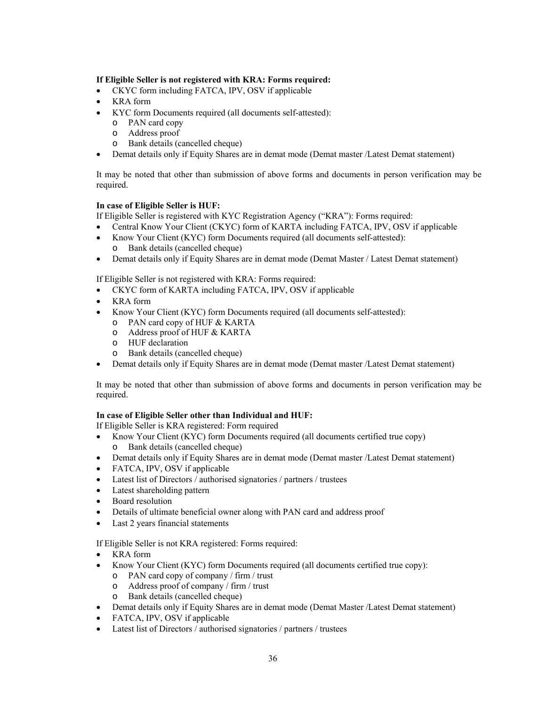### **If Eligible Seller is not registered with KRA: Forms required:**

- CKYC form including FATCA, IPV, OSV if applicable
- KRA form
- KYC form Documents required (all documents self-attested):
	- o PAN card copy
	- o Address proof
	- o Bank details (cancelled cheque)
- Demat details only if Equity Shares are in demat mode (Demat master /Latest Demat statement)

It may be noted that other than submission of above forms and documents in person verification may be required.

### **In case of Eligible Seller is HUF:**

If Eligible Seller is registered with KYC Registration Agency ("KRA"): Forms required:

- Central Know Your Client (CKYC) form of KARTA including FATCA, IPV, OSV if applicable
- Know Your Client (KYC) form Documents required (all documents self-attested): o Bank details (cancelled cheque)
- Demat details only if Equity Shares are in demat mode (Demat Master / Latest Demat statement)

If Eligible Seller is not registered with KRA: Forms required:

- CKYC form of KARTA including FATCA, IPV, OSV if applicable
- KRA form
- Know Your Client (KYC) form Documents required (all documents self-attested):
	- o PAN card copy of HUF & KARTA
	- o Address proof of HUF & KARTA
	- o HUF declaration
	- o Bank details (cancelled cheque)
- Demat details only if Equity Shares are in demat mode (Demat master /Latest Demat statement)

It may be noted that other than submission of above forms and documents in person verification may be required.

### **In case of Eligible Seller other than Individual and HUF:**

If Eligible Seller is KRA registered: Form required

- Know Your Client (KYC) form Documents required (all documents certified true copy) o Bank details (cancelled cheque)
- Demat details only if Equity Shares are in demat mode (Demat master /Latest Demat statement)
- FATCA, IPV, OSV if applicable
- Latest list of Directors / authorised signatories / partners / trustees
- Latest shareholding pattern
- Board resolution
- Details of ultimate beneficial owner along with PAN card and address proof
- Last 2 years financial statements

If Eligible Seller is not KRA registered: Forms required:

- KRA form
- Know Your Client (KYC) form Documents required (all documents certified true copy):
	- o PAN card copy of company / firm / trust
	- o Address proof of company / firm / trust
	- o Bank details (cancelled cheque)
- Demat details only if Equity Shares are in demat mode (Demat Master /Latest Demat statement)
- FATCA, IPV, OSV if applicable
- Latest list of Directors / authorised signatories / partners / trustees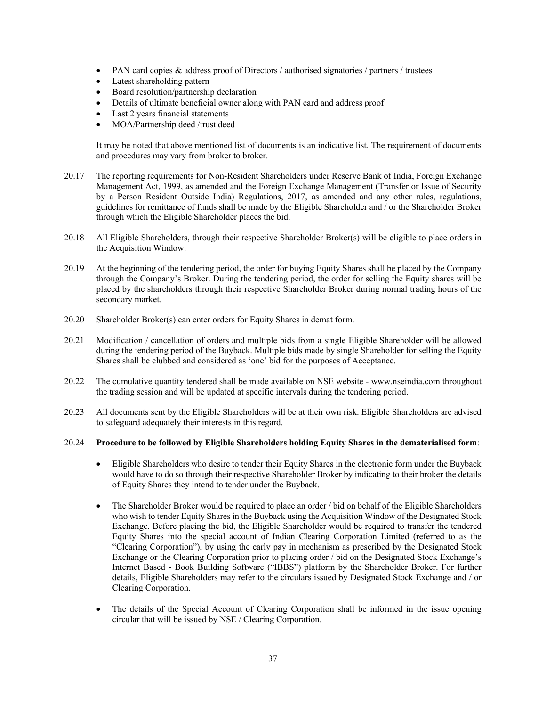- PAN card copies & address proof of Directors / authorised signatories / partners / trustees
- Latest shareholding pattern
- Board resolution/partnership declaration
- Details of ultimate beneficial owner along with PAN card and address proof
- Last 2 years financial statements
- MOA/Partnership deed /trust deed

It may be noted that above mentioned list of documents is an indicative list. The requirement of documents and procedures may vary from broker to broker.

- 20.17 The reporting requirements for Non-Resident Shareholders under Reserve Bank of India, Foreign Exchange Management Act, 1999, as amended and the Foreign Exchange Management (Transfer or Issue of Security by a Person Resident Outside India) Regulations, 2017, as amended and any other rules, regulations, guidelines for remittance of funds shall be made by the Eligible Shareholder and / or the Shareholder Broker through which the Eligible Shareholder places the bid.
- 20.18 All Eligible Shareholders, through their respective Shareholder Broker(s) will be eligible to place orders in the Acquisition Window.
- 20.19 At the beginning of the tendering period, the order for buying Equity Shares shall be placed by the Company through the Company's Broker. During the tendering period, the order for selling the Equity shares will be placed by the shareholders through their respective Shareholder Broker during normal trading hours of the secondary market.
- 20.20 Shareholder Broker(s) can enter orders for Equity Shares in demat form.
- 20.21 Modification / cancellation of orders and multiple bids from a single Eligible Shareholder will be allowed during the tendering period of the Buyback. Multiple bids made by single Shareholder for selling the Equity Shares shall be clubbed and considered as 'one' bid for the purposes of Acceptance.
- 20.22 The cumulative quantity tendered shall be made available on NSE website www.nseindia.com throughout the trading session and will be updated at specific intervals during the tendering period.
- 20.23 All documents sent by the Eligible Shareholders will be at their own risk. Eligible Shareholders are advised to safeguard adequately their interests in this regard.

#### 20.24 **Procedure to be followed by Eligible Shareholders holding Equity Shares in the dematerialised form**:

- Eligible Shareholders who desire to tender their Equity Shares in the electronic form under the Buyback would have to do so through their respective Shareholder Broker by indicating to their broker the details of Equity Shares they intend to tender under the Buyback.
- The Shareholder Broker would be required to place an order / bid on behalf of the Eligible Shareholders who wish to tender Equity Shares in the Buyback using the Acquisition Window of the Designated Stock Exchange. Before placing the bid, the Eligible Shareholder would be required to transfer the tendered Equity Shares into the special account of Indian Clearing Corporation Limited (referred to as the "Clearing Corporation"), by using the early pay in mechanism as prescribed by the Designated Stock Exchange or the Clearing Corporation prior to placing order / bid on the Designated Stock Exchange's Internet Based - Book Building Software ("IBBS") platform by the Shareholder Broker. For further details, Eligible Shareholders may refer to the circulars issued by Designated Stock Exchange and / or Clearing Corporation.
- The details of the Special Account of Clearing Corporation shall be informed in the issue opening circular that will be issued by NSE / Clearing Corporation.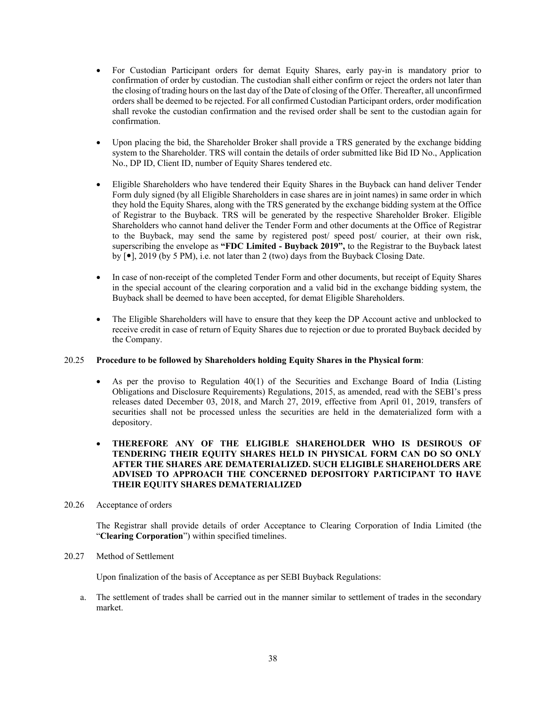- For Custodian Participant orders for demat Equity Shares, early pay-in is mandatory prior to confirmation of order by custodian. The custodian shall either confirm or reject the orders not later than the closing of trading hours on the last day of the Date of closing of the Offer. Thereafter, all unconfirmed orders shall be deemed to be rejected. For all confirmed Custodian Participant orders, order modification shall revoke the custodian confirmation and the revised order shall be sent to the custodian again for confirmation.
- Upon placing the bid, the Shareholder Broker shall provide a TRS generated by the exchange bidding system to the Shareholder. TRS will contain the details of order submitted like Bid ID No., Application No., DP ID, Client ID, number of Equity Shares tendered etc.
- Eligible Shareholders who have tendered their Equity Shares in the Buyback can hand deliver Tender Form duly signed (by all Eligible Shareholders in case shares are in joint names) in same order in which they hold the Equity Shares, along with the TRS generated by the exchange bidding system at the Office of Registrar to the Buyback. TRS will be generated by the respective Shareholder Broker. Eligible Shareholders who cannot hand deliver the Tender Form and other documents at the Office of Registrar to the Buyback, may send the same by registered post/ speed post/ courier, at their own risk, superscribing the envelope as **"FDC Limited - Buyback 2019",** to the Registrar to the Buyback latest by  $\lceil \bullet \rceil$ , 2019 (by 5 PM), i.e. not later than 2 (two) days from the Buyback Closing Date.
- In case of non-receipt of the completed Tender Form and other documents, but receipt of Equity Shares in the special account of the clearing corporation and a valid bid in the exchange bidding system, the Buyback shall be deemed to have been accepted, for demat Eligible Shareholders.
- The Eligible Shareholders will have to ensure that they keep the DP Account active and unblocked to receive credit in case of return of Equity Shares due to rejection or due to prorated Buyback decided by the Company.

#### 20.25 **Procedure to be followed by Shareholders holding Equity Shares in the Physical form**:

 $\bullet$  As per the proviso to Regulation 40(1) of the Securities and Exchange Board of India (Listing Obligations and Disclosure Requirements) Regulations, 2015, as amended, read with the SEBI's press releases dated December 03, 2018, and March 27, 2019, effective from April 01, 2019, transfers of securities shall not be processed unless the securities are held in the dematerialized form with a depository.

### **THEREFORE ANY OF THE ELIGIBLE SHAREHOLDER WHO IS DESIROUS OF TENDERING THEIR EQUITY SHARES HELD IN PHYSICAL FORM CAN DO SO ONLY AFTER THE SHARES ARE DEMATERIALIZED. SUCH ELIGIBLE SHAREHOLDERS ARE ADVISED TO APPROACH THE CONCERNED DEPOSITORY PARTICIPANT TO HAVE THEIR EQUITY SHARES DEMATERIALIZED**

### 20.26 Acceptance of orders

The Registrar shall provide details of order Acceptance to Clearing Corporation of India Limited (the "**Clearing Corporation**") within specified timelines.

### 20.27 Method of Settlement

Upon finalization of the basis of Acceptance as per SEBI Buyback Regulations:

a. The settlement of trades shall be carried out in the manner similar to settlement of trades in the secondary market.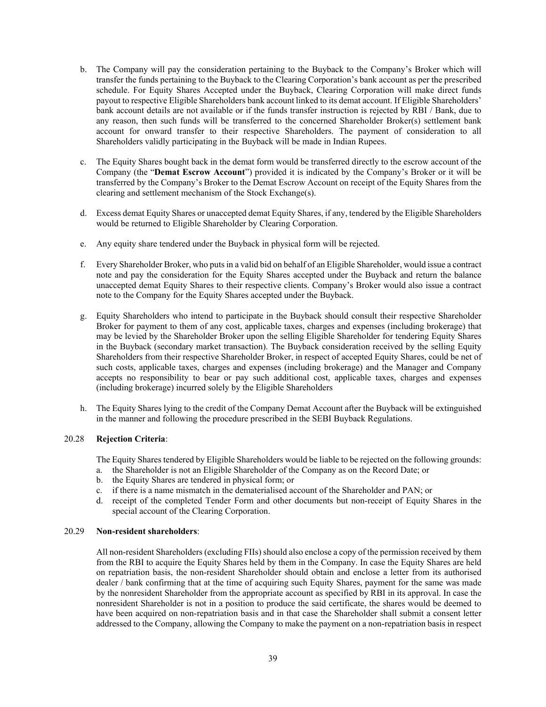- b. The Company will pay the consideration pertaining to the Buyback to the Company's Broker which will transfer the funds pertaining to the Buyback to the Clearing Corporation's bank account as per the prescribed schedule. For Equity Shares Accepted under the Buyback, Clearing Corporation will make direct funds payout to respective Eligible Shareholders bank account linked to its demat account. If Eligible Shareholders' bank account details are not available or if the funds transfer instruction is rejected by RBI / Bank, due to any reason, then such funds will be transferred to the concerned Shareholder Broker(s) settlement bank account for onward transfer to their respective Shareholders. The payment of consideration to all Shareholders validly participating in the Buyback will be made in Indian Rupees.
- c. The Equity Shares bought back in the demat form would be transferred directly to the escrow account of the Company (the "**Demat Escrow Account**") provided it is indicated by the Company's Broker or it will be transferred by the Company's Broker to the Demat Escrow Account on receipt of the Equity Shares from the clearing and settlement mechanism of the Stock Exchange(s).
- d. Excess demat Equity Shares or unaccepted demat Equity Shares, if any, tendered by the Eligible Shareholders would be returned to Eligible Shareholder by Clearing Corporation.
- e. Any equity share tendered under the Buyback in physical form will be rejected.
- f. Every Shareholder Broker, who puts in a valid bid on behalf of an Eligible Shareholder, would issue a contract note and pay the consideration for the Equity Shares accepted under the Buyback and return the balance unaccepted demat Equity Shares to their respective clients. Company's Broker would also issue a contract note to the Company for the Equity Shares accepted under the Buyback.
- g. Equity Shareholders who intend to participate in the Buyback should consult their respective Shareholder Broker for payment to them of any cost, applicable taxes, charges and expenses (including brokerage) that may be levied by the Shareholder Broker upon the selling Eligible Shareholder for tendering Equity Shares in the Buyback (secondary market transaction). The Buyback consideration received by the selling Equity Shareholders from their respective Shareholder Broker, in respect of accepted Equity Shares, could be net of such costs, applicable taxes, charges and expenses (including brokerage) and the Manager and Company accepts no responsibility to bear or pay such additional cost, applicable taxes, charges and expenses (including brokerage) incurred solely by the Eligible Shareholders
- h. The Equity Shares lying to the credit of the Company Demat Account after the Buyback will be extinguished in the manner and following the procedure prescribed in the SEBI Buyback Regulations.

#### 20.28 **Rejection Criteria**:

The Equity Shares tendered by Eligible Shareholders would be liable to be rejected on the following grounds:

- a. the Shareholder is not an Eligible Shareholder of the Company as on the Record Date; or
- b. the Equity Shares are tendered in physical form; or
- c. if there is a name mismatch in the dematerialised account of the Shareholder and PAN; or
- d. receipt of the completed Tender Form and other documents but non-receipt of Equity Shares in the special account of the Clearing Corporation.

### 20.29 **Non-resident shareholders**:

All non-resident Shareholders (excluding FIIs) should also enclose a copy of the permission received by them from the RBI to acquire the Equity Shares held by them in the Company. In case the Equity Shares are held on repatriation basis, the non-resident Shareholder should obtain and enclose a letter from its authorised dealer / bank confirming that at the time of acquiring such Equity Shares, payment for the same was made by the nonresident Shareholder from the appropriate account as specified by RBI in its approval. In case the nonresident Shareholder is not in a position to produce the said certificate, the shares would be deemed to have been acquired on non-repatriation basis and in that case the Shareholder shall submit a consent letter addressed to the Company, allowing the Company to make the payment on a non-repatriation basis in respect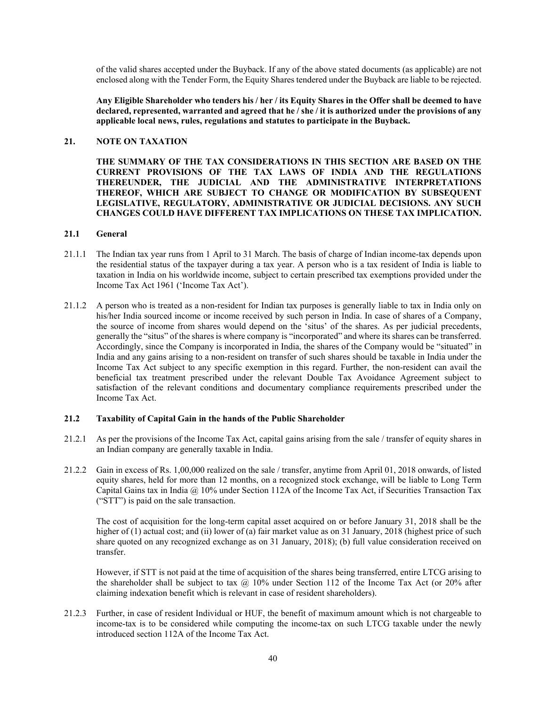of the valid shares accepted under the Buyback. If any of the above stated documents (as applicable) are not enclosed along with the Tender Form, the Equity Shares tendered under the Buyback are liable to be rejected.

**Any Eligible Shareholder who tenders his / her / its Equity Shares in the Offer shall be deemed to have declared, represented, warranted and agreed that he / she / it is authorized under the provisions of any applicable local news, rules, regulations and statutes to participate in the Buyback.** 

### **21. NOTE ON TAXATION**

**THE SUMMARY OF THE TAX CONSIDERATIONS IN THIS SECTION ARE BASED ON THE CURRENT PROVISIONS OF THE TAX LAWS OF INDIA AND THE REGULATIONS THEREUNDER, THE JUDICIAL AND THE ADMINISTRATIVE INTERPRETATIONS THEREOF, WHICH ARE SUBJECT TO CHANGE OR MODIFICATION BY SUBSEQUENT LEGISLATIVE, REGULATORY, ADMINISTRATIVE OR JUDICIAL DECISIONS. ANY SUCH CHANGES COULD HAVE DIFFERENT TAX IMPLICATIONS ON THESE TAX IMPLICATION.**

### **21.1 General**

- 21.1.1 The Indian tax year runs from 1 April to 31 March. The basis of charge of Indian income-tax depends upon the residential status of the taxpayer during a tax year. A person who is a tax resident of India is liable to taxation in India on his worldwide income, subject to certain prescribed tax exemptions provided under the Income Tax Act 1961 ('Income Tax Act').
- 21.1.2 A person who is treated as a non-resident for Indian tax purposes is generally liable to tax in India only on his/her India sourced income or income received by such person in India. In case of shares of a Company, the source of income from shares would depend on the 'situs' of the shares. As per judicial precedents, generally the "situs" of the shares is where company is "incorporated" and where its shares can be transferred. Accordingly, since the Company is incorporated in India, the shares of the Company would be "situated" in India and any gains arising to a non-resident on transfer of such shares should be taxable in India under the Income Tax Act subject to any specific exemption in this regard. Further, the non-resident can avail the beneficial tax treatment prescribed under the relevant Double Tax Avoidance Agreement subject to satisfaction of the relevant conditions and documentary compliance requirements prescribed under the Income Tax Act.

### **21.2 Taxability of Capital Gain in the hands of the Public Shareholder**

- 21.2.1 As per the provisions of the Income Tax Act, capital gains arising from the sale / transfer of equity shares in an Indian company are generally taxable in India.
- 21.2.2 Gain in excess of Rs. 1,00,000 realized on the sale / transfer, anytime from April 01, 2018 onwards, of listed equity shares, held for more than 12 months, on a recognized stock exchange, will be liable to Long Term Capital Gains tax in India @ 10% under Section 112A of the Income Tax Act, if Securities Transaction Tax ("STT") is paid on the sale transaction.

The cost of acquisition for the long-term capital asset acquired on or before January 31, 2018 shall be the higher of (1) actual cost; and (ii) lower of (a) fair market value as on 31 January, 2018 (highest price of such share quoted on any recognized exchange as on 31 January, 2018); (b) full value consideration received on transfer.

However, if STT is not paid at the time of acquisition of the shares being transferred, entire LTCG arising to the shareholder shall be subject to tax  $\omega$  10% under Section 112 of the Income Tax Act (or 20% after claiming indexation benefit which is relevant in case of resident shareholders).

21.2.3 Further, in case of resident Individual or HUF, the benefit of maximum amount which is not chargeable to income-tax is to be considered while computing the income-tax on such LTCG taxable under the newly introduced section 112A of the Income Tax Act.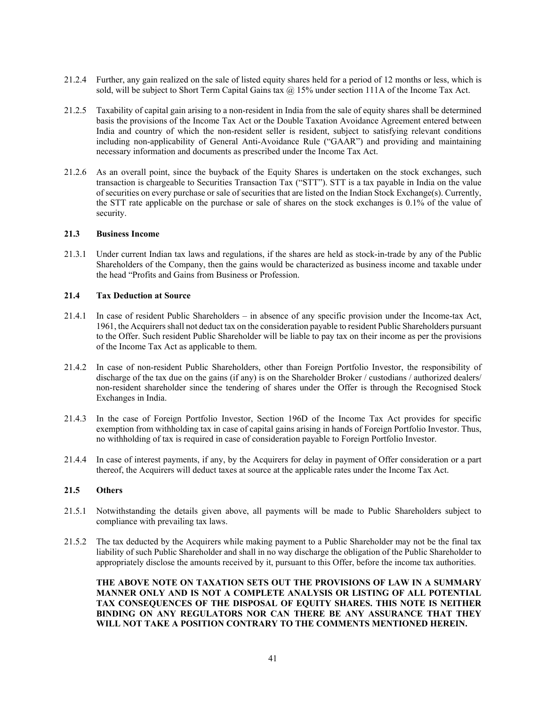- 21.2.4 Further, any gain realized on the sale of listed equity shares held for a period of 12 months or less, which is sold, will be subject to Short Term Capital Gains tax  $@$  15% under section 111A of the Income Tax Act.
- 21.2.5 Taxability of capital gain arising to a non-resident in India from the sale of equity shares shall be determined basis the provisions of the Income Tax Act or the Double Taxation Avoidance Agreement entered between India and country of which the non-resident seller is resident, subject to satisfying relevant conditions including non-applicability of General Anti-Avoidance Rule ("GAAR") and providing and maintaining necessary information and documents as prescribed under the Income Tax Act.
- 21.2.6 As an overall point, since the buyback of the Equity Shares is undertaken on the stock exchanges, such transaction is chargeable to Securities Transaction Tax ("STT"). STT is a tax payable in India on the value of securities on every purchase or sale of securities that are listed on the Indian Stock Exchange(s). Currently, the STT rate applicable on the purchase or sale of shares on the stock exchanges is 0.1% of the value of security.

#### **21.3 Business Income**

21.3.1 Under current Indian tax laws and regulations, if the shares are held as stock-in-trade by any of the Public Shareholders of the Company, then the gains would be characterized as business income and taxable under the head "Profits and Gains from Business or Profession.

### **21.4 Tax Deduction at Source**

- 21.4.1 In case of resident Public Shareholders in absence of any specific provision under the Income-tax Act, 1961, the Acquirers shall not deduct tax on the consideration payable to resident Public Shareholders pursuant to the Offer. Such resident Public Shareholder will be liable to pay tax on their income as per the provisions of the Income Tax Act as applicable to them.
- 21.4.2 In case of non-resident Public Shareholders, other than Foreign Portfolio Investor, the responsibility of discharge of the tax due on the gains (if any) is on the Shareholder Broker / custodians / authorized dealers/ non-resident shareholder since the tendering of shares under the Offer is through the Recognised Stock Exchanges in India.
- 21.4.3 In the case of Foreign Portfolio Investor, Section 196D of the Income Tax Act provides for specific exemption from withholding tax in case of capital gains arising in hands of Foreign Portfolio Investor. Thus, no withholding of tax is required in case of consideration payable to Foreign Portfolio Investor.
- 21.4.4 In case of interest payments, if any, by the Acquirers for delay in payment of Offer consideration or a part thereof, the Acquirers will deduct taxes at source at the applicable rates under the Income Tax Act.

### **21.5 Others**

- 21.5.1 Notwithstanding the details given above, all payments will be made to Public Shareholders subject to compliance with prevailing tax laws.
- 21.5.2 The tax deducted by the Acquirers while making payment to a Public Shareholder may not be the final tax liability of such Public Shareholder and shall in no way discharge the obligation of the Public Shareholder to appropriately disclose the amounts received by it, pursuant to this Offer, before the income tax authorities.

**THE ABOVE NOTE ON TAXATION SETS OUT THE PROVISIONS OF LAW IN A SUMMARY MANNER ONLY AND IS NOT A COMPLETE ANALYSIS OR LISTING OF ALL POTENTIAL TAX CONSEQUENCES OF THE DISPOSAL OF EQUITY SHARES. THIS NOTE IS NEITHER BINDING ON ANY REGULATORS NOR CAN THERE BE ANY ASSURANCE THAT THEY WILL NOT TAKE A POSITION CONTRARY TO THE COMMENTS MENTIONED HEREIN.**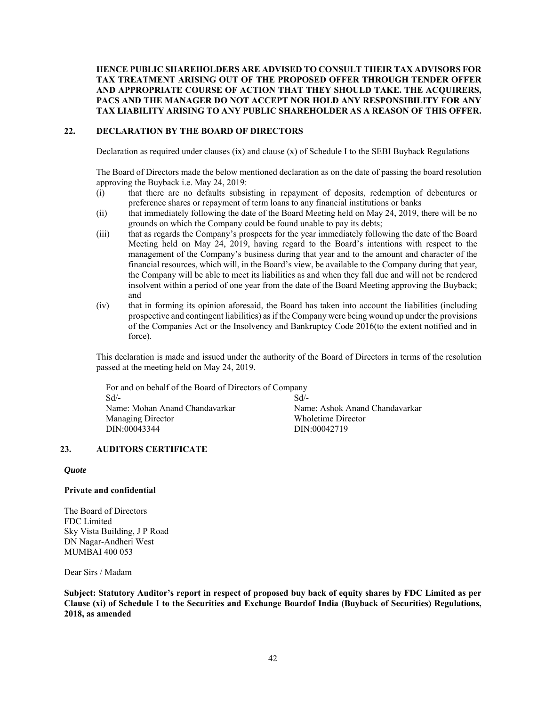### **HENCE PUBLIC SHAREHOLDERS ARE ADVISED TO CONSULT THEIR TAX ADVISORS FOR TAX TREATMENT ARISING OUT OF THE PROPOSED OFFER THROUGH TENDER OFFER AND APPROPRIATE COURSE OF ACTION THAT THEY SHOULD TAKE. THE ACQUIRERS, PACS AND THE MANAGER DO NOT ACCEPT NOR HOLD ANY RESPONSIBILITY FOR ANY TAX LIABILITY ARISING TO ANY PUBLIC SHAREHOLDER AS A REASON OF THIS OFFER.**

### **22. DECLARATION BY THE BOARD OF DIRECTORS**

Declaration as required under clauses  $(ix)$  and clause  $(x)$  of Schedule I to the SEBI Buyback Regulations

The Board of Directors made the below mentioned declaration as on the date of passing the board resolution approving the Buyback i.e. May 24, 2019:

- (i) that there are no defaults subsisting in repayment of deposits, redemption of debentures or preference shares or repayment of term loans to any financial institutions or banks
- (ii) that immediately following the date of the Board Meeting held on May 24, 2019, there will be no grounds on which the Company could be found unable to pay its debts;
- (iii) that as regards the Company's prospects for the year immediately following the date of the Board Meeting held on May 24, 2019, having regard to the Board's intentions with respect to the management of the Company's business during that year and to the amount and character of the financial resources, which will, in the Board's view, be available to the Company during that year, the Company will be able to meet its liabilities as and when they fall due and will not be rendered insolvent within a period of one year from the date of the Board Meeting approving the Buyback; and
- (iv) that in forming its opinion aforesaid, the Board has taken into account the liabilities (including prospective and contingent liabilities) as if the Company were being wound up under the provisions of the Companies Act or the Insolvency and Bankruptcy Code 2016(to the extent notified and in force).

This declaration is made and issued under the authority of the Board of Directors in terms of the resolution passed at the meeting held on May 24, 2019.

For and on behalf of the Board of Directors of Company Sd/- Name: Mohan Anand Chandavarkar Managing Director DIN:00043344  $Sd$ <sup>-</sup> Name: Ashok Anand Chandavarkar Wholetime Director DIN:00042719

### **23. AUDITORS CERTIFICATE**

#### *Quote*

#### **Private and confidential**

The Board of Directors FDC Limited Sky Vista Building, J P Road DN Nagar-Andheri West MUMBAI 400 053

Dear Sirs / Madam

**Subject: Statutory Auditor's report in respect of proposed buy back of equity shares by FDC Limited as per Clause (xi) of Schedule I to the Securities and Exchange Boardof India (Buyback of Securities) Regulations, 2018, as amended**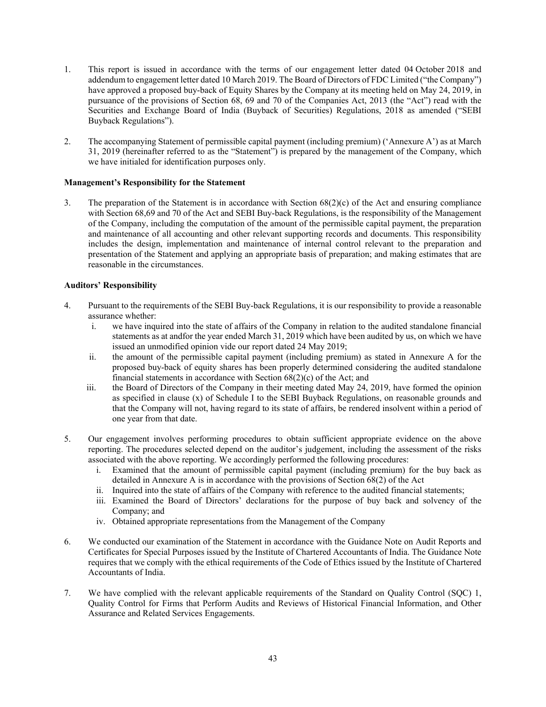- 1. This report is issued in accordance with the terms of our engagement letter dated 04 October 2018 and addendum to engagement letter dated 10 March 2019. The Board of Directors of FDC Limited ("the Company") have approved a proposed buy-back of Equity Shares by the Company at its meeting held on May 24, 2019, in pursuance of the provisions of Section 68, 69 and 70 of the Companies Act, 2013 (the "Act") read with the Securities and Exchange Board of India (Buyback of Securities) Regulations, 2018 as amended ("SEBI Buyback Regulations").
- 2. The accompanying Statement of permissible capital payment (including premium) ('Annexure A') as at March 31, 2019 (hereinafter referred to as the "Statement") is prepared by the management of the Company, which we have initialed for identification purposes only.

### **Management's Responsibility for the Statement**

3. The preparation of the Statement is in accordance with Section 68(2)(c) of the Act and ensuring compliance with Section 68,69 and 70 of the Act and SEBI Buy-back Regulations, is the responsibility of the Management of the Company, including the computation of the amount of the permissible capital payment, the preparation and maintenance of all accounting and other relevant supporting records and documents. This responsibility includes the design, implementation and maintenance of internal control relevant to the preparation and presentation of the Statement and applying an appropriate basis of preparation; and making estimates that are reasonable in the circumstances.

### **Auditors' Responsibility**

- 4. Pursuant to the requirements of the SEBI Buy-back Regulations, it is our responsibility to provide a reasonable assurance whether:
	- i. we have inquired into the state of affairs of the Company in relation to the audited standalone financial statements as at andfor the year ended March 31, 2019 which have been audited by us, on which we have issued an unmodified opinion vide our report dated 24 May 2019;
	- ii. the amount of the permissible capital payment (including premium) as stated in Annexure A for the proposed buy-back of equity shares has been properly determined considering the audited standalone financial statements in accordance with Section  $68(2)(c)$  of the Act; and
	- iii. the Board of Directors of the Company in their meeting dated May 24, 2019, have formed the opinion as specified in clause (x) of Schedule I to the SEBI Buyback Regulations, on reasonable grounds and that the Company will not, having regard to its state of affairs, be rendered insolvent within a period of one year from that date.
- 5. Our engagement involves performing procedures to obtain sufficient appropriate evidence on the above reporting. The procedures selected depend on the auditor's judgement, including the assessment of the risks associated with the above reporting. We accordingly performed the following procedures:
	- i. Examined that the amount of permissible capital payment (including premium) for the buy back as detailed in Annexure A is in accordance with the provisions of Section 68(2) of the Act
	- ii. Inquired into the state of affairs of the Company with reference to the audited financial statements;
	- iii. Examined the Board of Directors' declarations for the purpose of buy back and solvency of the Company; and
	- iv. Obtained appropriate representations from the Management of the Company
- 6. We conducted our examination of the Statement in accordance with the Guidance Note on Audit Reports and Certificates for Special Purposes issued by the Institute of Chartered Accountants of India. The Guidance Note requires that we comply with the ethical requirements of the Code of Ethics issued by the Institute of Chartered Accountants of India.
- 7. We have complied with the relevant applicable requirements of the Standard on Quality Control (SQC) 1, Quality Control for Firms that Perform Audits and Reviews of Historical Financial Information, and Other Assurance and Related Services Engagements.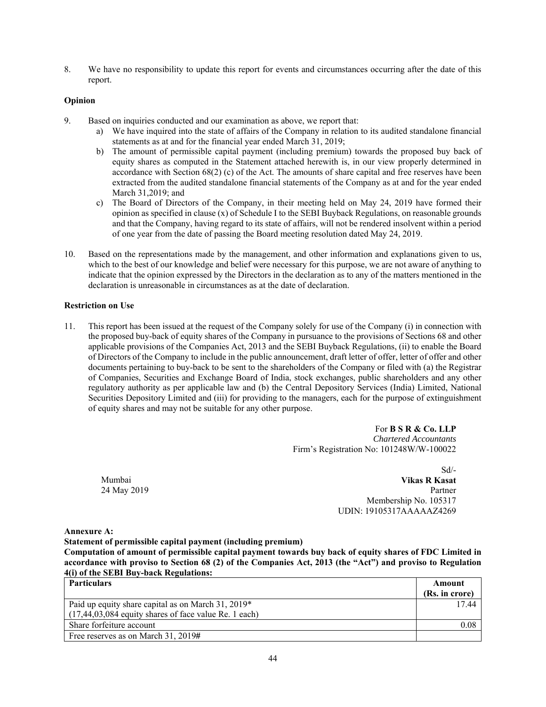8. We have no responsibility to update this report for events and circumstances occurring after the date of this report.

### **Opinion**

- 9. Based on inquiries conducted and our examination as above, we report that:
	- a) We have inquired into the state of affairs of the Company in relation to its audited standalone financial statements as at and for the financial year ended March 31, 2019;
	- b) The amount of permissible capital payment (including premium) towards the proposed buy back of equity shares as computed in the Statement attached herewith is, in our view properly determined in accordance with Section 68(2) (c) of the Act. The amounts of share capital and free reserves have been extracted from the audited standalone financial statements of the Company as at and for the year ended March 31,2019; and
	- c) The Board of Directors of the Company, in their meeting held on May 24, 2019 have formed their opinion as specified in clause (x) of Schedule I to the SEBI Buyback Regulations, on reasonable grounds and that the Company, having regard to its state of affairs, will not be rendered insolvent within a period of one year from the date of passing the Board meeting resolution dated May 24, 2019.
- 10. Based on the representations made by the management, and other information and explanations given to us, which to the best of our knowledge and belief were necessary for this purpose, we are not aware of anything to indicate that the opinion expressed by the Directors in the declaration as to any of the matters mentioned in the declaration is unreasonable in circumstances as at the date of declaration.

### **Restriction on Use**

11. This report has been issued at the request of the Company solely for use of the Company (i) in connection with the proposed buy-back of equity shares of the Company in pursuance to the provisions of Sections 68 and other applicable provisions of the Companies Act, 2013 and the SEBI Buyback Regulations, (ii) to enable the Board of Directors of the Company to include in the public announcement, draft letter of offer, letter of offer and other documents pertaining to buy-back to be sent to the shareholders of the Company or filed with (a) the Registrar of Companies, Securities and Exchange Board of India, stock exchanges, public shareholders and any other regulatory authority as per applicable law and (b) the Central Depository Services (India) Limited, National Securities Depository Limited and (iii) for providing to the managers, each for the purpose of extinguishment of equity shares and may not be suitable for any other purpose.

> For **B S R & Co. LLP** *Chartered Accountants* Firm's Registration No: 101248W/W-100022

 $Sd/$ - Mumbai **Vikas R Kasat**  24 May 2019 Partner Membership No. 105317 UDIN: 19105317AAAAAZ4269

#### **Annexure A:**

**Statement of permissible capital payment (including premium)** 

**Computation of amount of permissible capital payment towards buy back of equity shares of FDC Limited in accordance with proviso to Section 68 (2) of the Companies Act, 2013 (the "Act") and proviso to Regulation 4(i) of the SEBI Buy-back Regulations:** 

| <b>Particulars</b>                                       | Amount         |  |
|----------------------------------------------------------|----------------|--|
|                                                          | (Rs. in crore) |  |
| Paid up equity share capital as on March 31, 2019*       | 17.44          |  |
| $(17,44,03,084)$ equity shares of face value Re. 1 each) |                |  |
| Share forfeiture account                                 | 0.08           |  |
| Free reserves as on March 31, 2019#                      |                |  |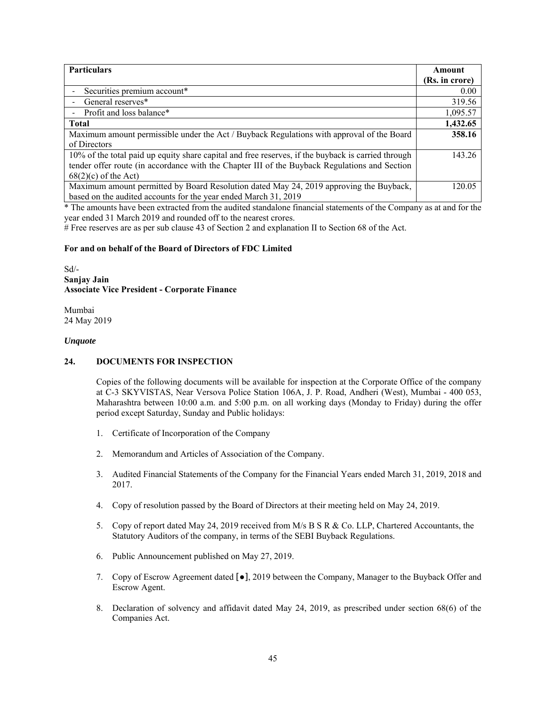| <b>Particulars</b>                                                                                 |                |  |  |
|----------------------------------------------------------------------------------------------------|----------------|--|--|
|                                                                                                    | (Rs. in crore) |  |  |
| Securities premium account*                                                                        | 0.00           |  |  |
| General reserves*                                                                                  | 319.56         |  |  |
| Profit and loss balance*                                                                           | 1,095.57       |  |  |
| <b>Total</b>                                                                                       |                |  |  |
| Maximum amount permissible under the Act / Buyback Regulations with approval of the Board          | 358.16         |  |  |
| of Directors                                                                                       |                |  |  |
| 10% of the total paid up equity share capital and free reserves, if the buyback is carried through | 143.26         |  |  |
| tender offer route (in accordance with the Chapter III of the Buyback Regulations and Section      |                |  |  |
| $68(2)(c)$ of the Act)                                                                             |                |  |  |
| Maximum amount permitted by Board Resolution dated May 24, 2019 approving the Buyback,             | 120.05         |  |  |
| based on the audited accounts for the year ended March 31, 2019                                    |                |  |  |

\* The amounts have been extracted from the audited standalone financial statements of the Company as at and for the year ended 31 March 2019 and rounded off to the nearest crores.

# Free reserves are as per sub clause 43 of Section 2 and explanation II to Section 68 of the Act.

#### **For and on behalf of the Board of Directors of FDC Limited**

Sd/- **Sanjay Jain Associate Vice President - Corporate Finance** 

Mumbai 24 May 2019

#### *Unquote*

### **24. DOCUMENTS FOR INSPECTION**

Copies of the following documents will be available for inspection at the Corporate Office of the company at C-3 SKYVISTAS, Near Versova Police Station 106A, J. P. Road, Andheri (West), Mumbai - 400 053, Maharashtra between 10:00 a.m. and 5:00 p.m. on all working days (Monday to Friday) during the offer period except Saturday, Sunday and Public holidays:

- 1. Certificate of Incorporation of the Company
- 2. Memorandum and Articles of Association of the Company.
- 3. Audited Financial Statements of the Company for the Financial Years ended March 31, 2019, 2018 and 2017.
- 4. Copy of resolution passed by the Board of Directors at their meeting held on May 24, 2019.
- 5. Copy of report dated May 24, 2019 received from M/s B S R & Co. LLP, Chartered Accountants, the Statutory Auditors of the company, in terms of the SEBI Buyback Regulations.
- 6. Public Announcement published on May 27, 2019.
- 7. Copy of Escrow Agreement dated  $\lceil \bullet \rceil$ , 2019 between the Company, Manager to the Buyback Offer and Escrow Agent.
- 8. Declaration of solvency and affidavit dated May 24, 2019, as prescribed under section 68(6) of the Companies Act.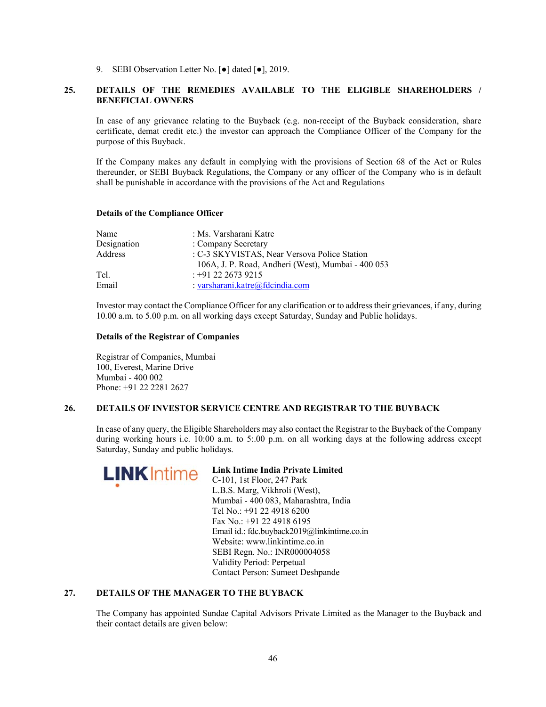9. SEBI Observation Letter No. [ $\bullet$ ] dated [ $\bullet$ ], 2019.

### **25. DETAILS OF THE REMEDIES AVAILABLE TO THE ELIGIBLE SHAREHOLDERS / BENEFICIAL OWNERS**

In case of any grievance relating to the Buyback (e.g. non-receipt of the Buyback consideration, share certificate, demat credit etc.) the investor can approach the Compliance Officer of the Company for the purpose of this Buyback.

If the Company makes any default in complying with the provisions of Section 68 of the Act or Rules thereunder, or SEBI Buyback Regulations, the Company or any officer of the Company who is in default shall be punishable in accordance with the provisions of the Act and Regulations

| Name        | : Ms. Varsharani Katre                             |
|-------------|----------------------------------------------------|
| Designation | : Company Secretary                                |
| Address     | : C-3 SKYVISTAS, Near Versova Police Station       |
|             | 106A, J. P. Road, Andheri (West), Mumbai - 400 053 |
| Tel.        | $: +91$ 22 2673 9215                               |
| Email       | : varsharani.katre@fdcindia.com                    |

#### **Details of the Compliance Officer**

Investor may contact the Compliance Officer for any clarification or to address their grievances, if any, during 10.00 a.m. to 5.00 p.m. on all working days except Saturday, Sunday and Public holidays.

#### **Details of the Registrar of Companies**

Registrar of Companies, Mumbai 100, Everest, Marine Drive Mumbai - 400 002 Phone: +91 22 2281 2627

### **26. DETAILS OF INVESTOR SERVICE CENTRE AND REGISTRAR TO THE BUYBACK**

In case of any query, the Eligible Shareholders may also contact the Registrar to the Buyback of the Company during working hours i.e. 10:00 a.m. to 5:.00 p.m. on all working days at the following address except Saturday, Sunday and public holidays.



# **Link Intime India Private Limited**

C-101, 1st Floor, 247 Park L.B.S. Marg, Vikhroli (West), Mumbai - 400 083, Maharashtra, India Tel No.: +91 22 4918 6200 Fax No.: +91 22 4918 6195 Email id.: fdc.buyback2019@linkintime.co.in Website: www.linkintime.co.in SEBI Regn. No.: INR000004058 Validity Period: Perpetual Contact Person: Sumeet Deshpande

### **27. DETAILS OF THE MANAGER TO THE BUYBACK**

The Company has appointed Sundae Capital Advisors Private Limited as the Manager to the Buyback and their contact details are given below: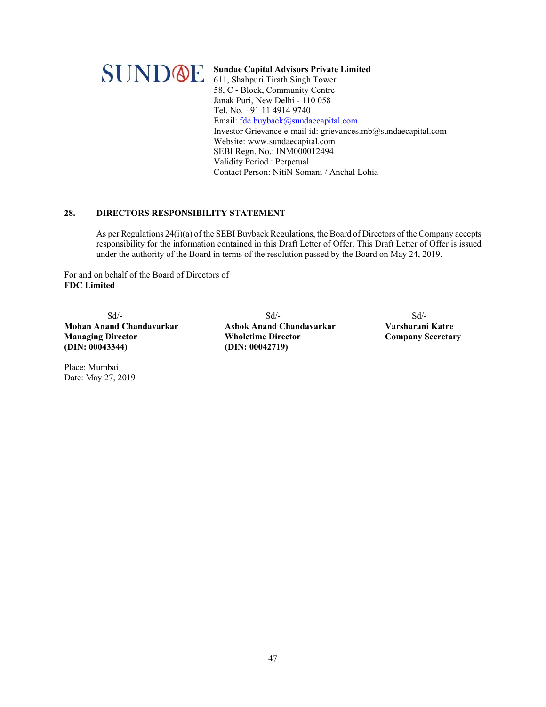

**Sundae Capital Advisors Private Limited**  611, Shahpuri Tirath Singh Tower 58, C - Block, Community Centre Janak Puri, New Delhi - 110 058 Tel. No. +91 11 4914 9740 Email: fdc.buyback@sundaecapital.com Investor Grievance e-mail id: grievances.mb@sundaecapital.com Website: www.sundaecapital.com SEBI Regn. No.: INM000012494 Validity Period : Perpetual Contact Person: NitiN Somani / Anchal Lohia

## **28. DIRECTORS RESPONSIBILITY STATEMENT**

As per Regulations 24(i)(a) of the SEBI Buyback Regulations, the Board of Directors of the Company accepts responsibility for the information contained in this Draft Letter of Offer. This Draft Letter of Offer is issued under the authority of the Board in terms of the resolution passed by the Board on May 24, 2019.

For and on behalf of the Board of Directors of **FDC Limited** 

**Mohan Anand Chandavarkar Ashok Anand Chandavarkar Varsharani Katre Managing Director Wholetime Director Company Secretary (DIN: 00043344) (DIN: 00042719)** 

Place: Mumbai Date: May 27, 2019

 $Sd$ - $Sd$ - $Sd$ -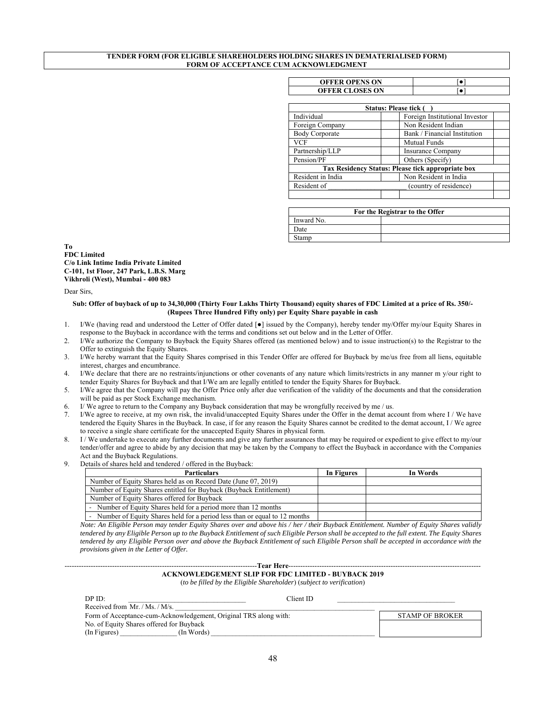#### **TENDER FORM (FOR ELIGIBLE SHAREHOLDERS HOLDING SHARES IN DEMATERIALISED FORM) FORM OF ACCEPTANCE CUM ACKNOWLEDGMENT**

| <b>OFFER OPENS ON</b>  |  |
|------------------------|--|
| <b>OFFER CLOSES ON</b> |  |

| Status: Please tick (                        |                                                   |  |  |  |  |
|----------------------------------------------|---------------------------------------------------|--|--|--|--|
| Individual<br>Foreign Institutional Investor |                                                   |  |  |  |  |
| Foreign Company                              | Non Resident Indian                               |  |  |  |  |
| <b>Body Corporate</b>                        | Bank / Financial Institution                      |  |  |  |  |
| <b>VCF</b>                                   | <b>Mutual Funds</b>                               |  |  |  |  |
| Partnership/LLP                              | <b>Insurance Company</b>                          |  |  |  |  |
| Pension/PF<br>Others (Specify)               |                                                   |  |  |  |  |
|                                              | Tax Residency Status: Please tick appropriate box |  |  |  |  |
| Resident in India                            | Non Resident in India                             |  |  |  |  |
| Resident of<br>(country of residence)        |                                                   |  |  |  |  |
|                                              |                                                   |  |  |  |  |

| For the Registrar to the Offer |  |  |  |
|--------------------------------|--|--|--|
| Inward No.                     |  |  |  |
| Date                           |  |  |  |
| Stamp                          |  |  |  |

**To FDC Limited C/o Link Intime India Private Limited C-101, 1st Floor, 247 Park, L.B.S. Marg Vikhroli (West), Mumbai - 400 083** 

Dear Sirs,

#### **Sub: Offer of buyback of up to 34,30,000 (Thirty Four Lakhs Thirty Thousand) equity shares of FDC Limited at a price of Rs. 350/- (Rupees Three Hundred Fifty only) per Equity Share payable in cash**

- 1. I/We (having read and understood the Letter of Offer dated [●] issued by the Company), hereby tender my/Offer my/our Equity Shares in response to the Buyback in accordance with the terms and conditions set out below and in the Letter of Offer.
- 2. I/We authorize the Company to Buyback the Equity Shares offered (as mentioned below) and to issue instruction(s) to the Registrar to the Offer to extinguish the Equity Shares.
- 3. I/We hereby warrant that the Equity Shares comprised in this Tender Offer are offered for Buyback by me/us free from all liens, equitable interest, charges and encumbrance.
- 4. I/We declare that there are no restraints/injunctions or other covenants of any nature which limits/restricts in any manner m y/our right to tender Equity Shares for Buyback and that I/We am are legally entitled to tender the Equity Shares for Buyback.
- 5. I/We agree that the Company will pay the Offer Price only after due verification of the validity of the documents and that the consideration will be paid as per Stock Exchange mechanism.
- 6. I/ We agree to return to the Company any Buyback consideration that may be wrongfully received by me / us.
- 7. I/We agree to receive, at my own risk, the invalid/unaccepted Equity Shares under the Offer in the demat account from where I / We have tendered the Equity Shares in the Buyback. In case, if for any reason the Equity Shares cannot be credited to the demat account, I / We agree to receive a single share certificate for the unaccepted Equity Shares in physical form.
- 8. I / We undertake to execute any further documents and give any further assurances that may be required or expedient to give effect to my/our tender/offer and agree to abide by any decision that may be taken by the Company to effect the Buyback in accordance with the Companies Act and the Buyback Regulations.
- Details of shares held and tendered / offered in the Buyback:

| <b>Particulars</b>                                                        | In Figures | In Words |
|---------------------------------------------------------------------------|------------|----------|
| Number of Equity Shares held as on Record Date (June 07, 2019)            |            |          |
| Number of Equity Shares entitled for Buyback (Buyback Entitlement)        |            |          |
| Number of Equity Shares offered for Buyback                               |            |          |
| Number of Equity Shares held for a period more than 12 months             |            |          |
| Number of Equity Shares held for a period less than or equal to 12 months |            |          |

*Note: An Eligible Person may tender Equity Shares over and above his / her / their Buyback Entitlement. Number of Equity Shares validly tendered by any Eligible Person up to the Buyback Entitlement of such Eligible Person shall be accepted to the full extent. The Equity Shares tendered by any Eligible Person over and above the Buyback Entitlement of such Eligible Person shall be accepted in accordance with the provisions given in the Letter of Offer.* 

## ---------------------------------------------------------------------------------**Tear Here**---------------------------------------------------------------------------------

**ACKNOWLEDGEMENT SLIP FOR FDC LIMITED - BUYBACK 2019**  (*to be filled by the Eligible Shareholder*) (*subject to verification*)

| DPID:                                                            | Client ID |                        |
|------------------------------------------------------------------|-----------|------------------------|
| Received from Mr. / Ms. / M/s.                                   |           |                        |
| Form of Acceptance-cum-Acknowledgement, Original TRS along with: |           | <b>STAMP OF BROKER</b> |
| No. of Equity Shares offered for Buyback                         |           |                        |
| (In Words)<br>(In Figures)                                       |           |                        |
|                                                                  |           |                        |